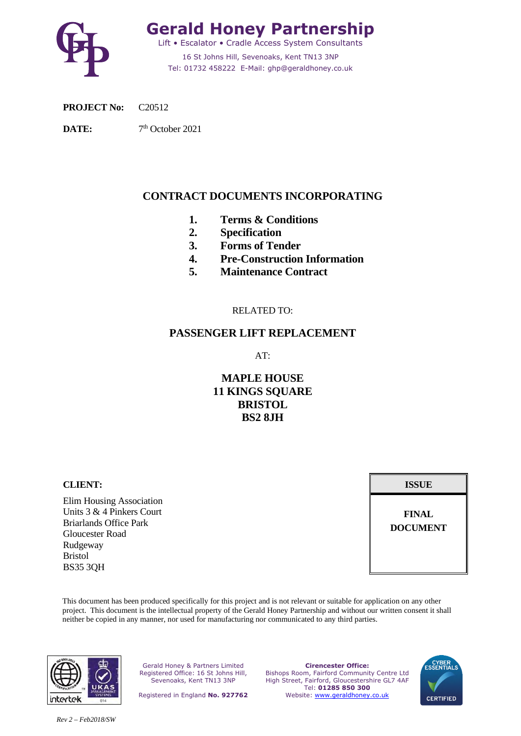

**Gerald Honey Partnership**  Lift • Escalator • Cradle Access System Consultants 16 St Johns Hill, Sevenoaks, Kent TN13 3NP Tel: 01732 458222 E-Mail: ghp@geraldhoney.co.uk

**PROJECT No:** C20512

DATE:  $7<sup>th</sup>$  October 2021

### **CONTRACT DOCUMENTS INCORPORATING**

- **1. Terms & Conditions**
- **2. Specification**
- **3. Forms of Tender**
- **4. Pre-Construction Information**
- **5. Maintenance Contract**

### RELATED TO:

### **PASSENGER LIFT REPLACEMENT**

AT:

### **MAPLE HOUSE 11 KINGS SQUARE BRISTOL BS2 8JH**

**CLIENT: ISSUE**

Elim Housing Association Units 3 & 4 Pinkers Court Briarlands Office Park Gloucester Road Rudgeway Bristol BS35 3QH

**FINAL DOCUMENT** 

This document has been produced specifically for this project and is not relevant or suitable for application on any other project. This document is the intellectual property of the Gerald Honey Partnership and without our written consent it shall neither be copied in any manner, nor used for manufacturing nor communicated to any third parties.



Gerald Honey & Partners Limited Registered Office: 16 St Johns Hill, Sevenoaks, Kent TN13 3NP

Registered in England **No. 927762**

**Cirencester Office:**  Bishops Room, Fairford Community Centre Ltd High Street, Fairford, Gloucestershire GL7 4AF Tel: **01285 850 300**  Website: www.geraldhoney.co.uk

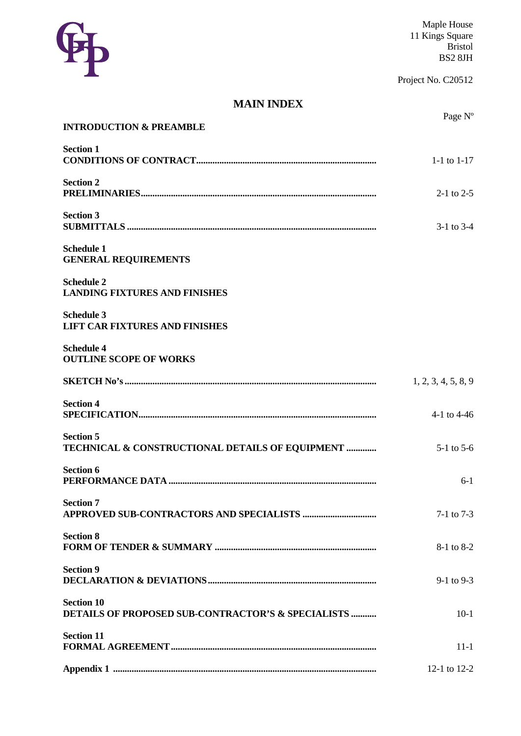

Project No. C20512

# **MAIN INDEX**

|                                                                         | Page N°             |
|-------------------------------------------------------------------------|---------------------|
| <b>INTRODUCTION &amp; PREAMBLE</b>                                      |                     |
| <b>Section 1</b>                                                        | 1-1 to $1-17$       |
| <b>Section 2</b>                                                        | $2-1$ to $2-5$      |
| <b>Section 3</b>                                                        | $3-1$ to $3-4$      |
| <b>Schedule 1</b><br><b>GENERAL REQUIREMENTS</b>                        |                     |
| <b>Schedule 2</b><br><b>LANDING FIXTURES AND FINISHES</b>               |                     |
| <b>Schedule 3</b><br><b>LIFT CAR FIXTURES AND FINISHES</b>              |                     |
| <b>Schedule 4</b><br><b>OUTLINE SCOPE OF WORKS</b>                      |                     |
|                                                                         | 1, 2, 3, 4, 5, 8, 9 |
| <b>Section 4</b>                                                        | 4-1 to 4-46         |
| <b>Section 5</b><br>TECHNICAL & CONSTRUCTIONAL DETAILS OF EQUIPMENT     | $5-1$ to $5-6$      |
| <b>Section 6</b>                                                        | $6-1$               |
| <b>Section 7</b>                                                        | $7-1$ to $7-3$      |
| <b>Section 8</b>                                                        | 8-1 to 8-2          |
| <b>Section 9</b>                                                        | $9-1$ to $9-3$      |
| <b>Section 10</b><br>DETAILS OF PROPOSED SUB-CONTRACTOR'S & SPECIALISTS | $10-1$              |
| <b>Section 11</b>                                                       | $11 - 1$            |
|                                                                         | 12-1 to 12-2        |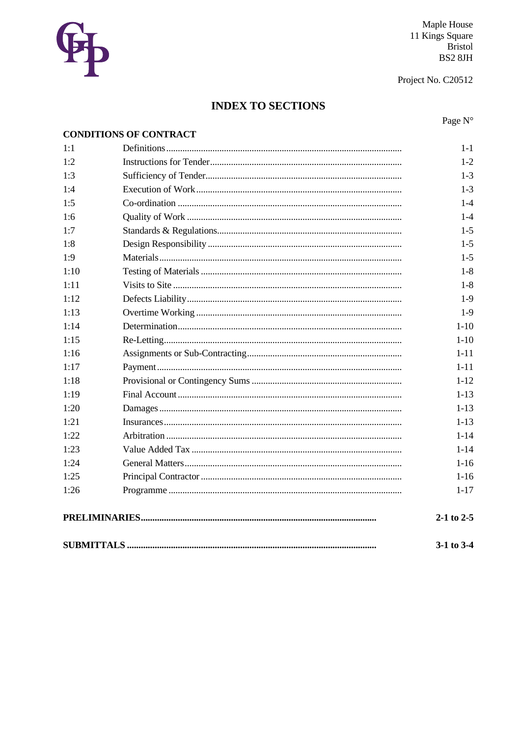

Maple House 11 Kings Square<br>Bristol<br>BS2 8JH

Project No. C20512

# **INDEX TO SECTIONS**

Page N°

|      | <b>CONDITIONS OF CONTRACT</b> |                |
|------|-------------------------------|----------------|
| 1:1  |                               | $1 - 1$        |
| 1:2  |                               | $1-2$          |
| 1:3  |                               | $1-3$          |
| 1:4  |                               | $1-3$          |
| 1:5  |                               | $1 - 4$        |
| 1:6  |                               | $1 - 4$        |
| 1:7  |                               | $1 - 5$        |
| 1:8  |                               | $1-5$          |
| 1:9  |                               | $1 - 5$        |
| 1:10 |                               | $1-8$          |
| 1:11 |                               | $1 - 8$        |
| 1:12 |                               | $1-9$          |
| 1:13 |                               | $1-9$          |
| 1:14 |                               | $1-10$         |
| 1:15 |                               | $1-10$         |
| 1:16 |                               | $1 - 11$       |
| 1:17 |                               | $1 - 11$       |
| 1:18 |                               | $1 - 12$       |
| 1:19 |                               | $1 - 13$       |
| 1:20 |                               | $1 - 13$       |
| 1:21 |                               | $1 - 13$       |
| 1:22 |                               | $1 - 14$       |
| 1:23 |                               | $1 - 14$       |
| 1:24 |                               | $1 - 16$       |
| 1:25 |                               | $1-16$         |
| 1:26 |                               | $1 - 17$       |
|      |                               | $2-1$ to 2-5   |
|      |                               | $3-1$ to $3-4$ |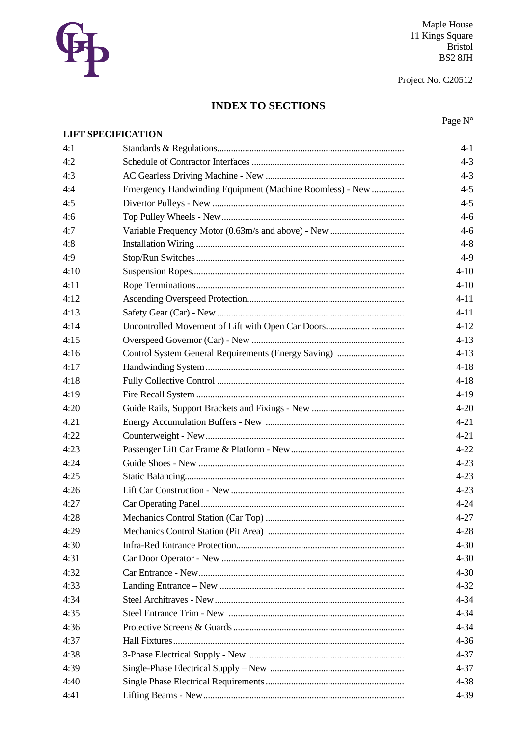

Maple House 11 Kings Square<br>Bristol<br>BS2 8JH

Project No. C20512

# **INDEX TO SECTIONS**

Page N°

| $4 - 1$<br>$4 - 3$<br>$4 - 3$<br>Emergency Handwinding Equipment (Machine Roomless) - New<br>$4 - 5$<br>$4 - 5$<br>$4 - 6$<br>$4 - 6$<br>$4 - 8$<br>$4-9$<br>$4 - 10$<br>$4 - 10$<br>$4 - 11$<br>$4 - 11$<br>$4 - 12$<br>$4 - 13$<br>$4 - 13$<br>$4 - 18$<br>$4 - 18$<br>$4-19$<br>$4 - 20$<br>$4 - 21$<br>$4 - 21$<br>$4 - 22$<br>$4 - 23$<br>$4 - 23$<br>$4 - 23$<br>$4 - 24$<br>$4 - 27$<br>$4 - 28$<br>$4 - 30$<br>$4 - 30$<br>$4 - 30$<br>$4 - 32$<br>$4 - 34$<br>$4 - 34$<br>$4 - 34$<br>$4 - 36$<br>$4 - 37$<br>$4 - 37$ |      | <b>LIFT SPECIFICATION</b> |          |
|---------------------------------------------------------------------------------------------------------------------------------------------------------------------------------------------------------------------------------------------------------------------------------------------------------------------------------------------------------------------------------------------------------------------------------------------------------------------------------------------------------------------------------|------|---------------------------|----------|
|                                                                                                                                                                                                                                                                                                                                                                                                                                                                                                                                 | 4:1  |                           |          |
|                                                                                                                                                                                                                                                                                                                                                                                                                                                                                                                                 | 4:2  |                           |          |
|                                                                                                                                                                                                                                                                                                                                                                                                                                                                                                                                 | 4:3  |                           |          |
|                                                                                                                                                                                                                                                                                                                                                                                                                                                                                                                                 | 4:4  |                           |          |
|                                                                                                                                                                                                                                                                                                                                                                                                                                                                                                                                 | 4:5  |                           |          |
|                                                                                                                                                                                                                                                                                                                                                                                                                                                                                                                                 | 4:6  |                           |          |
|                                                                                                                                                                                                                                                                                                                                                                                                                                                                                                                                 | 4:7  |                           |          |
|                                                                                                                                                                                                                                                                                                                                                                                                                                                                                                                                 | 4:8  |                           |          |
|                                                                                                                                                                                                                                                                                                                                                                                                                                                                                                                                 | 4:9  |                           |          |
|                                                                                                                                                                                                                                                                                                                                                                                                                                                                                                                                 | 4:10 |                           |          |
|                                                                                                                                                                                                                                                                                                                                                                                                                                                                                                                                 | 4:11 |                           |          |
|                                                                                                                                                                                                                                                                                                                                                                                                                                                                                                                                 | 4:12 |                           |          |
|                                                                                                                                                                                                                                                                                                                                                                                                                                                                                                                                 | 4:13 |                           |          |
|                                                                                                                                                                                                                                                                                                                                                                                                                                                                                                                                 | 4:14 |                           |          |
|                                                                                                                                                                                                                                                                                                                                                                                                                                                                                                                                 | 4:15 |                           |          |
|                                                                                                                                                                                                                                                                                                                                                                                                                                                                                                                                 | 4:16 |                           |          |
|                                                                                                                                                                                                                                                                                                                                                                                                                                                                                                                                 | 4:17 |                           |          |
|                                                                                                                                                                                                                                                                                                                                                                                                                                                                                                                                 | 4:18 |                           |          |
|                                                                                                                                                                                                                                                                                                                                                                                                                                                                                                                                 | 4:19 |                           |          |
|                                                                                                                                                                                                                                                                                                                                                                                                                                                                                                                                 | 4:20 |                           |          |
|                                                                                                                                                                                                                                                                                                                                                                                                                                                                                                                                 | 4:21 |                           |          |
|                                                                                                                                                                                                                                                                                                                                                                                                                                                                                                                                 | 4:22 |                           |          |
|                                                                                                                                                                                                                                                                                                                                                                                                                                                                                                                                 | 4:23 |                           |          |
|                                                                                                                                                                                                                                                                                                                                                                                                                                                                                                                                 | 4:24 |                           |          |
|                                                                                                                                                                                                                                                                                                                                                                                                                                                                                                                                 | 4:25 |                           |          |
|                                                                                                                                                                                                                                                                                                                                                                                                                                                                                                                                 | 4:26 |                           |          |
|                                                                                                                                                                                                                                                                                                                                                                                                                                                                                                                                 | 4:27 |                           |          |
|                                                                                                                                                                                                                                                                                                                                                                                                                                                                                                                                 | 4:28 |                           |          |
|                                                                                                                                                                                                                                                                                                                                                                                                                                                                                                                                 | 4:29 |                           |          |
|                                                                                                                                                                                                                                                                                                                                                                                                                                                                                                                                 | 4:30 |                           |          |
|                                                                                                                                                                                                                                                                                                                                                                                                                                                                                                                                 | 4:31 |                           |          |
|                                                                                                                                                                                                                                                                                                                                                                                                                                                                                                                                 | 4:32 |                           |          |
|                                                                                                                                                                                                                                                                                                                                                                                                                                                                                                                                 | 4:33 |                           |          |
|                                                                                                                                                                                                                                                                                                                                                                                                                                                                                                                                 | 4:34 |                           |          |
|                                                                                                                                                                                                                                                                                                                                                                                                                                                                                                                                 | 4:35 |                           |          |
|                                                                                                                                                                                                                                                                                                                                                                                                                                                                                                                                 | 4:36 |                           |          |
|                                                                                                                                                                                                                                                                                                                                                                                                                                                                                                                                 | 4:37 |                           |          |
|                                                                                                                                                                                                                                                                                                                                                                                                                                                                                                                                 | 4:38 |                           |          |
|                                                                                                                                                                                                                                                                                                                                                                                                                                                                                                                                 | 4:39 |                           |          |
|                                                                                                                                                                                                                                                                                                                                                                                                                                                                                                                                 | 4:40 |                           | $4 - 38$ |
| $4 - 39$                                                                                                                                                                                                                                                                                                                                                                                                                                                                                                                        | 4:41 |                           |          |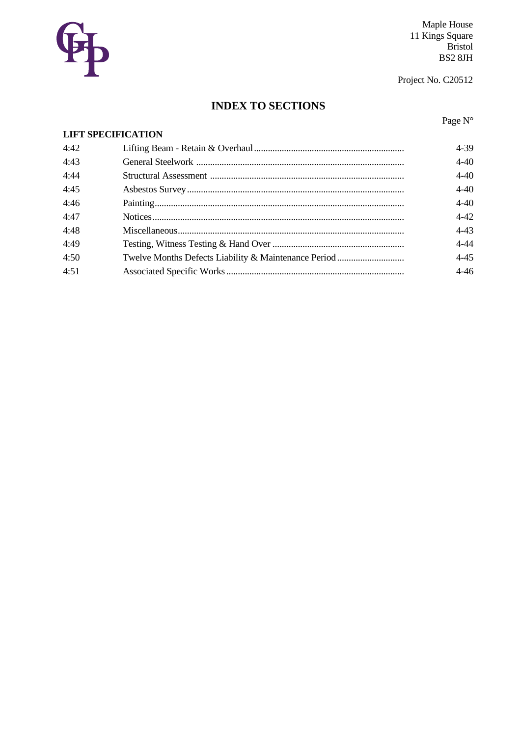

Maple House 11 Kings Square<br>Bristol<br>BS2 8JH

Project No. C20512

# **INDEX TO SECTIONS**

Page N°

| <b>LIFT SPECIFICATION</b> |          |
|---------------------------|----------|
| 4:42                      | 4-39     |
| 4:43                      | $4 - 40$ |
| 4:44                      | $4 - 40$ |
| 4:45                      | $4 - 40$ |
| 4:46                      | $4 - 40$ |
| 4:47                      | $4 - 42$ |
| 4:48                      | $4 - 43$ |
| 4:49                      | $4 - 44$ |
| 4:50                      | $4 - 45$ |
| 4:51                      | $4 - 46$ |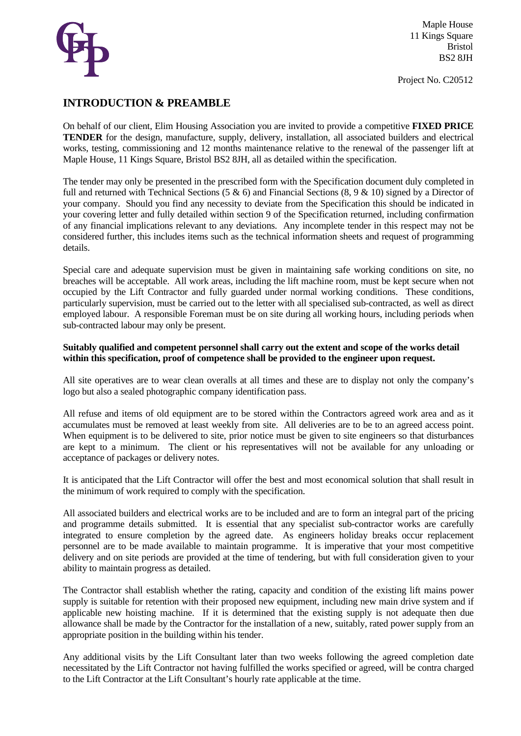

Project No. C20512

### **INTRODUCTION & PREAMBLE**

On behalf of our client, Elim Housing Association you are invited to provide a competitive **FIXED PRICE TENDER** for the design, manufacture, supply, delivery, installation, all associated builders and electrical works, testing, commissioning and 12 months maintenance relative to the renewal of the passenger lift at Maple House, 11 Kings Square, Bristol BS2 8JH, all as detailed within the specification.

The tender may only be presented in the prescribed form with the Specification document duly completed in full and returned with Technical Sections (5 & 6) and Financial Sections (8, 9 & 10) signed by a Director of your company. Should you find any necessity to deviate from the Specification this should be indicated in your covering letter and fully detailed within section 9 of the Specification returned, including confirmation of any financial implications relevant to any deviations. Any incomplete tender in this respect may not be considered further, this includes items such as the technical information sheets and request of programming details.

Special care and adequate supervision must be given in maintaining safe working conditions on site, no breaches will be acceptable. All work areas, including the lift machine room, must be kept secure when not occupied by the Lift Contractor and fully guarded under normal working conditions. These conditions, particularly supervision, must be carried out to the letter with all specialised sub-contracted, as well as direct employed labour. A responsible Foreman must be on site during all working hours, including periods when sub-contracted labour may only be present.

### **Suitably qualified and competent personnel shall carry out the extent and scope of the works detail within this specification, proof of competence shall be provided to the engineer upon request.**

All site operatives are to wear clean overalls at all times and these are to display not only the company's logo but also a sealed photographic company identification pass.

All refuse and items of old equipment are to be stored within the Contractors agreed work area and as it accumulates must be removed at least weekly from site. All deliveries are to be to an agreed access point. When equipment is to be delivered to site, prior notice must be given to site engineers so that disturbances are kept to a minimum. The client or his representatives will not be available for any unloading or acceptance of packages or delivery notes.

It is anticipated that the Lift Contractor will offer the best and most economical solution that shall result in the minimum of work required to comply with the specification.

All associated builders and electrical works are to be included and are to form an integral part of the pricing and programme details submitted. It is essential that any specialist sub-contractor works are carefully integrated to ensure completion by the agreed date. As engineers holiday breaks occur replacement personnel are to be made available to maintain programme. It is imperative that your most competitive delivery and on site periods are provided at the time of tendering, but with full consideration given to your ability to maintain progress as detailed.

The Contractor shall establish whether the rating, capacity and condition of the existing lift mains power supply is suitable for retention with their proposed new equipment, including new main drive system and if applicable new hoisting machine. If it is determined that the existing supply is not adequate then due allowance shall be made by the Contractor for the installation of a new, suitably, rated power supply from an appropriate position in the building within his tender.

Any additional visits by the Lift Consultant later than two weeks following the agreed completion date necessitated by the Lift Contractor not having fulfilled the works specified or agreed, will be contra charged to the Lift Contractor at the Lift Consultant's hourly rate applicable at the time.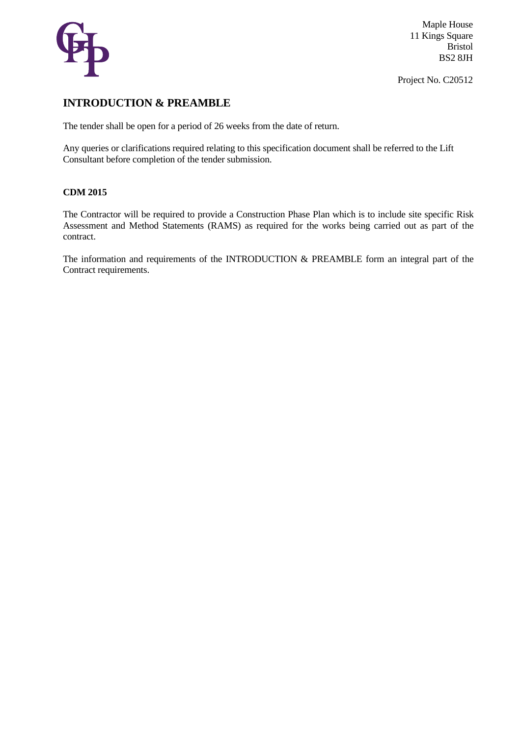

Project No. C20512

### **INTRODUCTION & PREAMBLE**

The tender shall be open for a period of 26 weeks from the date of return.

Any queries or clarifications required relating to this specification document shall be referred to the Lift Consultant before completion of the tender submission.

### **CDM 2015**

The Contractor will be required to provide a Construction Phase Plan which is to include site specific Risk Assessment and Method Statements (RAMS) as required for the works being carried out as part of the contract.

The information and requirements of the INTRODUCTION & PREAMBLE form an integral part of the Contract requirements.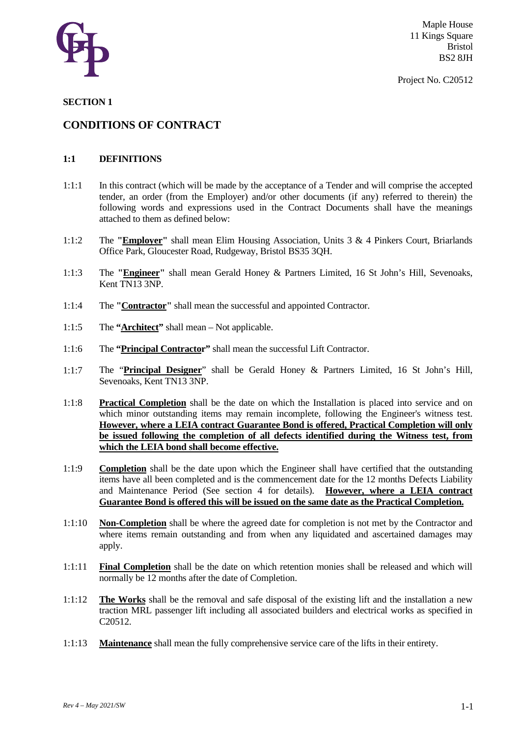

Project No. C20512

### **SECTION 1**

### **CONDITIONS OF CONTRACT**

### **1:1 DEFINITIONS**

- 1:1:1 In this contract (which will be made by the acceptance of a Tender and will comprise the accepted tender, an order (from the Employer) and/or other documents (if any) referred to therein) the following words and expressions used in the Contract Documents shall have the meanings attached to them as defined below:
- 1:1:2 The **"Employer"** shall mean Elim Housing Association, Units 3 & 4 Pinkers Court, Briarlands Office Park, Gloucester Road, Rudgeway, Bristol BS35 3QH.
- 1:1:3 The **"Engineer"** shall mean Gerald Honey & Partners Limited, 16 St John's Hill, Sevenoaks, Kent TN13 3NP.
- 1:1:4 The **"Contractor"** shall mean the successful and appointed Contractor.
- 1:1:5 The **"Architect"** shall mean Not applicable.
- 1:1:6 The **"Principal Contractor"** shall mean the successful Lift Contractor.
- 1:1:7 The "**Principal Designer**" shall be Gerald Honey & Partners Limited, 16 St John's Hill, Sevenoaks, Kent TN13 3NP.
- 1:1:8 **Practical Completion** shall be the date on which the Installation is placed into service and on which minor outstanding items may remain incomplete, following the Engineer's witness test. **However, where a LEIA contract Guarantee Bond is offered, Practical Completion will only be issued following the completion of all defects identified during the Witness test, from which the LEIA bond shall become effective.**
- 1:1:9 **Completion** shall be the date upon which the Engineer shall have certified that the outstanding items have all been completed and is the commencement date for the 12 months Defects Liability and Maintenance Period (See section 4 for details). **However, where a LEIA contract Guarantee Bond is offered this will be issued on the same date as the Practical Completion.**
- 1:1:10 **Non-Completion** shall be where the agreed date for completion is not met by the Contractor and where items remain outstanding and from when any liquidated and ascertained damages may apply.
- 1:1:11 **Final Completion** shall be the date on which retention monies shall be released and which will normally be 12 months after the date of Completion.
- 1:1:12 **The Works** shall be the removal and safe disposal of the existing lift and the installation a new traction MRL passenger lift including all associated builders and electrical works as specified in C20512.
- 1:1:13 **Maintenance** shall mean the fully comprehensive service care of the lifts in their entirety.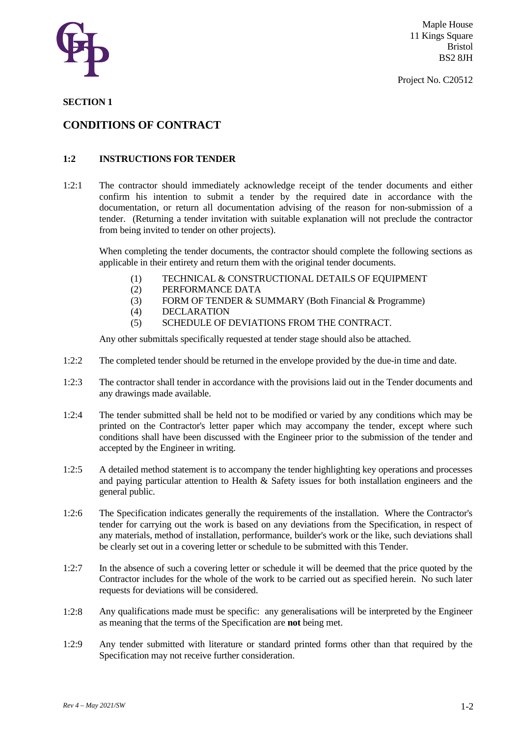

Project No. C20512

#### **SECTION 1**

### **CONDITIONS OF CONTRACT**

### **1:2 INSTRUCTIONS FOR TENDER**

1:2:1 The contractor should immediately acknowledge receipt of the tender documents and either confirm his intention to submit a tender by the required date in accordance with the documentation, or return all documentation advising of the reason for non-submission of a tender. (Returning a tender invitation with suitable explanation will not preclude the contractor from being invited to tender on other projects).

When completing the tender documents, the contractor should complete the following sections as applicable in their entirety and return them with the original tender documents.

- (1) TECHNICAL & CONSTRUCTIONAL DETAILS OF EQUIPMENT
- (2) PERFORMANCE DATA
- (3) FORM OF TENDER & SUMMARY (Both Financial & Programme)
- (4) DECLARATION
- (5) SCHEDULE OF DEVIATIONS FROM THE CONTRACT.

Any other submittals specifically requested at tender stage should also be attached.

- 1:2:2 The completed tender should be returned in the envelope provided by the due-in time and date.
- 1:2:3 The contractor shall tender in accordance with the provisions laid out in the Tender documents and any drawings made available.
- 1:2:4 The tender submitted shall be held not to be modified or varied by any conditions which may be printed on the Contractor's letter paper which may accompany the tender, except where such conditions shall have been discussed with the Engineer prior to the submission of the tender and accepted by the Engineer in writing.
- 1:2:5 A detailed method statement is to accompany the tender highlighting key operations and processes and paying particular attention to Health & Safety issues for both installation engineers and the general public.
- 1:2:6 The Specification indicates generally the requirements of the installation. Where the Contractor's tender for carrying out the work is based on any deviations from the Specification, in respect of any materials, method of installation, performance, builder's work or the like, such deviations shall be clearly set out in a covering letter or schedule to be submitted with this Tender.
- 1:2:7 In the absence of such a covering letter or schedule it will be deemed that the price quoted by the Contractor includes for the whole of the work to be carried out as specified herein. No such later requests for deviations will be considered.
- 1:2:8 Any qualifications made must be specific: any generalisations will be interpreted by the Engineer as meaning that the terms of the Specification are **not** being met.
- 1:2:9 Any tender submitted with literature or standard printed forms other than that required by the Specification may not receive further consideration.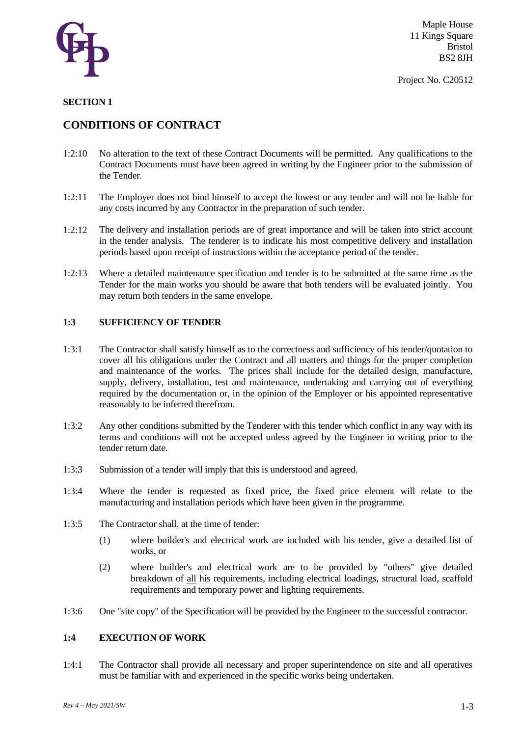

### **SECTION 1**

### **CONDITIONS OF CONTRACT**

- 1:2:10 No alteration to the text of these Contract Documents will be permitted. Any qualifications to the Contract Documents must have been agreed in writing by the Engineer prior to the submission of the Tender.
- 1:2:11 The Employer does not bind himself to accept the lowest or any tender and will not be liable for any costs incurred by any Contractor in the preparation of such tender.
- 1:2:12 The delivery and installation periods are of great importance and will be taken into strict account in the tender analysis. The tenderer is to indicate his most competitive delivery and installation periods based upon receipt of instructions within the acceptance period of the tender.
- 1:2:13 Where a detailed maintenance specification and tender is to be submitted at the same time as the Tender for the main works you should be aware that both tenders will be evaluated jointly. You may return both tenders in the same envelope.

### **1:3 SUFFICIENCY OF TENDER**

- 1:3:1 The Contractor shall satisfy himself as to the correctness and sufficiency of his tender/quotation to cover all his obligations under the Contract and all matters and things for the proper completion and maintenance of the works. The prices shall include for the detailed design, manufacture, supply, delivery, installation, test and maintenance, undertaking and carrying out of everything required by the documentation or, in the opinion of the Employer or his appointed representative reasonably to be inferred therefrom.
- 1:3:2 Any other conditions submitted by the Tenderer with this tender which conflict in any way with its terms and conditions will not be accepted unless agreed by the Engineer in writing prior to the tender return date.
- 1:3:3 Submission of a tender will imply that this is understood and agreed.
- 1:3:4 Where the tender is requested as fixed price, the fixed price element will relate to the manufacturing and installation periods which have been given in the programme.
- 1:3:5 The Contractor shall, at the time of tender:
	- (1) where builder's and electrical work are included with his tender, give a detailed list of works, or
	- (2) where builder's and electrical work are to be provided by "others" give detailed breakdown of all his requirements, including electrical loadings, structural load, scaffold requirements and temporary power and lighting requirements.
- 1:3:6 One "site copy" of the Specification will be provided by the Engineer to the successful contractor.

#### **1:4 EXECUTION OF WORK**

1:4:1 The Contractor shall provide all necessary and proper superintendence on site and all operatives must be familiar with and experienced in the specific works being undertaken.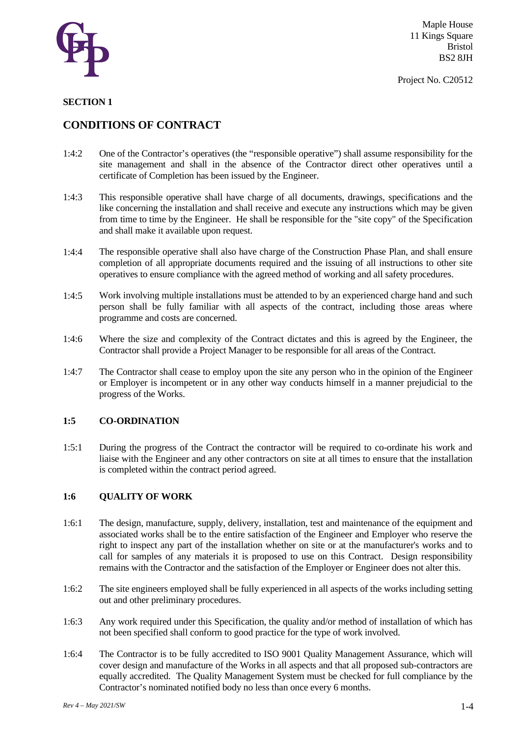

#### **SECTION 1**

### **CONDITIONS OF CONTRACT**

- 1:4:2 One of the Contractor's operatives (the "responsible operative") shall assume responsibility for the site management and shall in the absence of the Contractor direct other operatives until a certificate of Completion has been issued by the Engineer.
- 1:4:3 This responsible operative shall have charge of all documents, drawings, specifications and the like concerning the installation and shall receive and execute any instructions which may be given from time to time by the Engineer. He shall be responsible for the "site copy" of the Specification and shall make it available upon request.
- 1:4:4 The responsible operative shall also have charge of the Construction Phase Plan, and shall ensure completion of all appropriate documents required and the issuing of all instructions to other site operatives to ensure compliance with the agreed method of working and all safety procedures.
- 1:4:5 Work involving multiple installations must be attended to by an experienced charge hand and such person shall be fully familiar with all aspects of the contract, including those areas where programme and costs are concerned.
- 1:4:6 Where the size and complexity of the Contract dictates and this is agreed by the Engineer, the Contractor shall provide a Project Manager to be responsible for all areas of the Contract.
- 1:4:7 The Contractor shall cease to employ upon the site any person who in the opinion of the Engineer or Employer is incompetent or in any other way conducts himself in a manner prejudicial to the progress of the Works.

#### **1:5 CO-ORDINATION**

1:5:1 During the progress of the Contract the contractor will be required to co-ordinate his work and liaise with the Engineer and any other contractors on site at all times to ensure that the installation is completed within the contract period agreed.

### **1:6 QUALITY OF WORK**

- 1:6:1 The design, manufacture, supply, delivery, installation, test and maintenance of the equipment and associated works shall be to the entire satisfaction of the Engineer and Employer who reserve the right to inspect any part of the installation whether on site or at the manufacturer's works and to call for samples of any materials it is proposed to use on this Contract. Design responsibility remains with the Contractor and the satisfaction of the Employer or Engineer does not alter this.
- 1:6:2 The site engineers employed shall be fully experienced in all aspects of the works including setting out and other preliminary procedures.
- 1:6:3 Any work required under this Specification, the quality and/or method of installation of which has not been specified shall conform to good practice for the type of work involved.
- 1:6:4 The Contractor is to be fully accredited to ISO 9001 Quality Management Assurance, which will cover design and manufacture of the Works in all aspects and that all proposed sub-contractors are equally accredited. The Quality Management System must be checked for full compliance by the Contractor's nominated notified body no less than once every 6 months.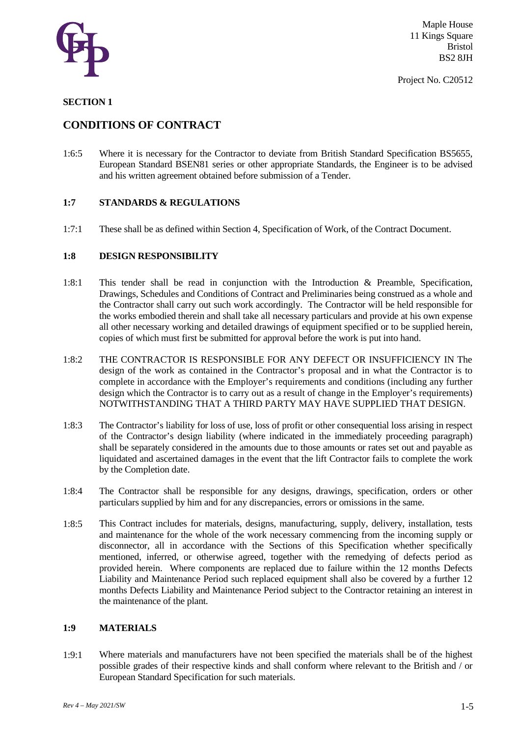

Project No. C20512

### **SECTION 1**

### **CONDITIONS OF CONTRACT**

1:6:5 Where it is necessary for the Contractor to deviate from British Standard Specification BS5655, European Standard BSEN81 series or other appropriate Standards, the Engineer is to be advised and his written agreement obtained before submission of a Tender.

### **1:7 STANDARDS & REGULATIONS**

1:7:1 These shall be as defined within Section 4, Specification of Work, of the Contract Document.

#### **1:8 DESIGN RESPONSIBILITY**

- 1:8:1 This tender shall be read in conjunction with the Introduction & Preamble, Specification, Drawings, Schedules and Conditions of Contract and Preliminaries being construed as a whole and the Contractor shall carry out such work accordingly. The Contractor will be held responsible for the works embodied therein and shall take all necessary particulars and provide at his own expense all other necessary working and detailed drawings of equipment specified or to be supplied herein, copies of which must first be submitted for approval before the work is put into hand.
- 1:8:2 THE CONTRACTOR IS RESPONSIBLE FOR ANY DEFECT OR INSUFFICIENCY IN The design of the work as contained in the Contractor's proposal and in what the Contractor is to complete in accordance with the Employer's requirements and conditions (including any further design which the Contractor is to carry out as a result of change in the Employer's requirements) NOTWITHSTANDING THAT A THIRD PARTY MAY HAVE SUPPLIED THAT DESIGN.
- 1:8:3 The Contractor's liability for loss of use, loss of profit or other consequential loss arising in respect of the Contractor's design liability (where indicated in the immediately proceeding paragraph) shall be separately considered in the amounts due to those amounts or rates set out and payable as liquidated and ascertained damages in the event that the lift Contractor fails to complete the work by the Completion date.
- 1:8:4 The Contractor shall be responsible for any designs, drawings, specification, orders or other particulars supplied by him and for any discrepancies, errors or omissions in the same.
- 1:8:5 This Contract includes for materials, designs, manufacturing, supply, delivery, installation, tests and maintenance for the whole of the work necessary commencing from the incoming supply or disconnector, all in accordance with the Sections of this Specification whether specifically mentioned, inferred, or otherwise agreed, together with the remedying of defects period as provided herein. Where components are replaced due to failure within the 12 months Defects Liability and Maintenance Period such replaced equipment shall also be covered by a further 12 months Defects Liability and Maintenance Period subject to the Contractor retaining an interest in the maintenance of the plant.

### **1:9 MATERIALS**

1:9:1 Where materials and manufacturers have not been specified the materials shall be of the highest possible grades of their respective kinds and shall conform where relevant to the British and / or European Standard Specification for such materials.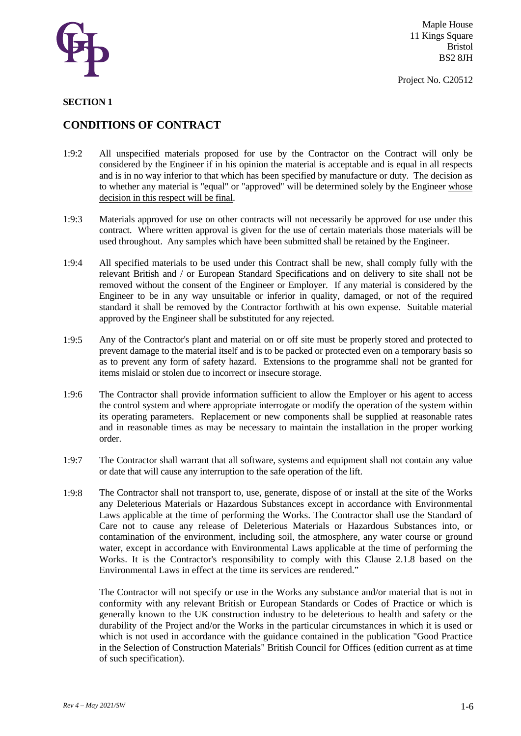

Project No. C20512

### **SECTION 1**

### **CONDITIONS OF CONTRACT**

- 1:9:2 All unspecified materials proposed for use by the Contractor on the Contract will only be considered by the Engineer if in his opinion the material is acceptable and is equal in all respects and is in no way inferior to that which has been specified by manufacture or duty. The decision as to whether any material is "equal" or "approved" will be determined solely by the Engineer whose decision in this respect will be final.
- 1:9:3 Materials approved for use on other contracts will not necessarily be approved for use under this contract. Where written approval is given for the use of certain materials those materials will be used throughout. Any samples which have been submitted shall be retained by the Engineer.
- 1:9:4 All specified materials to be used under this Contract shall be new, shall comply fully with the relevant British and / or European Standard Specifications and on delivery to site shall not be removed without the consent of the Engineer or Employer. If any material is considered by the Engineer to be in any way unsuitable or inferior in quality, damaged, or not of the required standard it shall be removed by the Contractor forthwith at his own expense. Suitable material approved by the Engineer shall be substituted for any rejected.
- 1:9:5 Any of the Contractor's plant and material on or off site must be properly stored and protected to prevent damage to the material itself and is to be packed or protected even on a temporary basis so as to prevent any form of safety hazard. Extensions to the programme shall not be granted for items mislaid or stolen due to incorrect or insecure storage.
- 1:9:6 The Contractor shall provide information sufficient to allow the Employer or his agent to access the control system and where appropriate interrogate or modify the operation of the system within its operating parameters. Replacement or new components shall be supplied at reasonable rates and in reasonable times as may be necessary to maintain the installation in the proper working order.
- 1:9:7 The Contractor shall warrant that all software, systems and equipment shall not contain any value or date that will cause any interruption to the safe operation of the lift.
- 1:9:8 The Contractor shall not transport to, use, generate, dispose of or install at the site of the Works any Deleterious Materials or Hazardous Substances except in accordance with Environmental Laws applicable at the time of performing the Works. The Contractor shall use the Standard of Care not to cause any release of Deleterious Materials or Hazardous Substances into, or contamination of the environment, including soil, the atmosphere, any water course or ground water, except in accordance with Environmental Laws applicable at the time of performing the Works. It is the Contractor's responsibility to comply with this Clause 2.1.8 based on the Environmental Laws in effect at the time its services are rendered."

The Contractor will not specify or use in the Works any substance and/or material that is not in conformity with any relevant British or European Standards or Codes of Practice or which is generally known to the UK construction industry to be deleterious to health and safety or the durability of the Project and/or the Works in the particular circumstances in which it is used or which is not used in accordance with the guidance contained in the publication "Good Practice in the Selection of Construction Materials" British Council for Offices (edition current as at time of such specification).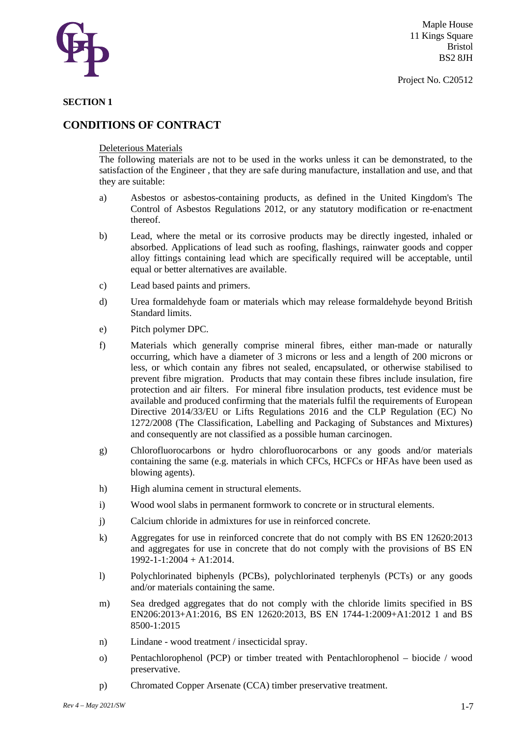

#### **SECTION 1**

### **CONDITIONS OF CONTRACT**

#### Deleterious Materials

The following materials are not to be used in the works unless it can be demonstrated, to the satisfaction of the Engineer , that they are safe during manufacture, installation and use, and that they are suitable:

- a) Asbestos or asbestos-containing products, as defined in the United Kingdom's The Control of Asbestos Regulations 2012, or any statutory modification or re-enactment thereof.
- b) Lead, where the metal or its corrosive products may be directly ingested, inhaled or absorbed. Applications of lead such as roofing, flashings, rainwater goods and copper alloy fittings containing lead which are specifically required will be acceptable, until equal or better alternatives are available.
- c) Lead based paints and primers.
- d) Urea formaldehyde foam or materials which may release formaldehyde beyond British Standard limits.
- e) Pitch polymer DPC.
- f) Materials which generally comprise mineral fibres, either man-made or naturally occurring, which have a diameter of 3 microns or less and a length of 200 microns or less, or which contain any fibres not sealed, encapsulated, or otherwise stabilised to prevent fibre migration. Products that may contain these fibres include insulation, fire protection and air filters. For mineral fibre insulation products, test evidence must be available and produced confirming that the materials fulfil the requirements of European Directive 2014/33/EU or Lifts Regulations 2016 and the CLP Regulation (EC) No 1272/2008 (The Classification, Labelling and Packaging of Substances and Mixtures) and consequently are not classified as a possible human carcinogen.
- g) Chlorofluorocarbons or hydro chlorofluorocarbons or any goods and/or materials containing the same (e.g. materials in which CFCs, HCFCs or HFAs have been used as blowing agents).
- h) High alumina cement in structural elements.
- i) Wood wool slabs in permanent formwork to concrete or in structural elements.
- j) Calcium chloride in admixtures for use in reinforced concrete.
- k) Aggregates for use in reinforced concrete that do not comply with BS EN 12620:2013 and aggregates for use in concrete that do not comply with the provisions of BS EN 1992-1-1:2004 + A1:2014.
- l) Polychlorinated biphenyls (PCBs), polychlorinated terphenyls (PCTs) or any goods and/or materials containing the same.
- m) Sea dredged aggregates that do not comply with the chloride limits specified in BS EN206:2013+A1:2016, BS EN 12620:2013, BS EN 1744-1:2009+A1:2012 1 and BS 8500-1:2015
- n) Lindane wood treatment / insecticidal spray.
- o) Pentachlorophenol (PCP) or timber treated with Pentachlorophenol biocide / wood preservative.
- p) Chromated Copper Arsenate (CCA) timber preservative treatment.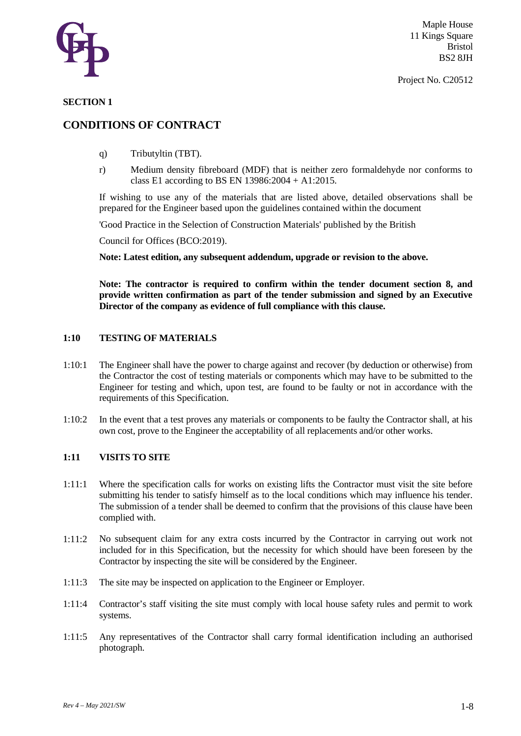

#### **SECTION 1**

### **CONDITIONS OF CONTRACT**

- q) Tributyltin (TBT).
- r) Medium density fibreboard (MDF) that is neither zero formaldehyde nor conforms to class E1 according to BS EN 13986:2004 + A1:2015.

If wishing to use any of the materials that are listed above, detailed observations shall be prepared for the Engineer based upon the guidelines contained within the document

'Good Practice in the Selection of Construction Materials' published by the British

Council for Offices (BCO:2019).

**Note: Latest edition, any subsequent addendum, upgrade or revision to the above.**

**Note: The contractor is required to confirm within the tender document section 8, and provide written confirmation as part of the tender submission and signed by an Executive Director of the company as evidence of full compliance with this clause.** 

#### **1:10 TESTING OF MATERIALS**

- 1:10:1 The Engineer shall have the power to charge against and recover (by deduction or otherwise) from the Contractor the cost of testing materials or components which may have to be submitted to the Engineer for testing and which, upon test, are found to be faulty or not in accordance with the requirements of this Specification.
- 1:10:2 In the event that a test proves any materials or components to be faulty the Contractor shall, at his own cost, prove to the Engineer the acceptability of all replacements and/or other works.

### **1:11 VISITS TO SITE**

- 1:11:1 Where the specification calls for works on existing lifts the Contractor must visit the site before submitting his tender to satisfy himself as to the local conditions which may influence his tender. The submission of a tender shall be deemed to confirm that the provisions of this clause have been complied with.
- 1:11:2 No subsequent claim for any extra costs incurred by the Contractor in carrying out work not included for in this Specification, but the necessity for which should have been foreseen by the Contractor by inspecting the site will be considered by the Engineer.
- 1:11:3 The site may be inspected on application to the Engineer or Employer.
- 1:11:4 Contractor's staff visiting the site must comply with local house safety rules and permit to work systems.
- 1:11:5 Any representatives of the Contractor shall carry formal identification including an authorised photograph.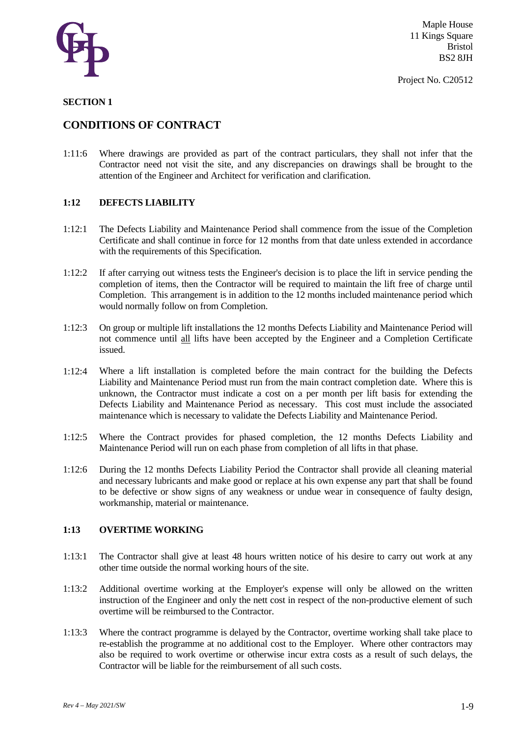

#### **SECTION 1**

### **CONDITIONS OF CONTRACT**

1:11:6 Where drawings are provided as part of the contract particulars, they shall not infer that the Contractor need not visit the site, and any discrepancies on drawings shall be brought to the attention of the Engineer and Architect for verification and clarification.

#### **1:12 DEFECTS LIABILITY**

- 1:12:1 The Defects Liability and Maintenance Period shall commence from the issue of the Completion Certificate and shall continue in force for 12 months from that date unless extended in accordance with the requirements of this Specification.
- 1:12:2 If after carrying out witness tests the Engineer's decision is to place the lift in service pending the completion of items, then the Contractor will be required to maintain the lift free of charge until Completion. This arrangement is in addition to the 12 months included maintenance period which would normally follow on from Completion.
- 1:12:3 On group or multiple lift installations the 12 months Defects Liability and Maintenance Period will not commence until all lifts have been accepted by the Engineer and a Completion Certificate issued.
- 1:12:4 Where a lift installation is completed before the main contract for the building the Defects Liability and Maintenance Period must run from the main contract completion date. Where this is unknown, the Contractor must indicate a cost on a per month per lift basis for extending the Defects Liability and Maintenance Period as necessary. This cost must include the associated maintenance which is necessary to validate the Defects Liability and Maintenance Period.
- 1:12:5 Where the Contract provides for phased completion, the 12 months Defects Liability and Maintenance Period will run on each phase from completion of all lifts in that phase.
- 1:12:6 During the 12 months Defects Liability Period the Contractor shall provide all cleaning material and necessary lubricants and make good or replace at his own expense any part that shall be found to be defective or show signs of any weakness or undue wear in consequence of faulty design, workmanship, material or maintenance.

#### **1:13 OVERTIME WORKING**

- 1:13:1 The Contractor shall give at least 48 hours written notice of his desire to carry out work at any other time outside the normal working hours of the site.
- 1:13:2 Additional overtime working at the Employer's expense will only be allowed on the written instruction of the Engineer and only the nett cost in respect of the non-productive element of such overtime will be reimbursed to the Contractor.
- 1:13:3 Where the contract programme is delayed by the Contractor, overtime working shall take place to re-establish the programme at no additional cost to the Employer. Where other contractors may also be required to work overtime or otherwise incur extra costs as a result of such delays, the Contractor will be liable for the reimbursement of all such costs.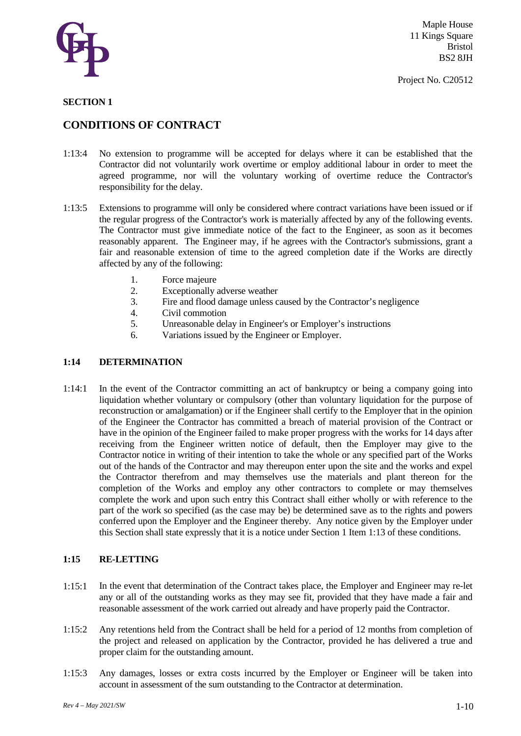

#### **SECTION 1**

### **CONDITIONS OF CONTRACT**

- 1:13:4 No extension to programme will be accepted for delays where it can be established that the Contractor did not voluntarily work overtime or employ additional labour in order to meet the agreed programme, nor will the voluntary working of overtime reduce the Contractor's responsibility for the delay.
- 1:13:5 Extensions to programme will only be considered where contract variations have been issued or if the regular progress of the Contractor's work is materially affected by any of the following events. The Contractor must give immediate notice of the fact to the Engineer, as soon as it becomes reasonably apparent. The Engineer may, if he agrees with the Contractor's submissions, grant a fair and reasonable extension of time to the agreed completion date if the Works are directly affected by any of the following:
	- 1. Force majeure
	- 2. Exceptionally adverse weather
	- 3. Fire and flood damage unless caused by the Contractor's negligence
	- 4. Civil commotion
	- 5. Unreasonable delay in Engineer's or Employer's instructions
	- 6. Variations issued by the Engineer or Employer.

#### **1:14 DETERMINATION**

1:14:1 In the event of the Contractor committing an act of bankruptcy or being a company going into liquidation whether voluntary or compulsory (other than voluntary liquidation for the purpose of reconstruction or amalgamation) or if the Engineer shall certify to the Employer that in the opinion of the Engineer the Contractor has committed a breach of material provision of the Contract or have in the opinion of the Engineer failed to make proper progress with the works for 14 days after receiving from the Engineer written notice of default, then the Employer may give to the Contractor notice in writing of their intention to take the whole or any specified part of the Works out of the hands of the Contractor and may thereupon enter upon the site and the works and expel the Contractor therefrom and may themselves use the materials and plant thereon for the completion of the Works and employ any other contractors to complete or may themselves complete the work and upon such entry this Contract shall either wholly or with reference to the part of the work so specified (as the case may be) be determined save as to the rights and powers conferred upon the Employer and the Engineer thereby. Any notice given by the Employer under this Section shall state expressly that it is a notice under Section 1 Item 1:13 of these conditions.

#### **1:15 RE-LETTING**

- 1:15:1 In the event that determination of the Contract takes place, the Employer and Engineer may re-let any or all of the outstanding works as they may see fit, provided that they have made a fair and reasonable assessment of the work carried out already and have properly paid the Contractor.
- 1:15:2 Any retentions held from the Contract shall be held for a period of 12 months from completion of the project and released on application by the Contractor, provided he has delivered a true and proper claim for the outstanding amount.
- 1:15:3 Any damages, losses or extra costs incurred by the Employer or Engineer will be taken into account in assessment of the sum outstanding to the Contractor at determination.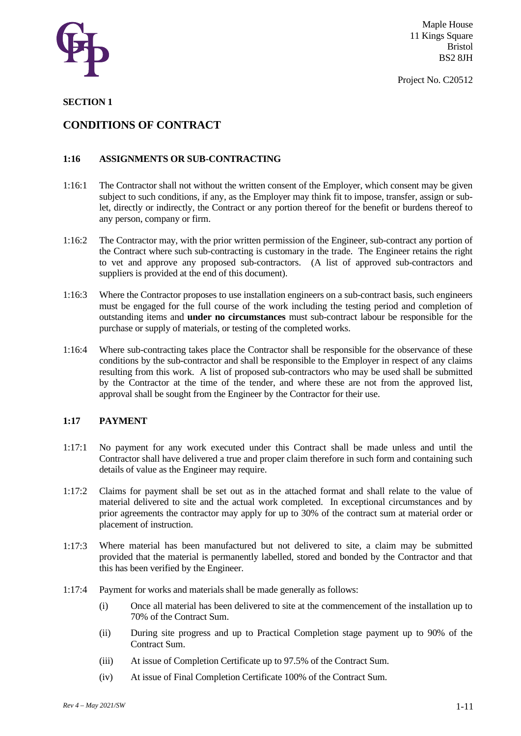

Project No. C20512

### **SECTION 1**

### **CONDITIONS OF CONTRACT**

### **1:16 ASSIGNMENTS OR SUB-CONTRACTING**

- 1:16:1 The Contractor shall not without the written consent of the Employer, which consent may be given subject to such conditions, if any, as the Employer may think fit to impose, transfer, assign or sublet, directly or indirectly, the Contract or any portion thereof for the benefit or burdens thereof to any person, company or firm.
- 1:16:2 The Contractor may, with the prior written permission of the Engineer, sub-contract any portion of the Contract where such sub-contracting is customary in the trade. The Engineer retains the right to vet and approve any proposed sub-contractors. (A list of approved sub-contractors and suppliers is provided at the end of this document).
- 1:16:3 Where the Contractor proposes to use installation engineers on a sub-contract basis, such engineers must be engaged for the full course of the work including the testing period and completion of outstanding items and **under no circumstances** must sub-contract labour be responsible for the purchase or supply of materials, or testing of the completed works.
- 1:16:4 Where sub-contracting takes place the Contractor shall be responsible for the observance of these conditions by the sub-contractor and shall be responsible to the Employer in respect of any claims resulting from this work. A list of proposed sub-contractors who may be used shall be submitted by the Contractor at the time of the tender, and where these are not from the approved list, approval shall be sought from the Engineer by the Contractor for their use.

#### **1:17 PAYMENT**

- 1:17:1 No payment for any work executed under this Contract shall be made unless and until the Contractor shall have delivered a true and proper claim therefore in such form and containing such details of value as the Engineer may require.
- 1:17:2 Claims for payment shall be set out as in the attached format and shall relate to the value of material delivered to site and the actual work completed. In exceptional circumstances and by prior agreements the contractor may apply for up to 30% of the contract sum at material order or placement of instruction.
- 1:17:3 Where material has been manufactured but not delivered to site, a claim may be submitted provided that the material is permanently labelled, stored and bonded by the Contractor and that this has been verified by the Engineer.
- 1:17:4 Payment for works and materials shall be made generally as follows:
	- (i) Once all material has been delivered to site at the commencement of the installation up to 70% of the Contract Sum.
	- (ii) During site progress and up to Practical Completion stage payment up to 90% of the Contract Sum.
	- (iii) At issue of Completion Certificate up to 97.5% of the Contract Sum.
	- (iv) At issue of Final Completion Certificate 100% of the Contract Sum.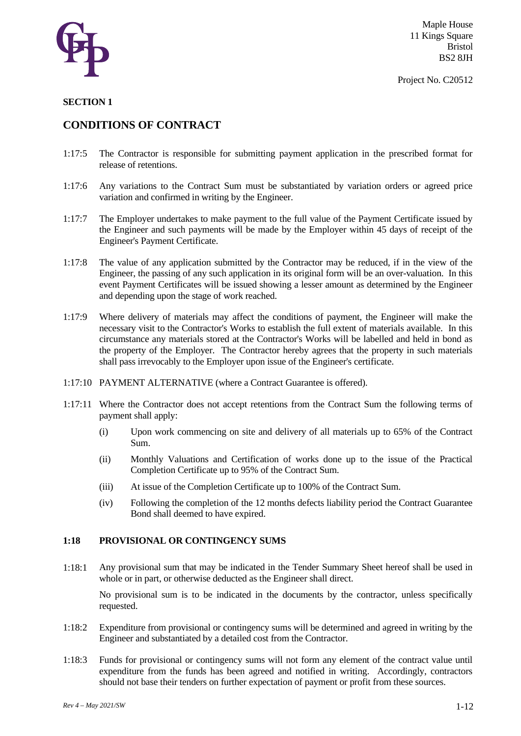

#### **SECTION 1**

### **CONDITIONS OF CONTRACT**

- 1:17:5 The Contractor is responsible for submitting payment application in the prescribed format for release of retentions.
- 1:17:6 Any variations to the Contract Sum must be substantiated by variation orders or agreed price variation and confirmed in writing by the Engineer.
- 1:17:7 The Employer undertakes to make payment to the full value of the Payment Certificate issued by the Engineer and such payments will be made by the Employer within 45 days of receipt of the Engineer's Payment Certificate.
- 1:17:8 The value of any application submitted by the Contractor may be reduced, if in the view of the Engineer, the passing of any such application in its original form will be an over-valuation. In this event Payment Certificates will be issued showing a lesser amount as determined by the Engineer and depending upon the stage of work reached.
- 1:17:9 Where delivery of materials may affect the conditions of payment, the Engineer will make the necessary visit to the Contractor's Works to establish the full extent of materials available. In this circumstance any materials stored at the Contractor's Works will be labelled and held in bond as the property of the Employer. The Contractor hereby agrees that the property in such materials shall pass irrevocably to the Employer upon issue of the Engineer's certificate.
- 1:17:10 PAYMENT ALTERNATIVE (where a Contract Guarantee is offered).
- 1:17:11 Where the Contractor does not accept retentions from the Contract Sum the following terms of payment shall apply:
	- (i) Upon work commencing on site and delivery of all materials up to 65% of the Contract Sum.
	- (ii) Monthly Valuations and Certification of works done up to the issue of the Practical Completion Certificate up to 95% of the Contract Sum.
	- (iii) At issue of the Completion Certificate up to 100% of the Contract Sum.
	- (iv) Following the completion of the 12 months defects liability period the Contract Guarantee Bond shall deemed to have expired.

### **1:18 PROVISIONAL OR CONTINGENCY SUMS**

1:18:1 Any provisional sum that may be indicated in the Tender Summary Sheet hereof shall be used in whole or in part, or otherwise deducted as the Engineer shall direct.

No provisional sum is to be indicated in the documents by the contractor, unless specifically requested.

- 1:18:2 Expenditure from provisional or contingency sums will be determined and agreed in writing by the Engineer and substantiated by a detailed cost from the Contractor.
- 1:18:3 Funds for provisional or contingency sums will not form any element of the contract value until expenditure from the funds has been agreed and notified in writing. Accordingly, contractors should not base their tenders on further expectation of payment or profit from these sources.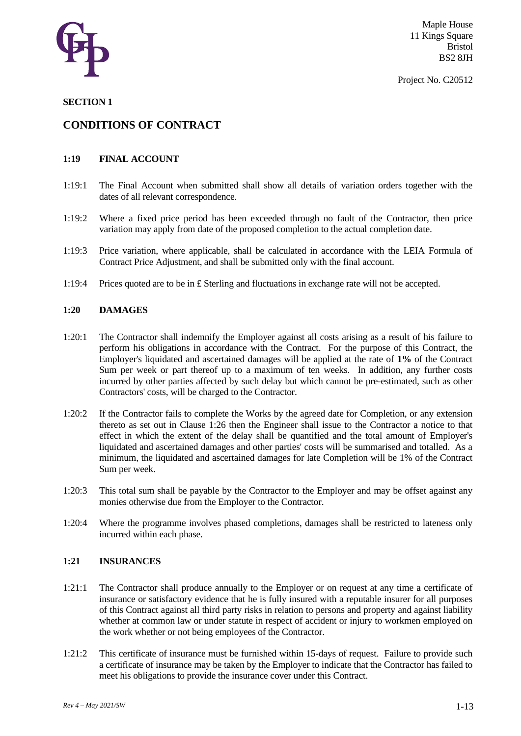

#### Project No. C20512

### **SECTION 1**

### **CONDITIONS OF CONTRACT**

### **1:19 FINAL ACCOUNT**

- 1:19:1 The Final Account when submitted shall show all details of variation orders together with the dates of all relevant correspondence.
- 1:19:2 Where a fixed price period has been exceeded through no fault of the Contractor, then price variation may apply from date of the proposed completion to the actual completion date.
- 1:19:3 Price variation, where applicable, shall be calculated in accordance with the LEIA Formula of Contract Price Adjustment, and shall be submitted only with the final account.
- 1:19:4 Prices quoted are to be in £ Sterling and fluctuations in exchange rate will not be accepted.

#### **1:20 DAMAGES**

- 1:20:1 The Contractor shall indemnify the Employer against all costs arising as a result of his failure to perform his obligations in accordance with the Contract. For the purpose of this Contract, the Employer's liquidated and ascertained damages will be applied at the rate of **1%** of the Contract Sum per week or part thereof up to a maximum of ten weeks. In addition, any further costs incurred by other parties affected by such delay but which cannot be pre-estimated, such as other Contractors' costs, will be charged to the Contractor.
- 1:20:2 If the Contractor fails to complete the Works by the agreed date for Completion, or any extension thereto as set out in Clause 1:26 then the Engineer shall issue to the Contractor a notice to that effect in which the extent of the delay shall be quantified and the total amount of Employer's liquidated and ascertained damages and other parties' costs will be summarised and totalled. As a minimum, the liquidated and ascertained damages for late Completion will be 1% of the Contract Sum per week.
- 1:20:3 This total sum shall be payable by the Contractor to the Employer and may be offset against any monies otherwise due from the Employer to the Contractor.
- 1:20:4 Where the programme involves phased completions, damages shall be restricted to lateness only incurred within each phase.

#### **1:21 INSURANCES**

- 1:21:1 The Contractor shall produce annually to the Employer or on request at any time a certificate of insurance or satisfactory evidence that he is fully insured with a reputable insurer for all purposes of this Contract against all third party risks in relation to persons and property and against liability whether at common law or under statute in respect of accident or injury to workmen employed on the work whether or not being employees of the Contractor.
- 1:21:2 This certificate of insurance must be furnished within 15-days of request. Failure to provide such a certificate of insurance may be taken by the Employer to indicate that the Contractor has failed to meet his obligations to provide the insurance cover under this Contract.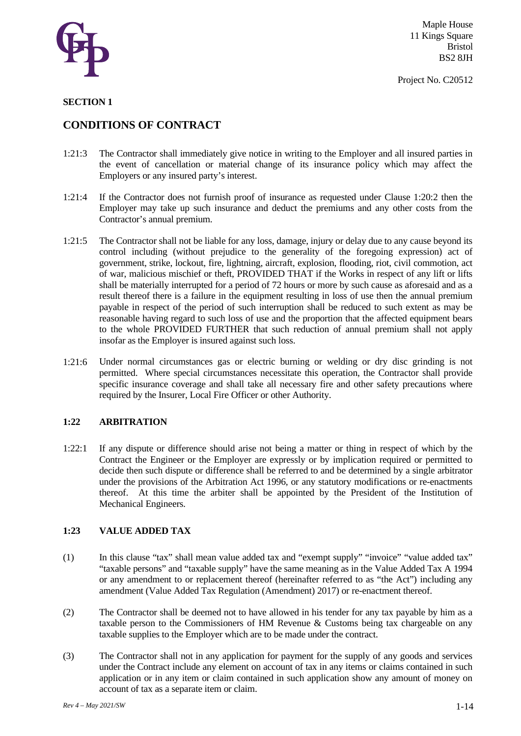

#### **SECTION 1**

### **CONDITIONS OF CONTRACT**

- 1:21:3 The Contractor shall immediately give notice in writing to the Employer and all insured parties in the event of cancellation or material change of its insurance policy which may affect the Employers or any insured party's interest.
- 1:21:4 If the Contractor does not furnish proof of insurance as requested under Clause 1:20:2 then the Employer may take up such insurance and deduct the premiums and any other costs from the Contractor's annual premium.
- 1:21:5 The Contractor shall not be liable for any loss, damage, injury or delay due to any cause beyond its control including (without prejudice to the generality of the foregoing expression) act of government, strike, lockout, fire, lightning, aircraft, explosion, flooding, riot, civil commotion, act of war, malicious mischief or theft, PROVIDED THAT if the Works in respect of any lift or lifts shall be materially interrupted for a period of 72 hours or more by such cause as aforesaid and as a result thereof there is a failure in the equipment resulting in loss of use then the annual premium payable in respect of the period of such interruption shall be reduced to such extent as may be reasonable having regard to such loss of use and the proportion that the affected equipment bears to the whole PROVIDED FURTHER that such reduction of annual premium shall not apply insofar as the Employer is insured against such loss.
- 1:21:6 Under normal circumstances gas or electric burning or welding or dry disc grinding is not permitted. Where special circumstances necessitate this operation, the Contractor shall provide specific insurance coverage and shall take all necessary fire and other safety precautions where required by the Insurer, Local Fire Officer or other Authority.

#### **1:22 ARBITRATION**

1:22:1 If any dispute or difference should arise not being a matter or thing in respect of which by the Contract the Engineer or the Employer are expressly or by implication required or permitted to decide then such dispute or difference shall be referred to and be determined by a single arbitrator under the provisions of the Arbitration Act 1996, or any statutory modifications or re-enactments thereof. At this time the arbiter shall be appointed by the President of the Institution of Mechanical Engineers.

### **1:23 VALUE ADDED TAX**

- (1) In this clause "tax" shall mean value added tax and "exempt supply" "invoice" "value added tax" "taxable persons" and "taxable supply" have the same meaning as in the Value Added Tax A 1994 or any amendment to or replacement thereof (hereinafter referred to as "the Act") including any amendment (Value Added Tax Regulation (Amendment) 2017) or re-enactment thereof.
- (2) The Contractor shall be deemed not to have allowed in his tender for any tax payable by him as a taxable person to the Commissioners of HM Revenue & Customs being tax chargeable on any taxable supplies to the Employer which are to be made under the contract.
- (3) The Contractor shall not in any application for payment for the supply of any goods and services under the Contract include any element on account of tax in any items or claims contained in such application or in any item or claim contained in such application show any amount of money on account of tax as a separate item or claim.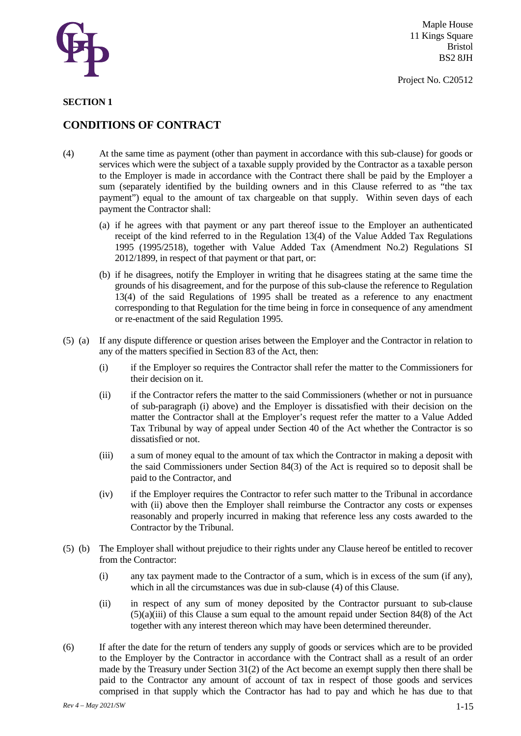

#### **SECTION 1**

### **CONDITIONS OF CONTRACT**

- (4) At the same time as payment (other than payment in accordance with this sub-clause) for goods or services which were the subject of a taxable supply provided by the Contractor as a taxable person to the Employer is made in accordance with the Contract there shall be paid by the Employer a sum (separately identified by the building owners and in this Clause referred to as "the tax payment") equal to the amount of tax chargeable on that supply. Within seven days of each payment the Contractor shall:
	- (a) if he agrees with that payment or any part thereof issue to the Employer an authenticated receipt of the kind referred to in the Regulation 13(4) of the Value Added Tax Regulations 1995 (1995/2518), together with Value Added Tax (Amendment No.2) Regulations SI 2012/1899, in respect of that payment or that part, or:
	- (b) if he disagrees, notify the Employer in writing that he disagrees stating at the same time the grounds of his disagreement, and for the purpose of this sub-clause the reference to Regulation 13(4) of the said Regulations of 1995 shall be treated as a reference to any enactment corresponding to that Regulation for the time being in force in consequence of any amendment or re-enactment of the said Regulation 1995.
- (5) (a) If any dispute difference or question arises between the Employer and the Contractor in relation to any of the matters specified in Section 83 of the Act, then:
	- (i) if the Employer so requires the Contractor shall refer the matter to the Commissioners for their decision on it.
	- (ii) if the Contractor refers the matter to the said Commissioners (whether or not in pursuance of sub-paragraph (i) above) and the Employer is dissatisfied with their decision on the matter the Contractor shall at the Employer's request refer the matter to a Value Added Tax Tribunal by way of appeal under Section 40 of the Act whether the Contractor is so dissatisfied or not.
	- (iii) a sum of money equal to the amount of tax which the Contractor in making a deposit with the said Commissioners under Section 84(3) of the Act is required so to deposit shall be paid to the Contractor, and
	- (iv) if the Employer requires the Contractor to refer such matter to the Tribunal in accordance with (ii) above then the Employer shall reimburse the Contractor any costs or expenses reasonably and properly incurred in making that reference less any costs awarded to the Contractor by the Tribunal.
- (5) (b) The Employer shall without prejudice to their rights under any Clause hereof be entitled to recover from the Contractor:
	- (i) any tax payment made to the Contractor of a sum, which is in excess of the sum (if any), which in all the circumstances was due in sub-clause (4) of this Clause.
	- (ii) in respect of any sum of money deposited by the Contractor pursuant to sub-clause (5)(a)(iii) of this Clause a sum equal to the amount repaid under Section 84(8) of the Act together with any interest thereon which may have been determined thereunder.
- (6) If after the date for the return of tenders any supply of goods or services which are to be provided to the Employer by the Contractor in accordance with the Contract shall as a result of an order made by the Treasury under Section 31(2) of the Act become an exempt supply then there shall be paid to the Contractor any amount of account of tax in respect of those goods and services comprised in that supply which the Contractor has had to pay and which he has due to that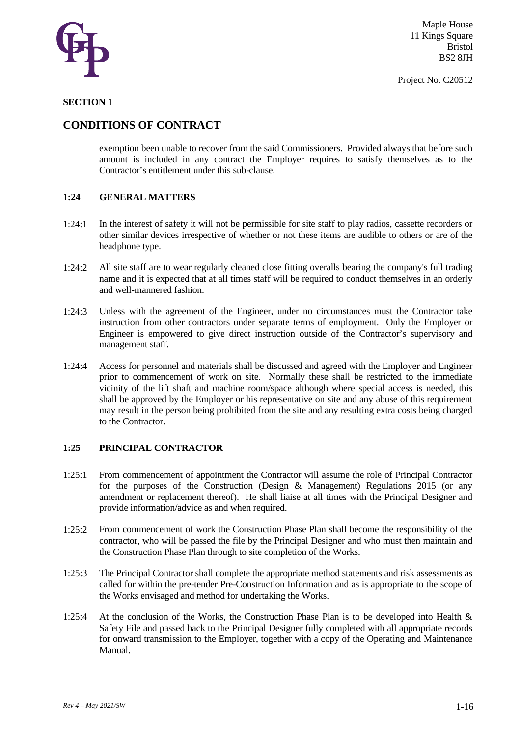

#### **SECTION 1**

### **CONDITIONS OF CONTRACT**

exemption been unable to recover from the said Commissioners. Provided always that before such amount is included in any contract the Employer requires to satisfy themselves as to the Contractor's entitlement under this sub-clause.

### **1:24 GENERAL MATTERS**

- 1:24:1 In the interest of safety it will not be permissible for site staff to play radios, cassette recorders or other similar devices irrespective of whether or not these items are audible to others or are of the headphone type.
- 1:24:2 All site staff are to wear regularly cleaned close fitting overalls bearing the company's full trading name and it is expected that at all times staff will be required to conduct themselves in an orderly and well-mannered fashion.
- 1:24:3 Unless with the agreement of the Engineer, under no circumstances must the Contractor take instruction from other contractors under separate terms of employment. Only the Employer or Engineer is empowered to give direct instruction outside of the Contractor's supervisory and management staff.
- 1:24:4 Access for personnel and materials shall be discussed and agreed with the Employer and Engineer prior to commencement of work on site. Normally these shall be restricted to the immediate vicinity of the lift shaft and machine room/space although where special access is needed, this shall be approved by the Employer or his representative on site and any abuse of this requirement may result in the person being prohibited from the site and any resulting extra costs being charged to the Contractor.

#### **1:25 PRINCIPAL CONTRACTOR**

- 1:25:1 From commencement of appointment the Contractor will assume the role of Principal Contractor for the purposes of the Construction (Design & Management) Regulations 2015 (or any amendment or replacement thereof). He shall liaise at all times with the Principal Designer and provide information/advice as and when required.
- 1:25:2 From commencement of work the Construction Phase Plan shall become the responsibility of the contractor, who will be passed the file by the Principal Designer and who must then maintain and the Construction Phase Plan through to site completion of the Works.
- 1:25:3 The Principal Contractor shall complete the appropriate method statements and risk assessments as called for within the pre-tender Pre-Construction Information and as is appropriate to the scope of the Works envisaged and method for undertaking the Works.
- 1:25:4 At the conclusion of the Works, the Construction Phase Plan is to be developed into Health & Safety File and passed back to the Principal Designer fully completed with all appropriate records for onward transmission to the Employer, together with a copy of the Operating and Maintenance Manual.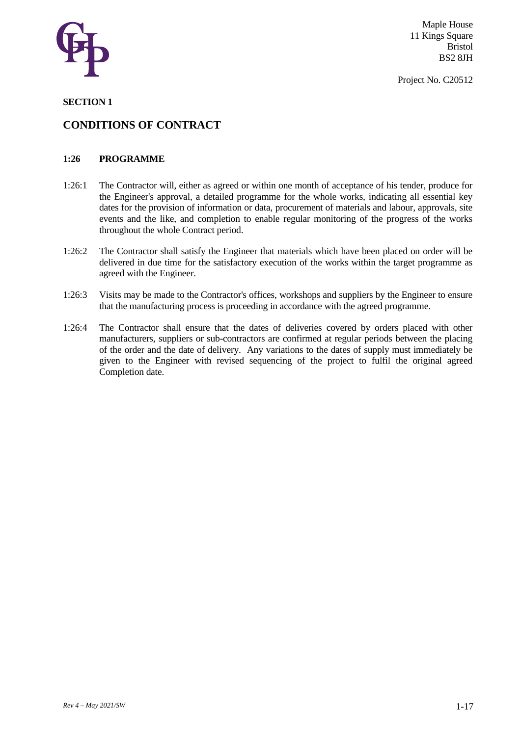

Project No. C20512

### **SECTION 1**

### **CONDITIONS OF CONTRACT**

### **1:26 PROGRAMME**

- 1:26:1 The Contractor will, either as agreed or within one month of acceptance of his tender, produce for the Engineer's approval, a detailed programme for the whole works, indicating all essential key dates for the provision of information or data, procurement of materials and labour, approvals, site events and the like, and completion to enable regular monitoring of the progress of the works throughout the whole Contract period.
- 1:26:2 The Contractor shall satisfy the Engineer that materials which have been placed on order will be delivered in due time for the satisfactory execution of the works within the target programme as agreed with the Engineer.
- 1:26:3 Visits may be made to the Contractor's offices, workshops and suppliers by the Engineer to ensure that the manufacturing process is proceeding in accordance with the agreed programme.
- 1:26:4 The Contractor shall ensure that the dates of deliveries covered by orders placed with other manufacturers, suppliers or sub-contractors are confirmed at regular periods between the placing of the order and the date of delivery. Any variations to the dates of supply must immediately be given to the Engineer with revised sequencing of the project to fulfil the original agreed Completion date.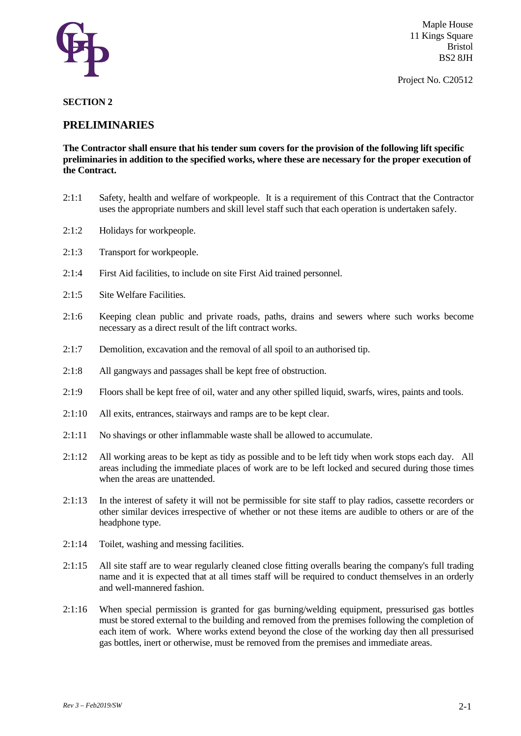

Project No. C20512

### **SECTION 2**

### **PRELIMINARIES**

**The Contractor shall ensure that his tender sum covers for the provision of the following lift specific preliminaries in addition to the specified works, where these are necessary for the proper execution of the Contract.** 

- 2:1:1 Safety, health and welfare of workpeople. It is a requirement of this Contract that the Contractor uses the appropriate numbers and skill level staff such that each operation is undertaken safely.
- 2:1:2 Holidays for workpeople.
- 2:1:3 Transport for workpeople.
- 2:1:4 First Aid facilities, to include on site First Aid trained personnel.
- 2:1:5 Site Welfare Facilities.
- 2:1:6 Keeping clean public and private roads, paths, drains and sewers where such works become necessary as a direct result of the lift contract works.
- 2:1:7 Demolition, excavation and the removal of all spoil to an authorised tip.
- 2:1:8 All gangways and passages shall be kept free of obstruction.
- 2:1:9 Floors shall be kept free of oil, water and any other spilled liquid, swarfs, wires, paints and tools.
- 2:1:10 All exits, entrances, stairways and ramps are to be kept clear.
- 2:1:11 No shavings or other inflammable waste shall be allowed to accumulate.
- 2:1:12 All working areas to be kept as tidy as possible and to be left tidy when work stops each day. All areas including the immediate places of work are to be left locked and secured during those times when the areas are unattended.
- 2:1:13 In the interest of safety it will not be permissible for site staff to play radios, cassette recorders or other similar devices irrespective of whether or not these items are audible to others or are of the headphone type.
- 2:1:14 Toilet, washing and messing facilities.
- 2:1:15 All site staff are to wear regularly cleaned close fitting overalls bearing the company's full trading name and it is expected that at all times staff will be required to conduct themselves in an orderly and well-mannered fashion.
- 2:1:16 When special permission is granted for gas burning/welding equipment, pressurised gas bottles must be stored external to the building and removed from the premises following the completion of each item of work. Where works extend beyond the close of the working day then all pressurised gas bottles, inert or otherwise, must be removed from the premises and immediate areas.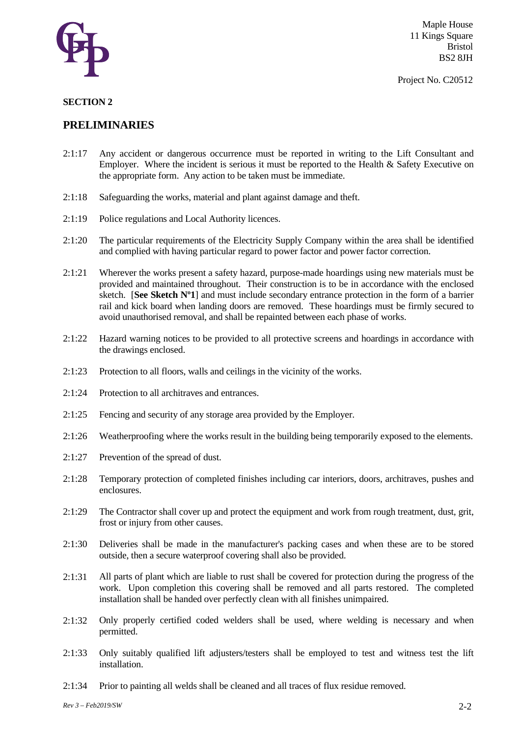

Project No. C20512

### **SECTION 2**

- 2:1:17 Any accident or dangerous occurrence must be reported in writing to the Lift Consultant and Employer. Where the incident is serious it must be reported to the Health & Safety Executive on the appropriate form. Any action to be taken must be immediate.
- 2:1:18 Safeguarding the works, material and plant against damage and theft.
- 2:1:19 Police regulations and Local Authority licences.
- 2:1:20 The particular requirements of the Electricity Supply Company within the area shall be identified and complied with having particular regard to power factor and power factor correction.
- 2:1:21 Wherever the works present a safety hazard, purpose-made hoardings using new materials must be provided and maintained throughout. Their construction is to be in accordance with the enclosed sketch. [**See Sketch Nº1**] and must include secondary entrance protection in the form of a barrier rail and kick board when landing doors are removed. These hoardings must be firmly secured to avoid unauthorised removal, and shall be repainted between each phase of works.
- 2:1:22 Hazard warning notices to be provided to all protective screens and hoardings in accordance with the drawings enclosed.
- 2:1:23 Protection to all floors, walls and ceilings in the vicinity of the works.
- 2:1:24 Protection to all architraves and entrances.
- 2:1:25 Fencing and security of any storage area provided by the Employer.
- 2:1:26 Weatherproofing where the works result in the building being temporarily exposed to the elements.
- 2:1:27 Prevention of the spread of dust.
- 2:1:28 Temporary protection of completed finishes including car interiors, doors, architraves, pushes and enclosures.
- 2:1:29 The Contractor shall cover up and protect the equipment and work from rough treatment, dust, grit, frost or injury from other causes.
- 2:1:30 Deliveries shall be made in the manufacturer's packing cases and when these are to be stored outside, then a secure waterproof covering shall also be provided.
- 2:1:31 All parts of plant which are liable to rust shall be covered for protection during the progress of the work. Upon completion this covering shall be removed and all parts restored. The completed installation shall be handed over perfectly clean with all finishes unimpaired.
- 2:1:32 Only properly certified coded welders shall be used, where welding is necessary and when permitted.
- 2:1:33 Only suitably qualified lift adjusters/testers shall be employed to test and witness test the lift installation.
- 2:1:34 Prior to painting all welds shall be cleaned and all traces of flux residue removed.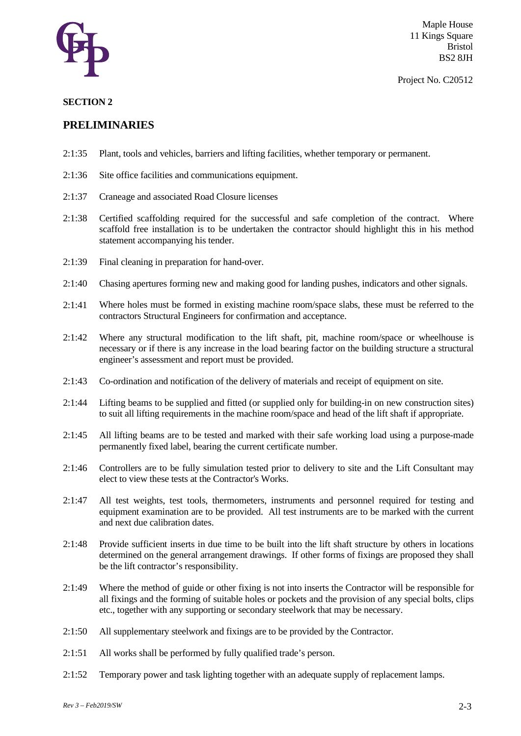

#### Project No. C20512

### **SECTION 2**

- 2:1:35 Plant, tools and vehicles, barriers and lifting facilities, whether temporary or permanent.
- 2:1:36 Site office facilities and communications equipment.
- 2:1:37 Craneage and associated Road Closure licenses
- 2:1:38 Certified scaffolding required for the successful and safe completion of the contract. Where scaffold free installation is to be undertaken the contractor should highlight this in his method statement accompanying his tender.
- 2:1:39 Final cleaning in preparation for hand-over.
- 2:1:40 Chasing apertures forming new and making good for landing pushes, indicators and other signals.
- 2:1:41 Where holes must be formed in existing machine room/space slabs, these must be referred to the contractors Structural Engineers for confirmation and acceptance.
- 2:1:42 Where any structural modification to the lift shaft, pit, machine room/space or wheelhouse is necessary or if there is any increase in the load bearing factor on the building structure a structural engineer's assessment and report must be provided.
- 2:1:43 Co-ordination and notification of the delivery of materials and receipt of equipment on site.
- 2:1:44 Lifting beams to be supplied and fitted (or supplied only for building-in on new construction sites) to suit all lifting requirements in the machine room/space and head of the lift shaft if appropriate.
- 2:1:45 All lifting beams are to be tested and marked with their safe working load using a purpose-made permanently fixed label, bearing the current certificate number.
- 2:1:46 Controllers are to be fully simulation tested prior to delivery to site and the Lift Consultant may elect to view these tests at the Contractor's Works.
- 2:1:47 All test weights, test tools, thermometers, instruments and personnel required for testing and equipment examination are to be provided. All test instruments are to be marked with the current and next due calibration dates.
- 2:1:48 Provide sufficient inserts in due time to be built into the lift shaft structure by others in locations determined on the general arrangement drawings. If other forms of fixings are proposed they shall be the lift contractor's responsibility.
- 2:1:49 Where the method of guide or other fixing is not into inserts the Contractor will be responsible for all fixings and the forming of suitable holes or pockets and the provision of any special bolts, clips etc., together with any supporting or secondary steelwork that may be necessary.
- 2:1:50 All supplementary steelwork and fixings are to be provided by the Contractor.
- 2:1:51 All works shall be performed by fully qualified trade's person.
- 2:1:52 Temporary power and task lighting together with an adequate supply of replacement lamps.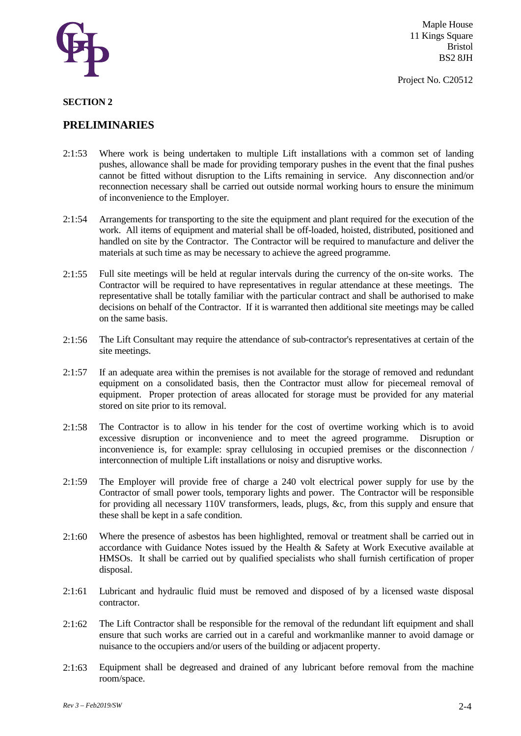

Project No. C20512

#### **SECTION 2**

- 2:1:53 Where work is being undertaken to multiple Lift installations with a common set of landing pushes, allowance shall be made for providing temporary pushes in the event that the final pushes cannot be fitted without disruption to the Lifts remaining in service. Any disconnection and/or reconnection necessary shall be carried out outside normal working hours to ensure the minimum of inconvenience to the Employer.
- 2:1:54 Arrangements for transporting to the site the equipment and plant required for the execution of the work. All items of equipment and material shall be off-loaded, hoisted, distributed, positioned and handled on site by the Contractor. The Contractor will be required to manufacture and deliver the materials at such time as may be necessary to achieve the agreed programme.
- 2:1:55 Full site meetings will be held at regular intervals during the currency of the on-site works. The Contractor will be required to have representatives in regular attendance at these meetings. The representative shall be totally familiar with the particular contract and shall be authorised to make decisions on behalf of the Contractor. If it is warranted then additional site meetings may be called on the same basis.
- 2:1:56 The Lift Consultant may require the attendance of sub-contractor's representatives at certain of the site meetings.
- 2:1:57 If an adequate area within the premises is not available for the storage of removed and redundant equipment on a consolidated basis, then the Contractor must allow for piecemeal removal of equipment. Proper protection of areas allocated for storage must be provided for any material stored on site prior to its removal.
- 2:1:58 The Contractor is to allow in his tender for the cost of overtime working which is to avoid excessive disruption or inconvenience and to meet the agreed programme. Disruption or inconvenience is, for example: spray cellulosing in occupied premises or the disconnection / interconnection of multiple Lift installations or noisy and disruptive works.
- 2:1:59 The Employer will provide free of charge a 240 volt electrical power supply for use by the Contractor of small power tools, temporary lights and power. The Contractor will be responsible for providing all necessary 110V transformers, leads, plugs, &c, from this supply and ensure that these shall be kept in a safe condition.
- 2:1:60 Where the presence of asbestos has been highlighted, removal or treatment shall be carried out in accordance with Guidance Notes issued by the Health & Safety at Work Executive available at HMSOs. It shall be carried out by qualified specialists who shall furnish certification of proper disposal.
- 2:1:61 Lubricant and hydraulic fluid must be removed and disposed of by a licensed waste disposal contractor.
- 2:1:62 The Lift Contractor shall be responsible for the removal of the redundant lift equipment and shall ensure that such works are carried out in a careful and workmanlike manner to avoid damage or nuisance to the occupiers and/or users of the building or adjacent property.
- 2:1:63 Equipment shall be degreased and drained of any lubricant before removal from the machine room/space.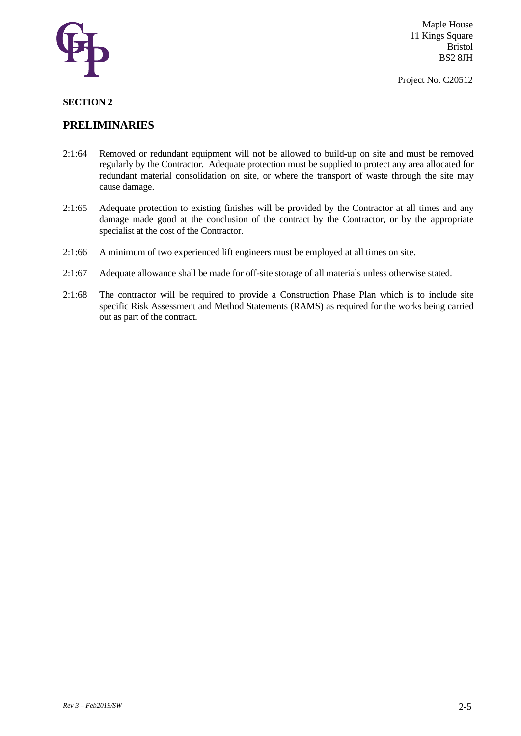

Project No. C20512

### **SECTION 2**

- 2:1:64 Removed or redundant equipment will not be allowed to build-up on site and must be removed regularly by the Contractor. Adequate protection must be supplied to protect any area allocated for redundant material consolidation on site, or where the transport of waste through the site may cause damage.
- 2:1:65 Adequate protection to existing finishes will be provided by the Contractor at all times and any damage made good at the conclusion of the contract by the Contractor, or by the appropriate specialist at the cost of the Contractor.
- 2:1:66 A minimum of two experienced lift engineers must be employed at all times on site.
- 2:1:67 Adequate allowance shall be made for off-site storage of all materials unless otherwise stated.
- 2:1:68 The contractor will be required to provide a Construction Phase Plan which is to include site specific Risk Assessment and Method Statements (RAMS) as required for the works being carried out as part of the contract.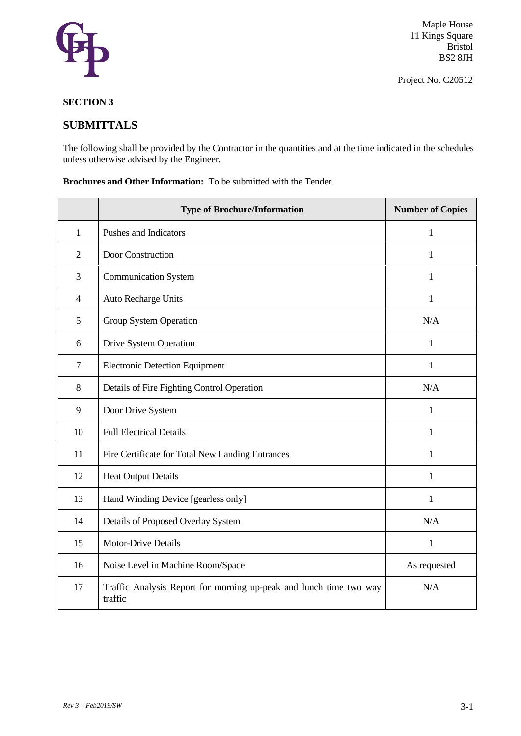

Project No. C20512

### **SECTION 3**

### **SUBMITTALS**

The following shall be provided by the Contractor in the quantities and at the time indicated in the schedules unless otherwise advised by the Engineer.

**Brochures and Other Information:** To be submitted with the Tender.

|                | <b>Type of Brochure/Information</b>                                           | <b>Number of Copies</b> |
|----------------|-------------------------------------------------------------------------------|-------------------------|
| 1              | Pushes and Indicators                                                         | 1                       |
| $\overline{2}$ | Door Construction                                                             | 1                       |
| 3              | <b>Communication System</b>                                                   | $\mathbf{1}$            |
| $\overline{4}$ | Auto Recharge Units                                                           | $\mathbf{1}$            |
| 5              | Group System Operation                                                        | N/A                     |
| 6              | Drive System Operation                                                        | 1                       |
| $\tau$         | <b>Electronic Detection Equipment</b>                                         | $\mathbf{1}$            |
| 8              | Details of Fire Fighting Control Operation                                    | N/A                     |
| 9              | Door Drive System                                                             | 1                       |
| 10             | <b>Full Electrical Details</b>                                                | 1                       |
| 11             | Fire Certificate for Total New Landing Entrances                              | 1                       |
| 12             | <b>Heat Output Details</b>                                                    | 1                       |
| 13             | Hand Winding Device [gearless only]                                           | 1                       |
| 14             | Details of Proposed Overlay System                                            | N/A                     |
| 15             | <b>Motor-Drive Details</b>                                                    | $\mathbf{1}$            |
| 16             | Noise Level in Machine Room/Space                                             | As requested            |
| 17             | Traffic Analysis Report for morning up-peak and lunch time two way<br>traffic | N/A                     |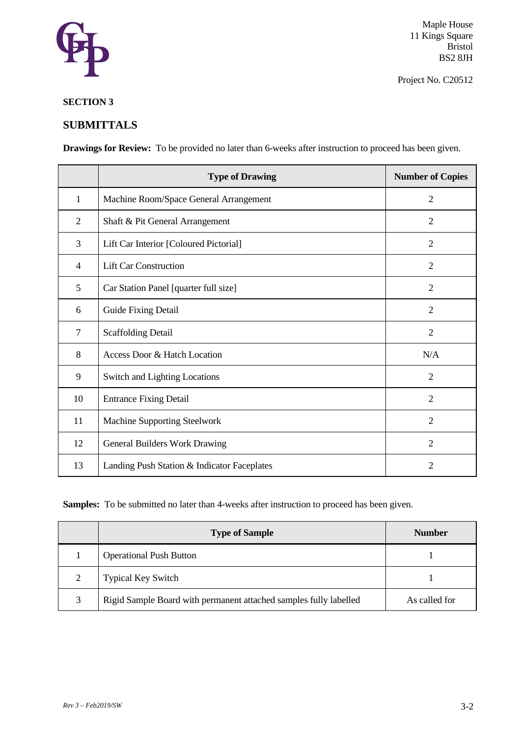

Project No. C20512

### **SECTION 3**

### **SUBMITTALS**

**Drawings for Review:** To be provided no later than 6-weeks after instruction to proceed has been given.

|                | <b>Type of Drawing</b>                      | <b>Number of Copies</b> |
|----------------|---------------------------------------------|-------------------------|
| $\mathbf{1}$   | Machine Room/Space General Arrangement      | $\overline{2}$          |
| $\overline{2}$ | Shaft & Pit General Arrangement             | $\overline{2}$          |
| 3              | Lift Car Interior [Coloured Pictorial]      | $\overline{2}$          |
| 4              | <b>Lift Car Construction</b>                | $\overline{2}$          |
| 5              | Car Station Panel [quarter full size]       | $\overline{2}$          |
| 6              | Guide Fixing Detail                         | $\overline{2}$          |
| $\overline{7}$ | <b>Scaffolding Detail</b>                   | $\overline{2}$          |
| 8              | Access Door & Hatch Location                | N/A                     |
| 9              | Switch and Lighting Locations               | $\overline{2}$          |
| 10             | <b>Entrance Fixing Detail</b>               | $\overline{2}$          |
| 11             | Machine Supporting Steelwork                | $\overline{2}$          |
| 12             | General Builders Work Drawing               | $\overline{2}$          |
| 13             | Landing Push Station & Indicator Faceplates | 2                       |

Samples: To be submitted no later than 4-weeks after instruction to proceed has been given.

|   | <b>Type of Sample</b>                                             | <b>Number</b> |
|---|-------------------------------------------------------------------|---------------|
|   | <b>Operational Push Button</b>                                    |               |
| ↑ | <b>Typical Key Switch</b>                                         |               |
| 3 | Rigid Sample Board with permanent attached samples fully labelled | As called for |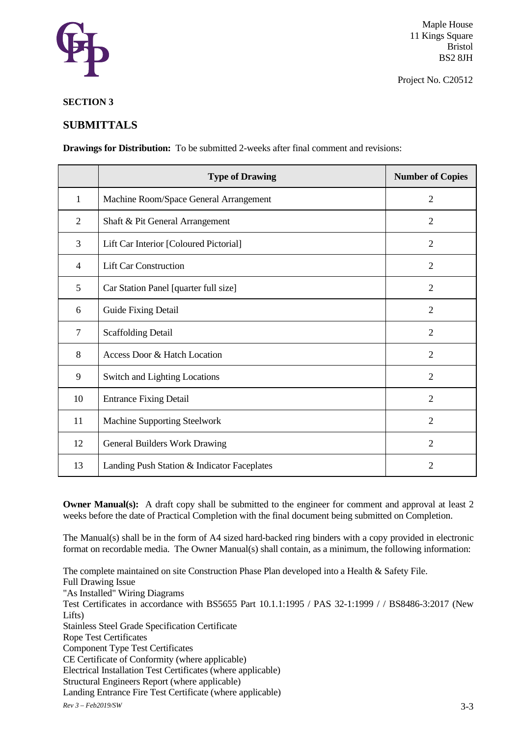

Project No. C20512

### **SECTION 3**

### **SUBMITTALS**

**Drawings for Distribution:** To be submitted 2-weeks after final comment and revisions:

|    | <b>Type of Drawing</b>                      | <b>Number of Copies</b> |
|----|---------------------------------------------|-------------------------|
| 1  | Machine Room/Space General Arrangement      | $\overline{2}$          |
| 2  | Shaft & Pit General Arrangement             | 2                       |
| 3  | Lift Car Interior [Coloured Pictorial]      | $\overline{2}$          |
| 4  | <b>Lift Car Construction</b>                | $\overline{2}$          |
| 5  | Car Station Panel [quarter full size]       | $\overline{2}$          |
| 6  | <b>Guide Fixing Detail</b>                  | $\overline{2}$          |
| 7  | <b>Scaffolding Detail</b>                   | $\overline{2}$          |
| 8  | Access Door & Hatch Location                | 2                       |
| 9  | Switch and Lighting Locations               | $\overline{2}$          |
| 10 | <b>Entrance Fixing Detail</b>               | $\overline{2}$          |
| 11 | Machine Supporting Steelwork                | $\overline{2}$          |
| 12 | General Builders Work Drawing               | $\overline{2}$          |
| 13 | Landing Push Station & Indicator Faceplates | 2                       |

**Owner Manual(s):** A draft copy shall be submitted to the engineer for comment and approval at least 2 weeks before the date of Practical Completion with the final document being submitted on Completion.

The Manual(s) shall be in the form of A4 sized hard-backed ring binders with a copy provided in electronic format on recordable media. The Owner Manual(s) shall contain, as a minimum, the following information:

The complete maintained on site Construction Phase Plan developed into a Health & Safety File. Full Drawing Issue "As Installed" Wiring Diagrams Test Certificates in accordance with BS5655 Part 10.1.1:1995 / PAS 32-1:1999 / / BS8486-3:2017 (New Lifts) Stainless Steel Grade Specification Certificate Rope Test Certificates Component Type Test Certificates CE Certificate of Conformity (where applicable) Electrical Installation Test Certificates (where applicable) Structural Engineers Report (where applicable) Landing Entrance Fire Test Certificate (where applicable)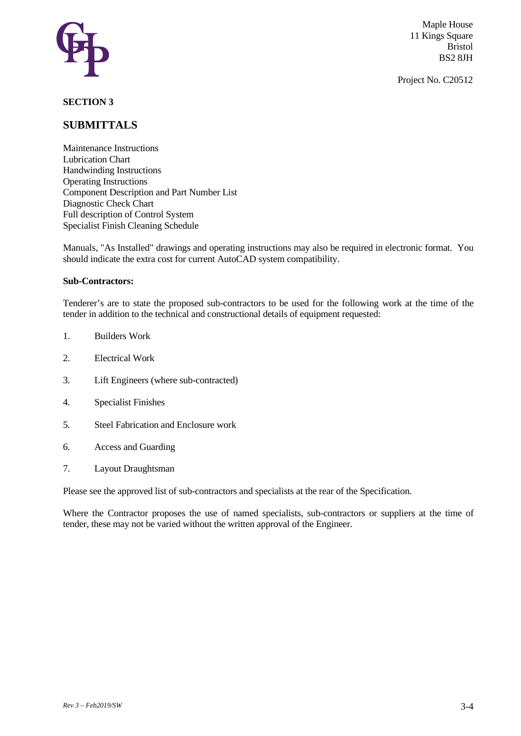

Project No. C20512

### **SECTION 3**

### **SUBMITTALS**

Maintenance Instructions Lubrication Chart Handwinding Instructions Operating Instructions Component Description and Part Number List Diagnostic Check Chart Full description of Control System Specialist Finish Cleaning Schedule

Manuals, "As Installed" drawings and operating instructions may also be required in electronic format. You should indicate the extra cost for current AutoCAD system compatibility.

#### **Sub-Contractors:**

Tenderer's are to state the proposed sub-contractors to be used for the following work at the time of the tender in addition to the technical and constructional details of equipment requested:

- 1. Builders Work
- 2. Electrical Work
- 3. Lift Engineers (where sub-contracted)
- 4. Specialist Finishes
- 5. Steel Fabrication and Enclosure work
- 6. Access and Guarding
- 7. Layout Draughtsman

Please see the approved list of sub-contractors and specialists at the rear of the Specification.

Where the Contractor proposes the use of named specialists, sub-contractors or suppliers at the time of tender, these may not be varied without the written approval of the Engineer.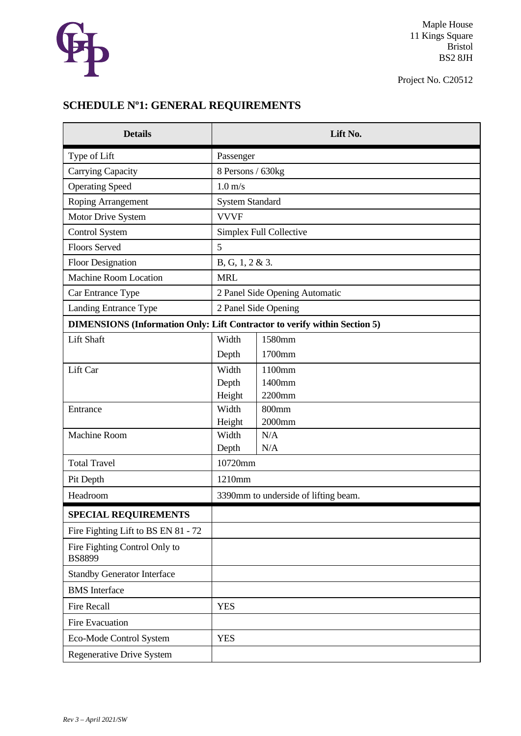

Project No. C20512

# **SCHEDULE Nº1: GENERAL REQUIREMENTS**

| <b>Details</b>                                                                   |                        | Lift No.                             |
|----------------------------------------------------------------------------------|------------------------|--------------------------------------|
| Type of Lift                                                                     | Passenger              |                                      |
| <b>Carrying Capacity</b>                                                         | 8 Persons / 630kg      |                                      |
| <b>Operating Speed</b>                                                           | $1.0 \text{ m/s}$      |                                      |
| Roping Arrangement                                                               | <b>System Standard</b> |                                      |
| Motor Drive System                                                               | <b>VVVF</b>            |                                      |
| <b>Control System</b>                                                            |                        | Simplex Full Collective              |
| <b>Floors Served</b>                                                             | 5                      |                                      |
| <b>Floor Designation</b>                                                         | B, G, 1, 2 & 3.        |                                      |
| <b>Machine Room Location</b>                                                     | <b>MRL</b>             |                                      |
| Car Entrance Type                                                                |                        | 2 Panel Side Opening Automatic       |
| Landing Entrance Type                                                            |                        | 2 Panel Side Opening                 |
| <b>DIMENSIONS (Information Only: Lift Contractor to verify within Section 5)</b> |                        |                                      |
| Lift Shaft                                                                       | Width                  | 1580mm                               |
|                                                                                  | Depth                  | 1700mm                               |
| Lift Car                                                                         | Width                  | 1100mm                               |
|                                                                                  | Depth                  | 1400mm                               |
|                                                                                  | Height<br>Width        | 2200mm<br>800mm                      |
| Entrance                                                                         | Height                 | 2000mm                               |
| <b>Machine Room</b>                                                              | Width                  | N/A                                  |
|                                                                                  | Depth                  | N/A                                  |
| <b>Total Travel</b>                                                              | 10720mm                |                                      |
| Pit Depth                                                                        | 1210mm                 |                                      |
| Headroom                                                                         |                        | 3390mm to underside of lifting beam. |
| <b>SPECIAL REQUIREMENTS</b>                                                      |                        |                                      |
| Fire Fighting Lift to BS EN 81 - 72                                              |                        |                                      |
| Fire Fighting Control Only to<br><b>BS8899</b>                                   |                        |                                      |
| <b>Standby Generator Interface</b>                                               |                        |                                      |
| <b>BMS</b> Interface                                                             |                        |                                      |
| <b>Fire Recall</b>                                                               | <b>YES</b>             |                                      |
| <b>Fire Evacuation</b>                                                           |                        |                                      |
| Eco-Mode Control System                                                          | <b>YES</b>             |                                      |
| Regenerative Drive System                                                        |                        |                                      |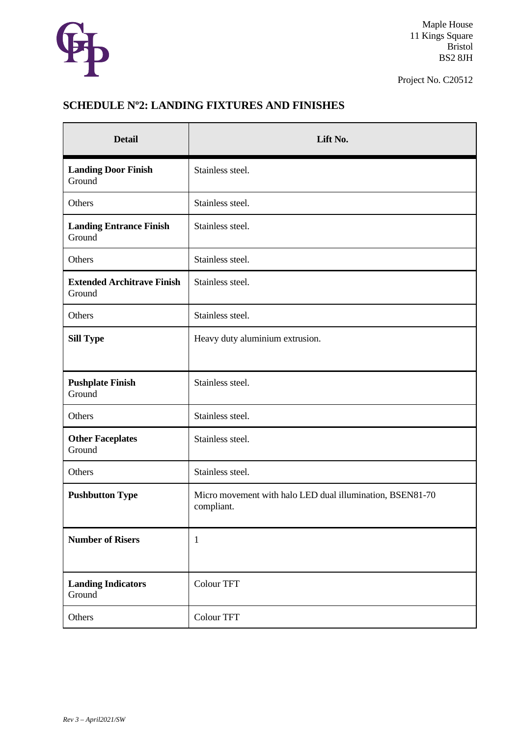

Project No. C20512

# **SCHEDULE Nº2: LANDING FIXTURES AND FINISHES**

| <b>Detail</b>                               | Lift No.                                                                |
|---------------------------------------------|-------------------------------------------------------------------------|
| <b>Landing Door Finish</b><br>Ground        | Stainless steel.                                                        |
| Others                                      | Stainless steel.                                                        |
| <b>Landing Entrance Finish</b><br>Ground    | Stainless steel.                                                        |
| Others                                      | Stainless steel.                                                        |
| <b>Extended Architrave Finish</b><br>Ground | Stainless steel.                                                        |
| Others                                      | Stainless steel.                                                        |
| <b>Sill Type</b>                            | Heavy duty aluminium extrusion.                                         |
| <b>Pushplate Finish</b><br>Ground           | Stainless steel.                                                        |
| Others                                      | Stainless steel.                                                        |
| <b>Other Faceplates</b><br>Ground           | Stainless steel.                                                        |
| Others                                      | Stainless steel.                                                        |
| <b>Pushbutton Type</b>                      | Micro movement with halo LED dual illumination, BSEN81-70<br>compliant. |
| <b>Number of Risers</b>                     | $\mathbf{1}$                                                            |
| <b>Landing Indicators</b><br>Ground         | Colour TFT                                                              |
| Others                                      | Colour TFT                                                              |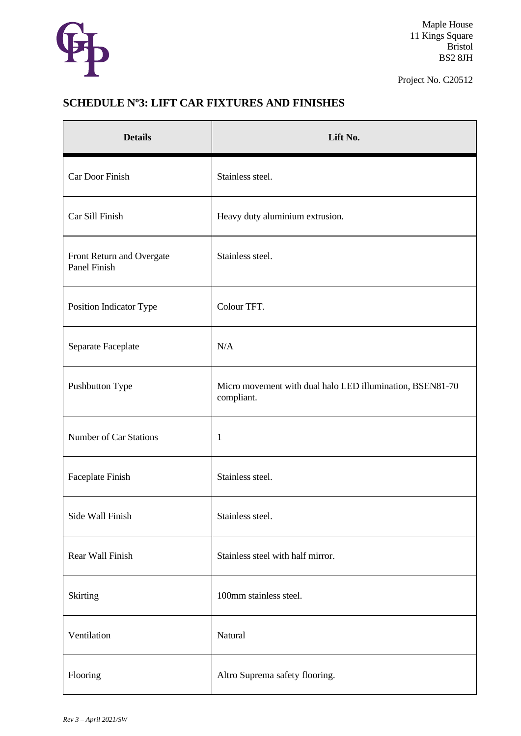

Project No. C20512

# **SCHEDULE Nº3: LIFT CAR FIXTURES AND FINISHES**

| <b>Details</b>                            | Lift No.                                                                |
|-------------------------------------------|-------------------------------------------------------------------------|
| Car Door Finish                           | Stainless steel.                                                        |
| Car Sill Finish                           | Heavy duty aluminium extrusion.                                         |
| Front Return and Overgate<br>Panel Finish | Stainless steel.                                                        |
| Position Indicator Type                   | Colour TFT.                                                             |
| Separate Faceplate                        | N/A                                                                     |
| Pushbutton Type                           | Micro movement with dual halo LED illumination, BSEN81-70<br>compliant. |
| <b>Number of Car Stations</b>             | $\mathbf{1}$                                                            |
| Faceplate Finish                          | Stainless steel.                                                        |
| Side Wall Finish                          | Stainless steel.                                                        |
| Rear Wall Finish                          | Stainless steel with half mirror.                                       |
| Skirting                                  | 100mm stainless steel.                                                  |
| Ventilation                               | Natural                                                                 |
| Flooring                                  | Altro Suprema safety flooring.                                          |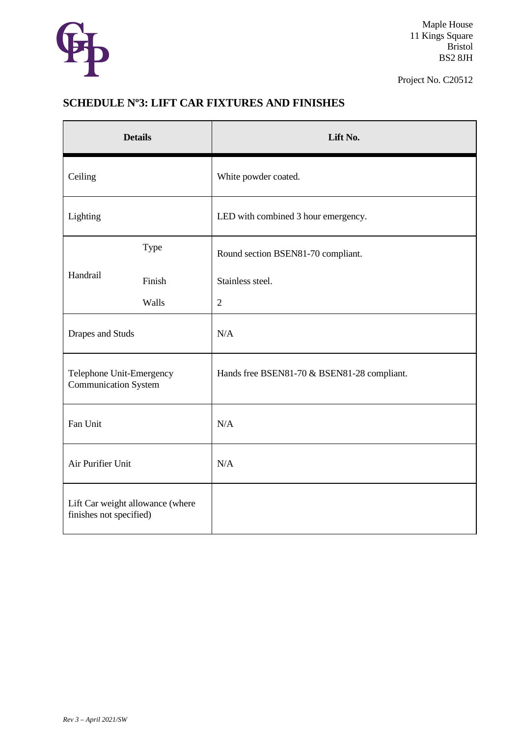

Project No. C20512

## **SCHEDULE Nº3: LIFT CAR FIXTURES AND FINISHES**

| <b>Details</b>                                              |        | Lift No.                                    |
|-------------------------------------------------------------|--------|---------------------------------------------|
| Ceiling                                                     |        | White powder coated.                        |
| Lighting                                                    |        | LED with combined 3 hour emergency.         |
| Handrail                                                    | Type   | Round section BSEN81-70 compliant.          |
|                                                             | Finish | Stainless steel.                            |
|                                                             | Walls  | $\overline{2}$                              |
| <b>Drapes and Studs</b>                                     |        | N/A                                         |
| Telephone Unit-Emergency<br><b>Communication System</b>     |        | Hands free BSEN81-70 & BSEN81-28 compliant. |
| Fan Unit                                                    |        | N/A                                         |
| Air Purifier Unit                                           |        | N/A                                         |
| Lift Car weight allowance (where<br>finishes not specified) |        |                                             |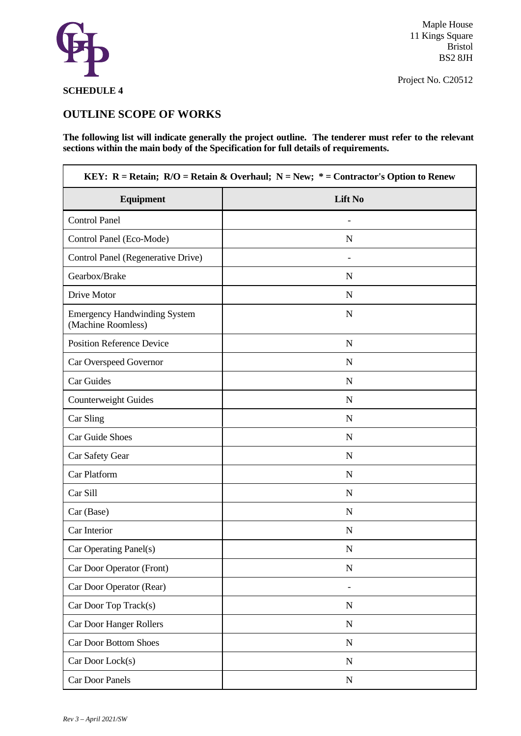

Project No. C20512

## **SCHEDULE 4**

## **OUTLINE SCOPE OF WORKS**

**The following list will indicate generally the project outline. The tenderer must refer to the relevant sections within the main body of the Specification for full details of requirements.** 

| KEY: R = Retain; $R/O = Retain & Overhaul; N = New; * = Contractor's Option to Renew$ |                |  |  |
|---------------------------------------------------------------------------------------|----------------|--|--|
| <b>Equipment</b>                                                                      | <b>Lift No</b> |  |  |
| <b>Control Panel</b>                                                                  |                |  |  |
| Control Panel (Eco-Mode)                                                              | $\mathbf N$    |  |  |
| Control Panel (Regenerative Drive)                                                    |                |  |  |
| Gearbox/Brake                                                                         | $\mathbf N$    |  |  |
| Drive Motor                                                                           | N              |  |  |
| <b>Emergency Handwinding System</b><br>(Machine Roomless)                             | N              |  |  |
| <b>Position Reference Device</b>                                                      | N              |  |  |
| Car Overspeed Governor                                                                | N              |  |  |
| Car Guides                                                                            | $\mathbf N$    |  |  |
| Counterweight Guides                                                                  | N              |  |  |
| Car Sling                                                                             | $\mathbf N$    |  |  |
| Car Guide Shoes                                                                       | N              |  |  |
| Car Safety Gear                                                                       | N              |  |  |
| Car Platform                                                                          | N              |  |  |
| Car Sill                                                                              | N              |  |  |
| Car (Base)                                                                            | N              |  |  |
| Car Interior                                                                          | $\mathbf N$    |  |  |
| Car Operating Panel(s)                                                                | $\mathbf N$    |  |  |
| Car Door Operator (Front)                                                             | $\mathbf N$    |  |  |
| Car Door Operator (Rear)                                                              |                |  |  |
| Car Door Top Track(s)                                                                 | ${\bf N}$      |  |  |
| Car Door Hanger Rollers                                                               | $\mathbf N$    |  |  |
| <b>Car Door Bottom Shoes</b>                                                          | ${\bf N}$      |  |  |
| Car Door Lock(s)                                                                      | $\mathbf N$    |  |  |
| Car Door Panels                                                                       | ${\bf N}$      |  |  |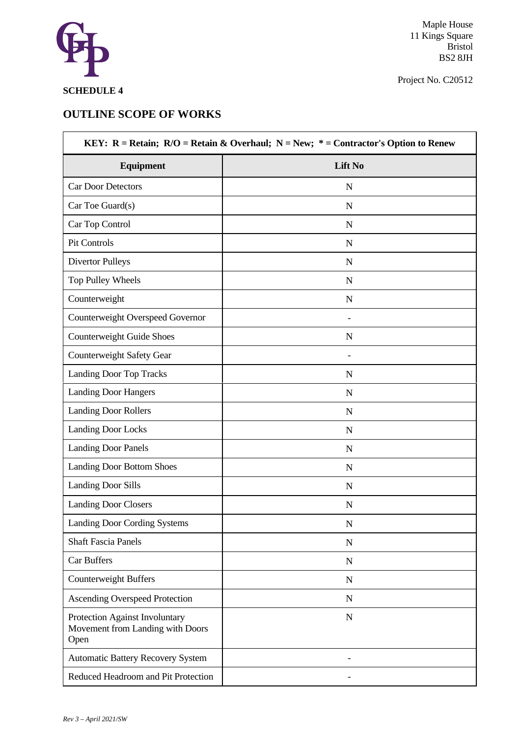

Project No. C20512

## **SCHEDULE 4**

## **OUTLINE SCOPE OF WORKS**

| Equipment                                                                  | Lift No     |
|----------------------------------------------------------------------------|-------------|
| <b>Car Door Detectors</b>                                                  | N           |
| Car Toe Guard(s)                                                           | N           |
| Car Top Control                                                            | $\mathbf N$ |
| Pit Controls                                                               | N           |
| <b>Divertor Pulleys</b>                                                    | N           |
| Top Pulley Wheels                                                          | N           |
| Counterweight                                                              | $\mathbf N$ |
| Counterweight Overspeed Governor                                           |             |
| <b>Counterweight Guide Shoes</b>                                           | $\mathbf N$ |
| Counterweight Safety Gear                                                  |             |
| <b>Landing Door Top Tracks</b>                                             | N           |
| <b>Landing Door Hangers</b>                                                | $\mathbf N$ |
| <b>Landing Door Rollers</b>                                                | $\mathbf N$ |
| <b>Landing Door Locks</b>                                                  | $\mathbf N$ |
| <b>Landing Door Panels</b>                                                 | N           |
| <b>Landing Door Bottom Shoes</b>                                           | N           |
| <b>Landing Door Sills</b>                                                  | N           |
| <b>Landing Door Closers</b>                                                | N           |
| Landing Door Cording Systems                                               | N           |
| <b>Shaft Fascia Panels</b>                                                 | $\mathbf N$ |
| <b>Car Buffers</b>                                                         | $\mathbf N$ |
| <b>Counterweight Buffers</b>                                               | $\mathbf N$ |
| <b>Ascending Overspeed Protection</b>                                      | $\mathbf N$ |
| Protection Against Involuntary<br>Movement from Landing with Doors<br>Open | $\mathbf N$ |
| <b>Automatic Battery Recovery System</b>                                   |             |
| Reduced Headroom and Pit Protection                                        |             |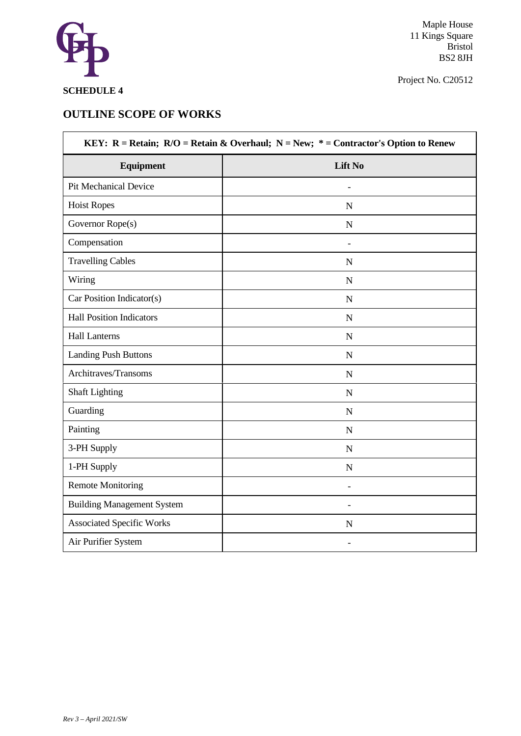

Project No. C20512

## **SCHEDULE 4**

## **OUTLINE SCOPE OF WORKS**

| KEY: R = Retain; $R/O = Retain & Overhaul; N = New; * = Contractor's Option to Renew$ |                |  |  |
|---------------------------------------------------------------------------------------|----------------|--|--|
| <b>Equipment</b>                                                                      | <b>Lift No</b> |  |  |
| <b>Pit Mechanical Device</b>                                                          |                |  |  |
| <b>Hoist Ropes</b>                                                                    | $\mathbf N$    |  |  |
| Governor Rope(s)                                                                      | $\mathbf N$    |  |  |
| Compensation                                                                          |                |  |  |
| <b>Travelling Cables</b>                                                              | $\mathbf N$    |  |  |
| Wiring                                                                                | $\mathbf N$    |  |  |
| Car Position Indicator(s)                                                             | $\mathbf N$    |  |  |
| <b>Hall Position Indicators</b>                                                       | $\mathbf N$    |  |  |
| <b>Hall Lanterns</b>                                                                  | $\mathbf N$    |  |  |
| <b>Landing Push Buttons</b>                                                           | ${\bf N}$      |  |  |
| Architraves/Transoms                                                                  | $\mathbf N$    |  |  |
| <b>Shaft Lighting</b>                                                                 | $\mathbf N$    |  |  |
| Guarding                                                                              | ${\bf N}$      |  |  |
| Painting                                                                              | $\mathbf N$    |  |  |
| 3-PH Supply                                                                           | $\mathbf N$    |  |  |
| 1-PH Supply                                                                           | ${\bf N}$      |  |  |
| <b>Remote Monitoring</b>                                                              |                |  |  |
| <b>Building Management System</b>                                                     |                |  |  |
| <b>Associated Specific Works</b>                                                      | $\mathbf N$    |  |  |
| Air Purifier System                                                                   |                |  |  |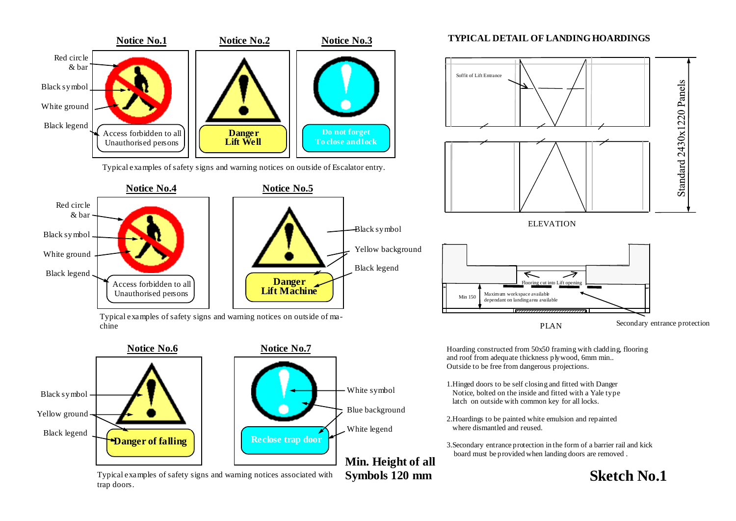

Typical examples of safety signs and warning notices on outside of Escalator entry.



Typical examples of safety signs and warning notices on outside of machine





**Symbols 120 mm** 

Typical examples of safety signs and warning notices associated with trap doors.

#### **TYPICAL DETAIL OF LANDING HOARDINGS**



Hoarding constructed from 50x50 framing with cladding, flooring and roof from adequate thickness plywood, 6mm min.. Outside to be free from dangerous projections.

- 1.Hinged doors to be self closing and fitted with Danger Notice, bolted on the inside and fitted with a Yale type latch on outside with common key for all locks.
- 2.Hoardings to be painted white emulsion and repainted where dismantled and reused.
- 3.Secondary entrance protection in the form of a barrier rail and kick board must be provided when landing doors are removed .

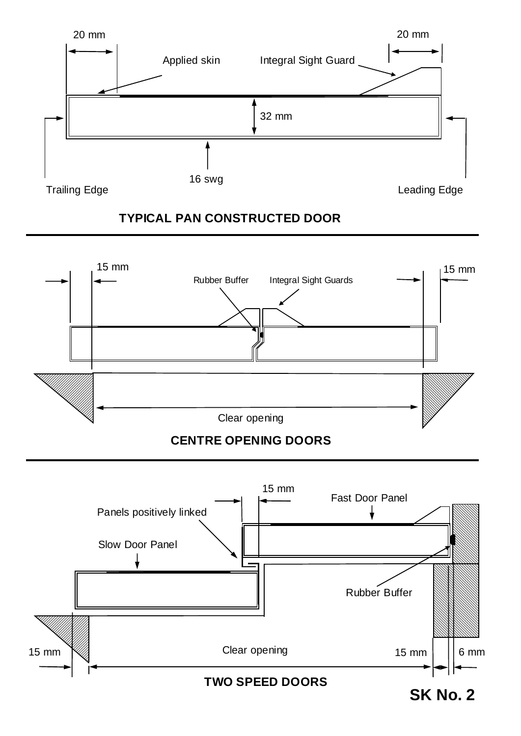

## **TYPICAL PAN CONSTRUCTED DOOR**



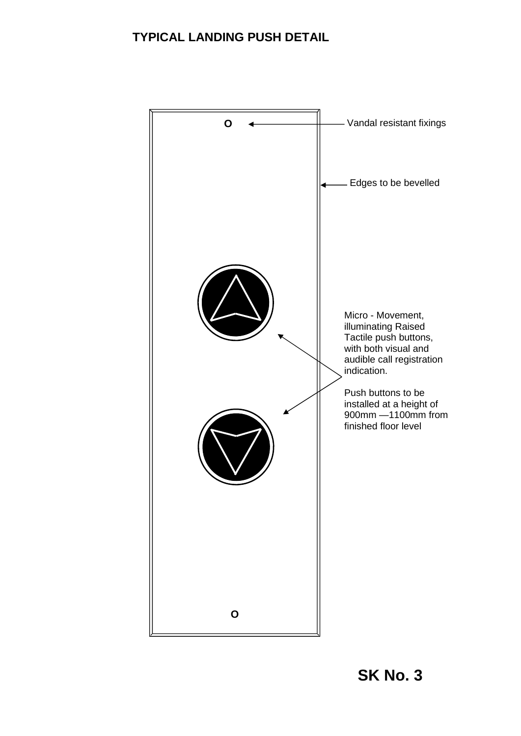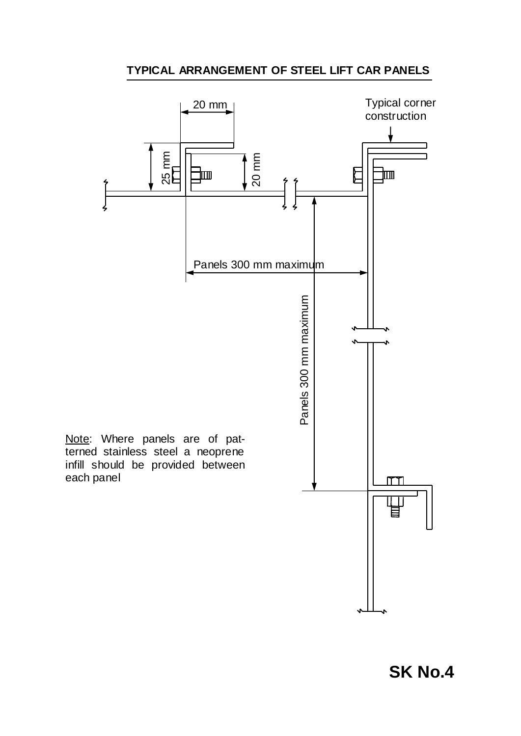## **TYPICAL ARRANGEMENT OF STEEL LIFT CAR PANELS**



**SK No.4**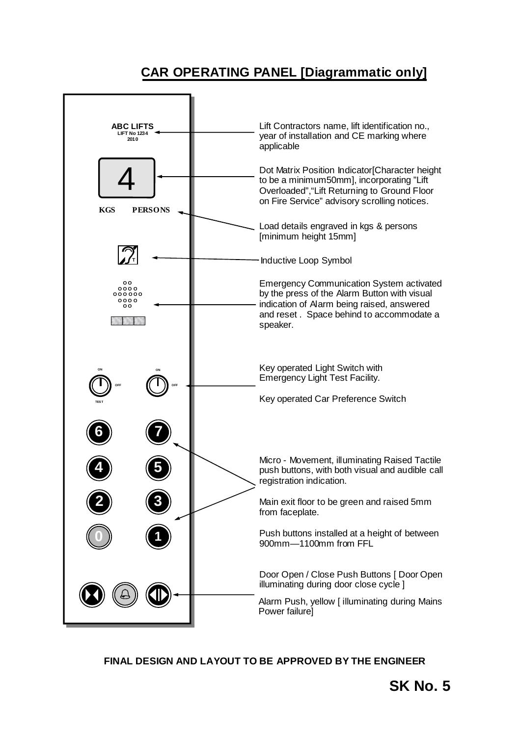# **CAR OPERATING PANEL [Diagrammatic only]**



## **FINAL DESIGN AND LAYOUT TO BE APPROVED BY THE ENGINEER**

**SK No. 5**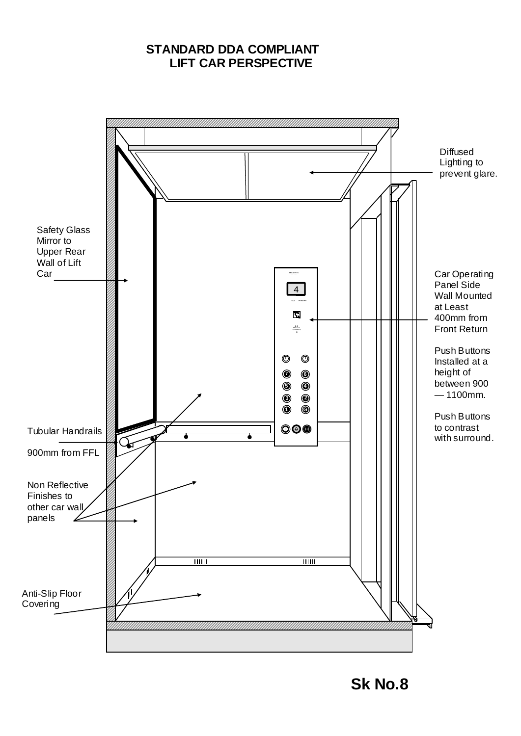## **STANDARD DDA COMPLIANT LIFT CAR PERSPECTIVE**

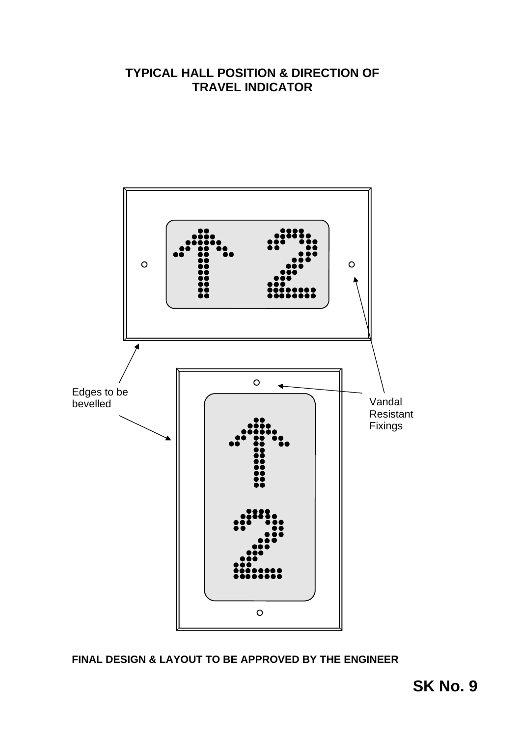## **TYPICAL HALL POSITION & DIRECTION OF TRAVEL INDICATOR**



**FINAL DESIGN & LAYOUT TO BE APPROVED BY THE ENGINEER**

**SK No. 9**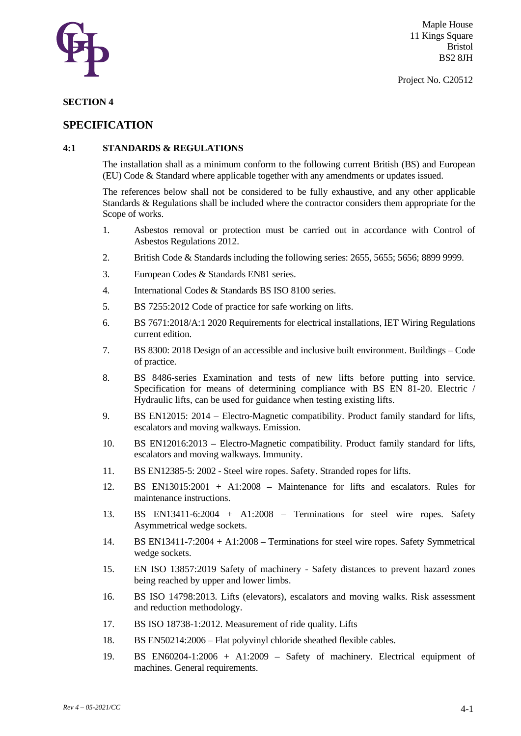

#### **SECTION 4**

### **SPECIFICATION**

#### **4:1 STANDARDS & REGULATIONS**

The installation shall as a minimum conform to the following current British (BS) and European (EU) Code & Standard where applicable together with any amendments or updates issued.

The references below shall not be considered to be fully exhaustive, and any other applicable Standards & Regulations shall be included where the contractor considers them appropriate for the Scope of works.

- 1. Asbestos removal or protection must be carried out in accordance with Control of Asbestos Regulations 2012.
- 2. British Code & Standards including the following series: 2655, 5655; 5656; 8899 9999.
- 3. European Codes & Standards EN81 series.
- 4. International Codes & Standards BS ISO 8100 series.
- 5. BS 7255:2012 Code of practice for safe working on lifts.
- 6. BS 7671:2018/A:1 2020 Requirements for electrical installations, IET Wiring Regulations current edition.
- 7. BS 8300: 2018 Design of an accessible and inclusive built environment. Buildings Code of practice.
- 8. BS 8486-series Examination and tests of new lifts before putting into service. Specification for means of determining compliance with BS EN 81-20. Electric / Hydraulic lifts, can be used for guidance when testing existing lifts.
- 9. BS EN12015: 2014 Electro-Magnetic compatibility. Product family standard for lifts, escalators and moving walkways. Emission.
- 10. BS EN12016:2013 Electro-Magnetic compatibility. Product family standard for lifts, escalators and moving walkways. Immunity.
- 11. BS EN12385-5: 2002 Steel wire ropes. Safety. Stranded ropes for lifts.
- 12. BS EN13015:2001 + A1:2008 Maintenance for lifts and escalators. Rules for maintenance instructions.
- 13. BS EN13411-6:2004 + A1:2008 Terminations for steel wire ropes. Safety Asymmetrical wedge sockets.
- 14. BS EN13411-7:2004 + A1:2008 Terminations for steel wire ropes. Safety Symmetrical wedge sockets.
- 15. EN ISO 13857:2019 Safety of machinery Safety distances to prevent hazard zones being reached by upper and lower limbs.
- 16. BS ISO 14798:2013. Lifts (elevators), escalators and moving walks. Risk assessment and reduction methodology.
- 17. BS ISO 18738-1:2012. Measurement of ride quality. Lifts
- 18. BS EN50214:2006 Flat polyvinyl chloride sheathed flexible cables.
- 19. BS EN60204-1:2006 + A1:2009 Safety of machinery. Electrical equipment of machines. General requirements.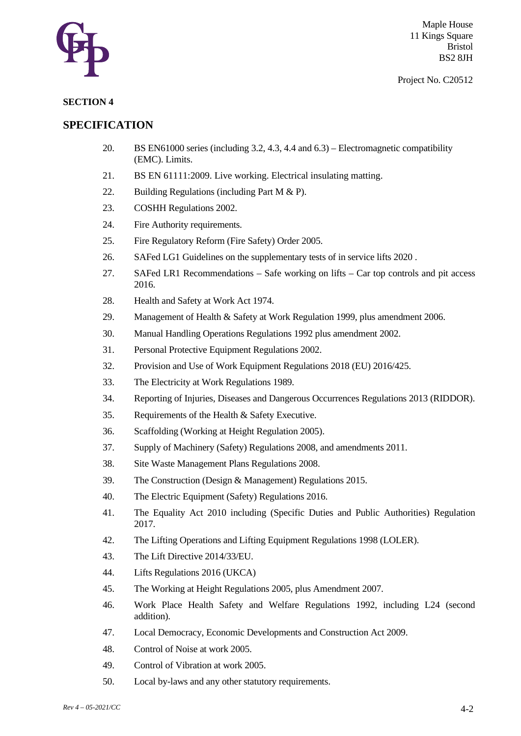

#### **SECTION 4**

## **SPECIFICATION**

- 20. BS EN61000 series (including 3.2, 4.3, 4.4 and 6.3) Electromagnetic compatibility (EMC). Limits.
- 21. BS EN 61111:2009. Live working. Electrical insulating matting.
- 22. Building Regulations (including Part M & P).
- 23. COSHH Regulations 2002.
- 24. Fire Authority requirements.
- 25. Fire Regulatory Reform (Fire Safety) Order 2005.
- 26. SAFed LG1 Guidelines on the supplementary tests of in service lifts 2020 .
- 27. SAFed LR1 Recommendations Safe working on lifts Car top controls and pit access 2016.
- 28. Health and Safety at Work Act 1974.
- 29. Management of Health & Safety at Work Regulation 1999, plus amendment 2006.
- 30. Manual Handling Operations Regulations 1992 plus amendment 2002.
- 31. Personal Protective Equipment Regulations 2002.
- 32. Provision and Use of Work Equipment Regulations 2018 (EU) 2016/425.
- 33. The Electricity at Work Regulations 1989.
- 34. Reporting of Injuries, Diseases and Dangerous Occurrences Regulations 2013 (RIDDOR).
- 35. Requirements of the Health & Safety Executive.
- 36. Scaffolding (Working at Height Regulation 2005).
- 37. Supply of Machinery (Safety) Regulations 2008, and amendments 2011.
- 38. Site Waste Management Plans Regulations 2008.
- 39. The Construction (Design & Management) Regulations 2015.
- 40. The Electric Equipment (Safety) Regulations 2016.
- 41. The Equality Act 2010 including (Specific Duties and Public Authorities) Regulation 2017.
- 42. The Lifting Operations and Lifting Equipment Regulations 1998 (LOLER).
- 43. The Lift Directive 2014/33/EU.
- 44. Lifts Regulations 2016 (UKCA)
- 45. The Working at Height Regulations 2005, plus Amendment 2007.
- 46. Work Place Health Safety and Welfare Regulations 1992, including L24 (second addition).
- 47. Local Democracy, Economic Developments and Construction Act 2009.
- 48. Control of Noise at work 2005.
- 49. Control of Vibration at work 2005.
- 50. Local by-laws and any other statutory requirements.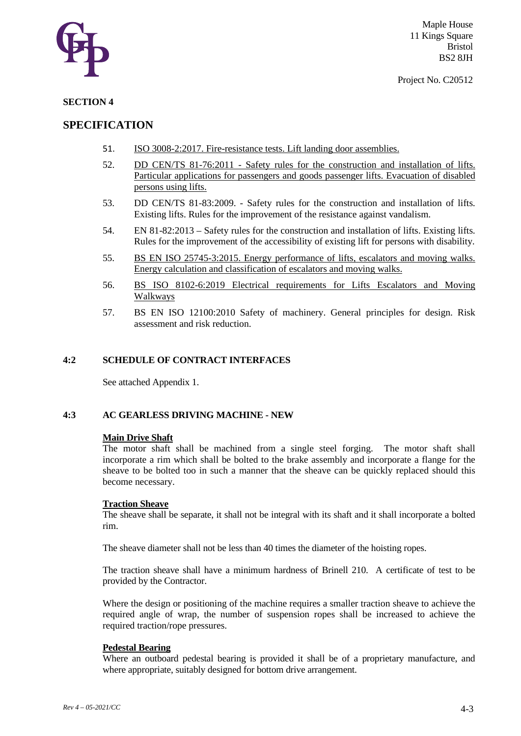

#### **SECTION 4**

## **SPECIFICATION**

- 51. ISO 3008-2:2017. Fire-resistance tests. Lift landing door assemblies.
- 52. DD CEN/TS 81-76:2011 Safety rules for the construction and installation of lifts. Particular applications for passengers and goods passenger lifts. Evacuation of disabled persons using lifts.
- 53. DD CEN/TS 81-83:2009. Safety rules for the construction and installation of lifts. Existing lifts. Rules for the improvement of the resistance against vandalism.
- 54. EN 81-82:2013 Safety rules for the construction and installation of lifts. Existing lifts. Rules for the improvement of the accessibility of existing lift for persons with disability.
- 55. BS EN ISO 25745-3:2015. Energy performance of lifts, escalators and moving walks. Energy calculation and classification of escalators and moving walks.
- 56. BS ISO 8102-6:2019 Electrical requirements for Lifts Escalators and Moving Walkways
- 57. BS EN ISO 12100:2010 Safety of machinery. General principles for design. Risk assessment and risk reduction.

#### **4:2 SCHEDULE OF CONTRACT INTERFACES**

See attached Appendix 1.

#### **4:3 AC GEARLESS DRIVING MACHINE - NEW**

#### **Main Drive Shaft**

The motor shaft shall be machined from a single steel forging. The motor shaft shall incorporate a rim which shall be bolted to the brake assembly and incorporate a flange for the sheave to be bolted too in such a manner that the sheave can be quickly replaced should this become necessary.

#### **Traction Sheave**

The sheave shall be separate, it shall not be integral with its shaft and it shall incorporate a bolted rim.

The sheave diameter shall not be less than 40 times the diameter of the hoisting ropes.

The traction sheave shall have a minimum hardness of Brinell 210. A certificate of test to be provided by the Contractor.

Where the design or positioning of the machine requires a smaller traction sheave to achieve the required angle of wrap, the number of suspension ropes shall be increased to achieve the required traction/rope pressures.

#### **Pedestal Bearing**

Where an outboard pedestal bearing is provided it shall be of a proprietary manufacture, and where appropriate, suitably designed for bottom drive arrangement.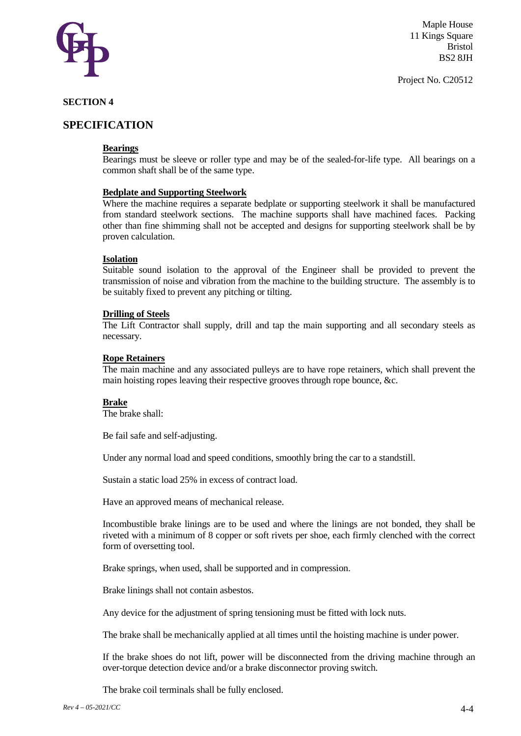

Project No. C20512

#### **SECTION 4**

## **SPECIFICATION**

#### **Bearings**

Bearings must be sleeve or roller type and may be of the sealed-for-life type. All bearings on a common shaft shall be of the same type.

#### **Bedplate and Supporting Steelwork**

Where the machine requires a separate bedplate or supporting steelwork it shall be manufactured from standard steelwork sections. The machine supports shall have machined faces. Packing other than fine shimming shall not be accepted and designs for supporting steelwork shall be by proven calculation.

#### **Isolation**

Suitable sound isolation to the approval of the Engineer shall be provided to prevent the transmission of noise and vibration from the machine to the building structure. The assembly is to be suitably fixed to prevent any pitching or tilting.

#### **Drilling of Steels**

The Lift Contractor shall supply, drill and tap the main supporting and all secondary steels as necessary.

#### **Rope Retainers**

The main machine and any associated pulleys are to have rope retainers, which shall prevent the main hoisting ropes leaving their respective grooves through rope bounce, &c.

#### **Brake**

The brake shall:

Be fail safe and self-adjusting.

Under any normal load and speed conditions, smoothly bring the car to a standstill.

Sustain a static load 25% in excess of contract load.

Have an approved means of mechanical release.

Incombustible brake linings are to be used and where the linings are not bonded, they shall be riveted with a minimum of 8 copper or soft rivets per shoe, each firmly clenched with the correct form of oversetting tool.

Brake springs, when used, shall be supported and in compression.

Brake linings shall not contain asbestos.

Any device for the adjustment of spring tensioning must be fitted with lock nuts.

The brake shall be mechanically applied at all times until the hoisting machine is under power.

If the brake shoes do not lift, power will be disconnected from the driving machine through an over-torque detection device and/or a brake disconnector proving switch.

The brake coil terminals shall be fully enclosed.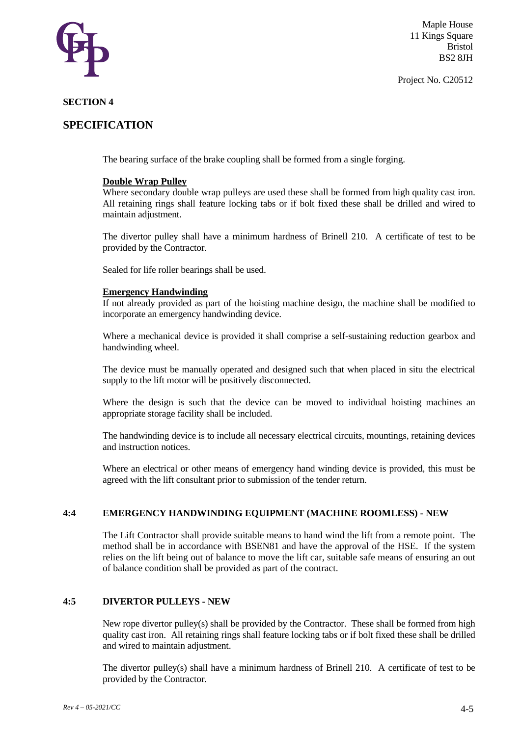

Project No. C20512

#### **SECTION 4**

## **SPECIFICATION**

The bearing surface of the brake coupling shall be formed from a single forging.

#### **Double Wrap Pulley**

Where secondary double wrap pulleys are used these shall be formed from high quality cast iron. All retaining rings shall feature locking tabs or if bolt fixed these shall be drilled and wired to maintain adjustment.

The divertor pulley shall have a minimum hardness of Brinell 210. A certificate of test to be provided by the Contractor.

Sealed for life roller bearings shall be used.

#### **Emergency Handwinding**

If not already provided as part of the hoisting machine design, the machine shall be modified to incorporate an emergency handwinding device.

Where a mechanical device is provided it shall comprise a self-sustaining reduction gearbox and handwinding wheel.

The device must be manually operated and designed such that when placed in situ the electrical supply to the lift motor will be positively disconnected.

Where the design is such that the device can be moved to individual hoisting machines an appropriate storage facility shall be included.

The handwinding device is to include all necessary electrical circuits, mountings, retaining devices and instruction notices.

Where an electrical or other means of emergency hand winding device is provided, this must be agreed with the lift consultant prior to submission of the tender return.

#### **4:4 EMERGENCY HANDWINDING EQUIPMENT (MACHINE ROOMLESS) - NEW**

The Lift Contractor shall provide suitable means to hand wind the lift from a remote point. The method shall be in accordance with BSEN81 and have the approval of the HSE. If the system relies on the lift being out of balance to move the lift car, suitable safe means of ensuring an out of balance condition shall be provided as part of the contract.

#### **4:5 DIVERTOR PULLEYS - NEW**

New rope divertor pulley(s) shall be provided by the Contractor. These shall be formed from high quality cast iron. All retaining rings shall feature locking tabs or if bolt fixed these shall be drilled and wired to maintain adjustment.

The divertor pulley(s) shall have a minimum hardness of Brinell 210. A certificate of test to be provided by the Contractor.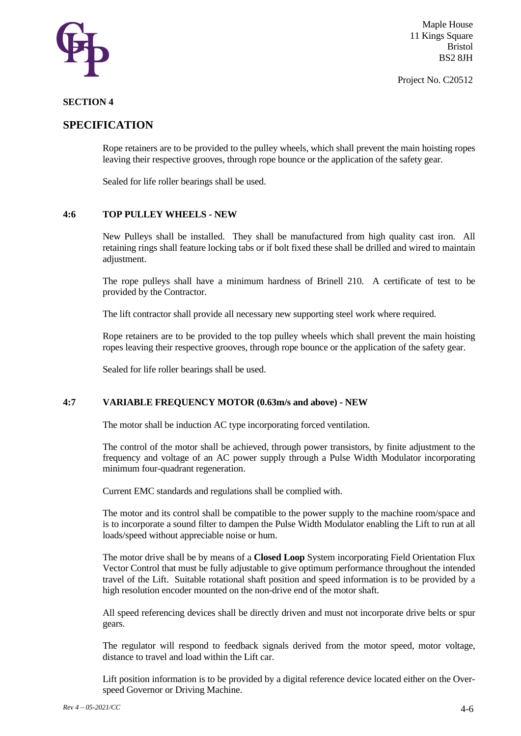

Project No. C20512

#### **SECTION 4**

## **SPECIFICATION**

Rope retainers are to be provided to the pulley wheels, which shall prevent the main hoisting ropes leaving their respective grooves, through rope bounce or the application of the safety gear.

Sealed for life roller bearings shall be used.

#### **4:6 TOP PULLEY WHEELS - NEW**

New Pulleys shall be installed. They shall be manufactured from high quality cast iron. All retaining rings shall feature locking tabs or if bolt fixed these shall be drilled and wired to maintain adjustment.

The rope pulleys shall have a minimum hardness of Brinell 210. A certificate of test to be provided by the Contractor.

The lift contractor shall provide all necessary new supporting steel work where required.

Rope retainers are to be provided to the top pulley wheels which shall prevent the main hoisting ropes leaving their respective grooves, through rope bounce or the application of the safety gear.

Sealed for life roller bearings shall be used.

#### **4:7 VARIABLE FREQUENCY MOTOR (0.63m/s and above) - NEW**

The motor shall be induction AC type incorporating forced ventilation.

The control of the motor shall be achieved, through power transistors, by finite adjustment to the frequency and voltage of an AC power supply through a Pulse Width Modulator incorporating minimum four-quadrant regeneration.

Current EMC standards and regulations shall be complied with.

The motor and its control shall be compatible to the power supply to the machine room/space and is to incorporate a sound filter to dampen the Pulse Width Modulator enabling the Lift to run at all loads/speed without appreciable noise or hum.

The motor drive shall be by means of a **Closed Loop** System incorporating Field Orientation Flux Vector Control that must be fully adjustable to give optimum performance throughout the intended travel of the Lift. Suitable rotational shaft position and speed information is to be provided by a high resolution encoder mounted on the non-drive end of the motor shaft.

All speed referencing devices shall be directly driven and must not incorporate drive belts or spur gears.

The regulator will respond to feedback signals derived from the motor speed, motor voltage, distance to travel and load within the Lift car.

Lift position information is to be provided by a digital reference device located either on the Overspeed Governor or Driving Machine.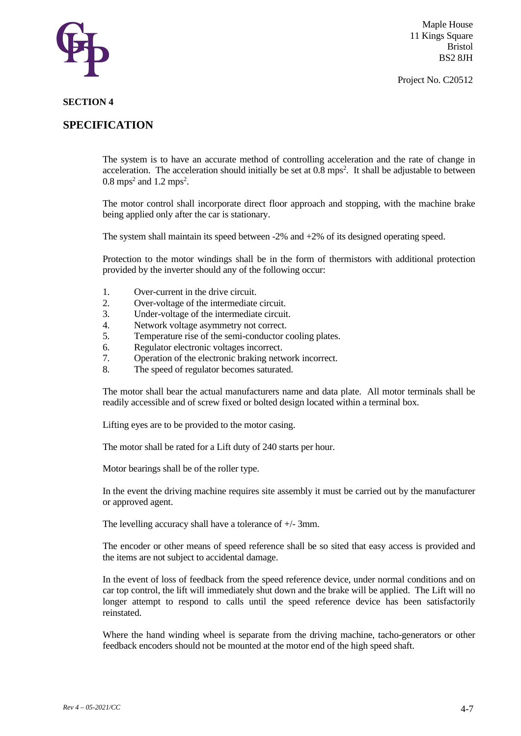

Project No. C20512

#### **SECTION 4**

## **SPECIFICATION**

The system is to have an accurate method of controlling acceleration and the rate of change in acceleration. The acceleration should initially be set at 0.8 mps<sup>2</sup>. It shall be adjustable to between  $0.8 \text{ mps}^2$  and  $1.2 \text{ mps}^2$ .

The motor control shall incorporate direct floor approach and stopping, with the machine brake being applied only after the car is stationary.

The system shall maintain its speed between -2% and +2% of its designed operating speed.

Protection to the motor windings shall be in the form of thermistors with additional protection provided by the inverter should any of the following occur:

- 1. Over-current in the drive circuit.
- 2. Over-voltage of the intermediate circuit.
- 3. Under-voltage of the intermediate circuit.
- 4. Network voltage asymmetry not correct.
- 5. Temperature rise of the semi-conductor cooling plates.
- 6. Regulator electronic voltages incorrect.
- 7. Operation of the electronic braking network incorrect.
- 8. The speed of regulator becomes saturated.

The motor shall bear the actual manufacturers name and data plate. All motor terminals shall be readily accessible and of screw fixed or bolted design located within a terminal box.

Lifting eyes are to be provided to the motor casing.

The motor shall be rated for a Lift duty of 240 starts per hour.

Motor bearings shall be of the roller type.

In the event the driving machine requires site assembly it must be carried out by the manufacturer or approved agent.

The levelling accuracy shall have a tolerance of +/- 3mm.

The encoder or other means of speed reference shall be so sited that easy access is provided and the items are not subject to accidental damage.

In the event of loss of feedback from the speed reference device, under normal conditions and on car top control, the lift will immediately shut down and the brake will be applied. The Lift will no longer attempt to respond to calls until the speed reference device has been satisfactorily reinstated.

Where the hand winding wheel is separate from the driving machine, tacho-generators or other feedback encoders should not be mounted at the motor end of the high speed shaft.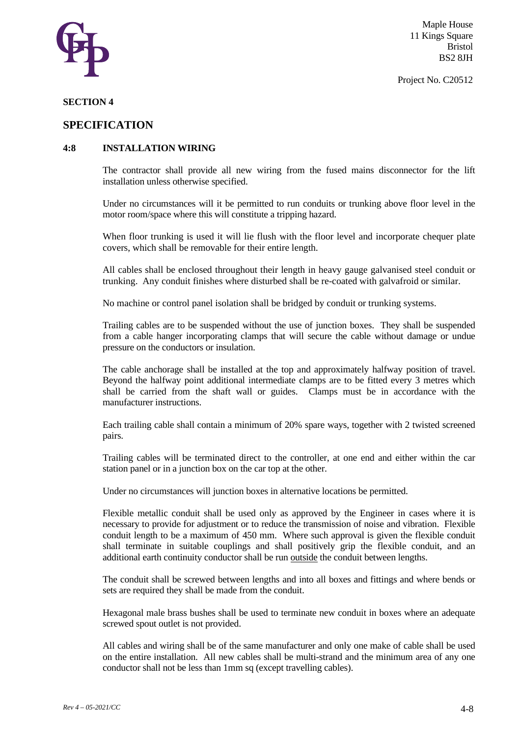

#### **SECTION 4**

### **SPECIFICATION**

#### **4:8 INSTALLATION WIRING**

The contractor shall provide all new wiring from the fused mains disconnector for the lift installation unless otherwise specified.

Under no circumstances will it be permitted to run conduits or trunking above floor level in the motor room/space where this will constitute a tripping hazard.

When floor trunking is used it will lie flush with the floor level and incorporate chequer plate covers, which shall be removable for their entire length.

All cables shall be enclosed throughout their length in heavy gauge galvanised steel conduit or trunking. Any conduit finishes where disturbed shall be re-coated with galvafroid or similar.

No machine or control panel isolation shall be bridged by conduit or trunking systems.

Trailing cables are to be suspended without the use of junction boxes. They shall be suspended from a cable hanger incorporating clamps that will secure the cable without damage or undue pressure on the conductors or insulation.

The cable anchorage shall be installed at the top and approximately halfway position of travel. Beyond the halfway point additional intermediate clamps are to be fitted every 3 metres which shall be carried from the shaft wall or guides. Clamps must be in accordance with the manufacturer instructions.

Each trailing cable shall contain a minimum of 20% spare ways, together with 2 twisted screened pairs.

Trailing cables will be terminated direct to the controller, at one end and either within the car station panel or in a junction box on the car top at the other.

Under no circumstances will junction boxes in alternative locations be permitted.

Flexible metallic conduit shall be used only as approved by the Engineer in cases where it is necessary to provide for adjustment or to reduce the transmission of noise and vibration. Flexible conduit length to be a maximum of 450 mm. Where such approval is given the flexible conduit shall terminate in suitable couplings and shall positively grip the flexible conduit, and an additional earth continuity conductor shall be run outside the conduit between lengths.

The conduit shall be screwed between lengths and into all boxes and fittings and where bends or sets are required they shall be made from the conduit.

Hexagonal male brass bushes shall be used to terminate new conduit in boxes where an adequate screwed spout outlet is not provided.

All cables and wiring shall be of the same manufacturer and only one make of cable shall be used on the entire installation. All new cables shall be multi-strand and the minimum area of any one conductor shall not be less than 1mm sq (except travelling cables).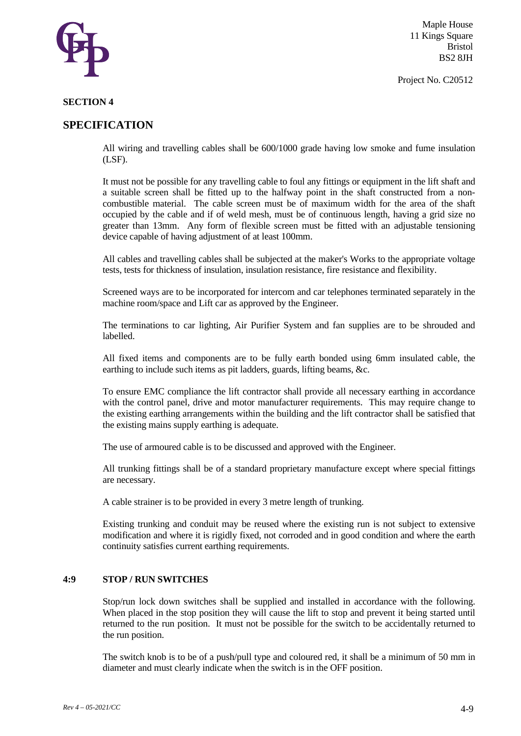

Project No. C20512

#### **SECTION 4**

### **SPECIFICATION**

All wiring and travelling cables shall be 600/1000 grade having low smoke and fume insulation (LSF).

It must not be possible for any travelling cable to foul any fittings or equipment in the lift shaft and a suitable screen shall be fitted up to the halfway point in the shaft constructed from a noncombustible material. The cable screen must be of maximum width for the area of the shaft occupied by the cable and if of weld mesh, must be of continuous length, having a grid size no greater than 13mm. Any form of flexible screen must be fitted with an adjustable tensioning device capable of having adjustment of at least 100mm.

All cables and travelling cables shall be subjected at the maker's Works to the appropriate voltage tests, tests for thickness of insulation, insulation resistance, fire resistance and flexibility.

Screened ways are to be incorporated for intercom and car telephones terminated separately in the machine room/space and Lift car as approved by the Engineer.

The terminations to car lighting, Air Purifier System and fan supplies are to be shrouded and labelled.

All fixed items and components are to be fully earth bonded using 6mm insulated cable, the earthing to include such items as pit ladders, guards, lifting beams, &c.

To ensure EMC compliance the lift contractor shall provide all necessary earthing in accordance with the control panel, drive and motor manufacturer requirements. This may require change to the existing earthing arrangements within the building and the lift contractor shall be satisfied that the existing mains supply earthing is adequate.

The use of armoured cable is to be discussed and approved with the Engineer.

All trunking fittings shall be of a standard proprietary manufacture except where special fittings are necessary.

A cable strainer is to be provided in every 3 metre length of trunking.

Existing trunking and conduit may be reused where the existing run is not subject to extensive modification and where it is rigidly fixed, not corroded and in good condition and where the earth continuity satisfies current earthing requirements.

#### **4:9 STOP / RUN SWITCHES**

Stop/run lock down switches shall be supplied and installed in accordance with the following. When placed in the stop position they will cause the lift to stop and prevent it being started until returned to the run position. It must not be possible for the switch to be accidentally returned to the run position.

The switch knob is to be of a push/pull type and coloured red, it shall be a minimum of 50 mm in diameter and must clearly indicate when the switch is in the OFF position.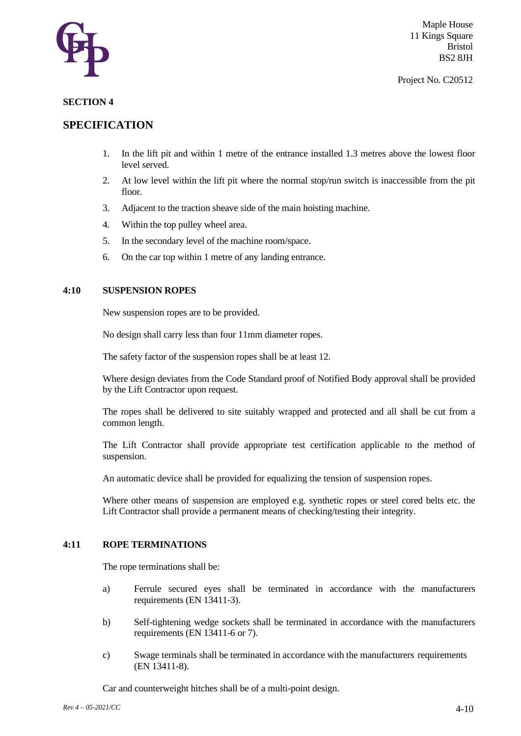

#### Project No. C20512

#### **SECTION 4**

## **SPECIFICATION**

- 1. In the lift pit and within 1 metre of the entrance installed 1.3 metres above the lowest floor level served.
- 2. At low level within the lift pit where the normal stop/run switch is inaccessible from the pit floor.
- 3. Adjacent to the traction sheave side of the main hoisting machine.
- 4. Within the top pulley wheel area.
- 5. In the secondary level of the machine room/space.
- 6. On the car top within 1 metre of any landing entrance.

#### **4:10 SUSPENSION ROPES**

New suspension ropes are to be provided.

No design shall carry less than four 11mm diameter ropes.

The safety factor of the suspension ropes shall be at least 12.

Where design deviates from the Code Standard proof of Notified Body approval shall be provided by the Lift Contractor upon request.

The ropes shall be delivered to site suitably wrapped and protected and all shall be cut from a common length.

The Lift Contractor shall provide appropriate test certification applicable to the method of suspension.

An automatic device shall be provided for equalizing the tension of suspension ropes.

Where other means of suspension are employed e.g. synthetic ropes or steel cored belts etc. the Lift Contractor shall provide a permanent means of checking/testing their integrity.

#### **4:11 ROPE TERMINATIONS**

The rope terminations shall be:

- a) Ferrule secured eyes shall be terminated in accordance with the manufacturers requirements (EN 13411-3).
- b) Self-tightening wedge sockets shall be terminated in accordance with the manufacturers requirements (EN 13411-6 or 7).
- c) Swage terminals shall be terminated in accordance with the manufacturers requirements (EN 13411-8).

Car and counterweight hitches shall be of a multi-point design.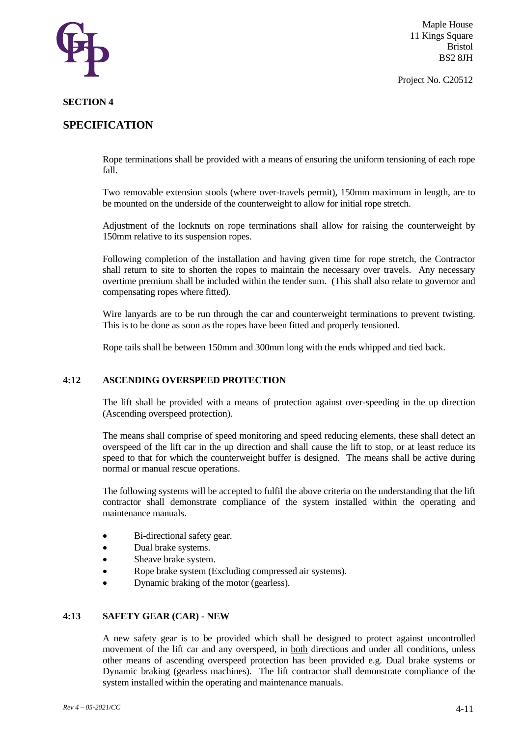

Project No. C20512

#### **SECTION 4**

## **SPECIFICATION**

Rope terminations shall be provided with a means of ensuring the uniform tensioning of each rope fall.

Two removable extension stools (where over-travels permit), 150mm maximum in length, are to be mounted on the underside of the counterweight to allow for initial rope stretch.

Adjustment of the locknuts on rope terminations shall allow for raising the counterweight by 150mm relative to its suspension ropes.

Following completion of the installation and having given time for rope stretch, the Contractor shall return to site to shorten the ropes to maintain the necessary over travels. Any necessary overtime premium shall be included within the tender sum. (This shall also relate to governor and compensating ropes where fitted).

Wire lanyards are to be run through the car and counterweight terminations to prevent twisting. This is to be done as soon as the ropes have been fitted and properly tensioned.

Rope tails shall be between 150mm and 300mm long with the ends whipped and tied back.

#### **4:12 ASCENDING OVERSPEED PROTECTION**

The lift shall be provided with a means of protection against over-speeding in the up direction (Ascending overspeed protection).

The means shall comprise of speed monitoring and speed reducing elements, these shall detect an overspeed of the lift car in the up direction and shall cause the lift to stop, or at least reduce its speed to that for which the counterweight buffer is designed. The means shall be active during normal or manual rescue operations.

The following systems will be accepted to fulfil the above criteria on the understanding that the lift contractor shall demonstrate compliance of the system installed within the operating and maintenance manuals.

- Bi-directional safety gear.
- Dual brake systems.
- Sheave brake system.
- Rope brake system (Excluding compressed air systems).
- Dynamic braking of the motor (gearless).

#### **4:13 SAFETY GEAR (CAR) - NEW**

A new safety gear is to be provided which shall be designed to protect against uncontrolled movement of the lift car and any overspeed, in both directions and under all conditions, unless other means of ascending overspeed protection has been provided e.g. Dual brake systems or Dynamic braking (gearless machines). The lift contractor shall demonstrate compliance of the system installed within the operating and maintenance manuals.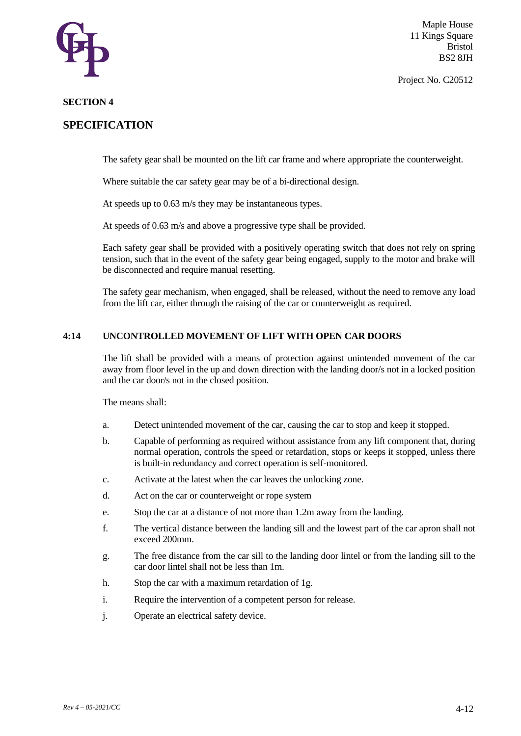

Project No. C20512

#### **SECTION 4**

## **SPECIFICATION**

The safety gear shall be mounted on the lift car frame and where appropriate the counterweight.

Where suitable the car safety gear may be of a bi-directional design.

At speeds up to 0.63 m/s they may be instantaneous types.

At speeds of 0.63 m/s and above a progressive type shall be provided.

Each safety gear shall be provided with a positively operating switch that does not rely on spring tension, such that in the event of the safety gear being engaged, supply to the motor and brake will be disconnected and require manual resetting.

The safety gear mechanism, when engaged, shall be released, without the need to remove any load from the lift car, either through the raising of the car or counterweight as required.

#### **4:14 UNCONTROLLED MOVEMENT OF LIFT WITH OPEN CAR DOORS**

The lift shall be provided with a means of protection against unintended movement of the car away from floor level in the up and down direction with the landing door/s not in a locked position and the car door/s not in the closed position.

The means shall:

- a. Detect unintended movement of the car, causing the car to stop and keep it stopped.
- b. Capable of performing as required without assistance from any lift component that, during normal operation, controls the speed or retardation, stops or keeps it stopped, unless there is built-in redundancy and correct operation is self-monitored.
- c. Activate at the latest when the car leaves the unlocking zone.
- d. Act on the car or counterweight or rope system
- e. Stop the car at a distance of not more than 1.2m away from the landing.
- f. The vertical distance between the landing sill and the lowest part of the car apron shall not exceed 200mm.
- g. The free distance from the car sill to the landing door lintel or from the landing sill to the car door lintel shall not be less than 1m.
- h. Stop the car with a maximum retardation of 1g.
- i. Require the intervention of a competent person for release.
- j. Operate an electrical safety device.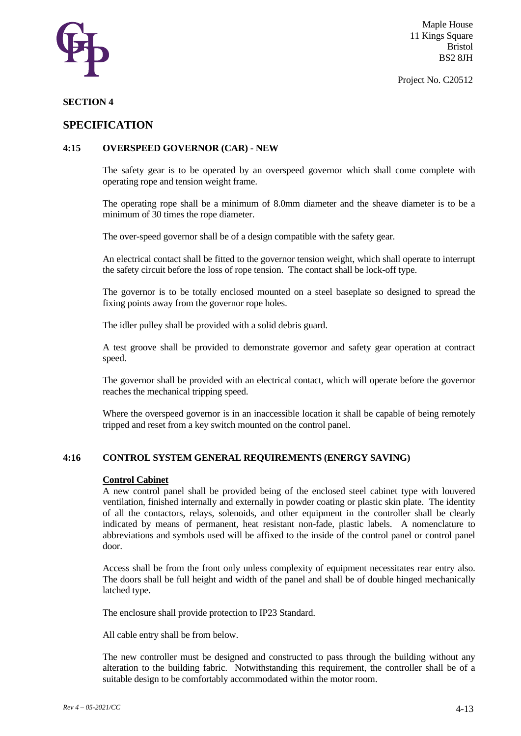

Project No. C20512

#### **SECTION 4**

## **SPECIFICATION**

#### **4:15 OVERSPEED GOVERNOR (CAR) - NEW**

The safety gear is to be operated by an overspeed governor which shall come complete with operating rope and tension weight frame.

The operating rope shall be a minimum of 8.0mm diameter and the sheave diameter is to be a minimum of 30 times the rope diameter.

The over-speed governor shall be of a design compatible with the safety gear.

An electrical contact shall be fitted to the governor tension weight, which shall operate to interrupt the safety circuit before the loss of rope tension. The contact shall be lock-off type.

The governor is to be totally enclosed mounted on a steel baseplate so designed to spread the fixing points away from the governor rope holes.

The idler pulley shall be provided with a solid debris guard.

A test groove shall be provided to demonstrate governor and safety gear operation at contract speed.

The governor shall be provided with an electrical contact, which will operate before the governor reaches the mechanical tripping speed.

Where the overspeed governor is in an inaccessible location it shall be capable of being remotely tripped and reset from a key switch mounted on the control panel.

#### **4:16 CONTROL SYSTEM GENERAL REQUIREMENTS (ENERGY SAVING)**

#### **Control Cabinet**

A new control panel shall be provided being of the enclosed steel cabinet type with louvered ventilation, finished internally and externally in powder coating or plastic skin plate. The identity of all the contactors, relays, solenoids, and other equipment in the controller shall be clearly indicated by means of permanent, heat resistant non-fade, plastic labels. A nomenclature to abbreviations and symbols used will be affixed to the inside of the control panel or control panel door.

Access shall be from the front only unless complexity of equipment necessitates rear entry also. The doors shall be full height and width of the panel and shall be of double hinged mechanically latched type.

The enclosure shall provide protection to IP23 Standard.

All cable entry shall be from below.

The new controller must be designed and constructed to pass through the building without any alteration to the building fabric. Notwithstanding this requirement, the controller shall be of a suitable design to be comfortably accommodated within the motor room.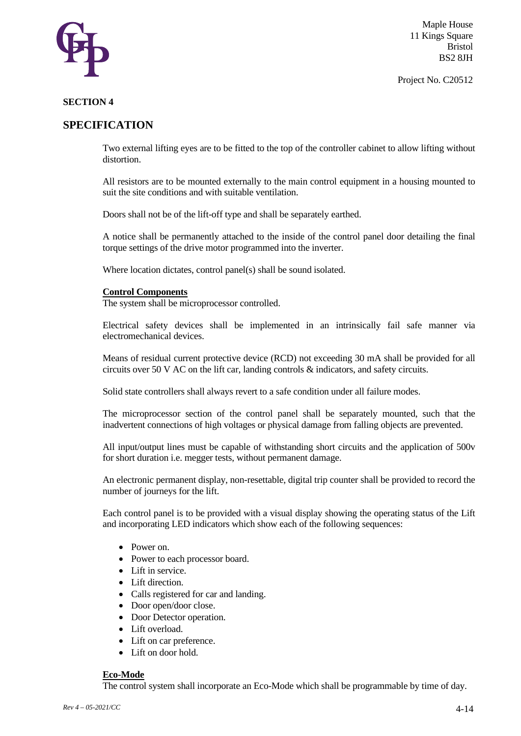

Project No. C20512

#### **SECTION 4**

## **SPECIFICATION**

Two external lifting eyes are to be fitted to the top of the controller cabinet to allow lifting without distortion.

All resistors are to be mounted externally to the main control equipment in a housing mounted to suit the site conditions and with suitable ventilation.

Doors shall not be of the lift-off type and shall be separately earthed.

A notice shall be permanently attached to the inside of the control panel door detailing the final torque settings of the drive motor programmed into the inverter.

Where location dictates, control panel(s) shall be sound isolated.

#### **Control Components**

The system shall be microprocessor controlled.

Electrical safety devices shall be implemented in an intrinsically fail safe manner via electromechanical devices.

Means of residual current protective device (RCD) not exceeding 30 mA shall be provided for all circuits over 50 V AC on the lift car, landing controls & indicators, and safety circuits.

Solid state controllers shall always revert to a safe condition under all failure modes.

The microprocessor section of the control panel shall be separately mounted, such that the inadvertent connections of high voltages or physical damage from falling objects are prevented.

All input/output lines must be capable of withstanding short circuits and the application of 500v for short duration i.e. megger tests, without permanent damage.

An electronic permanent display, non-resettable, digital trip counter shall be provided to record the number of journeys for the lift.

Each control panel is to be provided with a visual display showing the operating status of the Lift and incorporating LED indicators which show each of the following sequences:

- Power on.
- Power to each processor board.
- Lift in service.
- Lift direction.
- Calls registered for car and landing.
- Door open/door close.
- Door Detector operation.
- Lift overload.
- Lift on car preference.
- Lift on door hold.

### **Eco-Mode**

The control system shall incorporate an Eco-Mode which shall be programmable by time of day.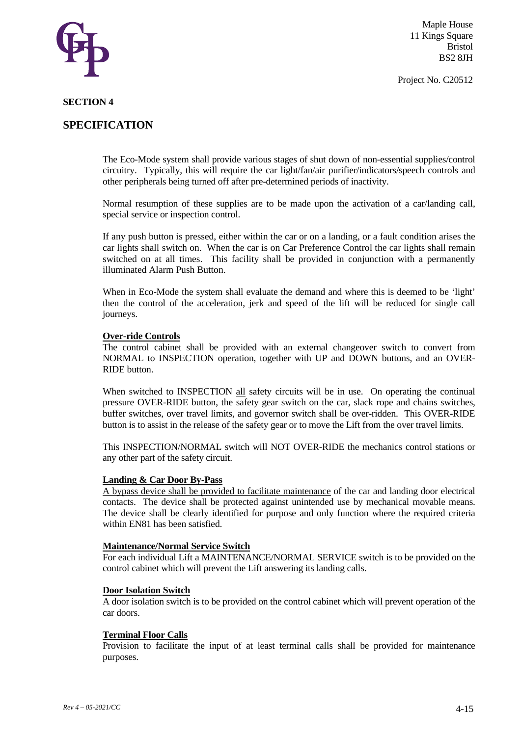

Project No. C20512

#### **SECTION 4**

## **SPECIFICATION**

The Eco-Mode system shall provide various stages of shut down of non-essential supplies/control circuitry. Typically, this will require the car light/fan/air purifier/indicators/speech controls and other peripherals being turned off after pre-determined periods of inactivity.

Normal resumption of these supplies are to be made upon the activation of a car/landing call, special service or inspection control.

If any push button is pressed, either within the car or on a landing, or a fault condition arises the car lights shall switch on. When the car is on Car Preference Control the car lights shall remain switched on at all times. This facility shall be provided in conjunction with a permanently illuminated Alarm Push Button.

When in Eco-Mode the system shall evaluate the demand and where this is deemed to be 'light' then the control of the acceleration, jerk and speed of the lift will be reduced for single call journeys.

#### **Over-ride Controls**

The control cabinet shall be provided with an external changeover switch to convert from NORMAL to INSPECTION operation, together with UP and DOWN buttons, and an OVER-RIDE button.

When switched to INSPECTION all safety circuits will be in use. On operating the continual pressure OVER-RIDE button, the safety gear switch on the car, slack rope and chains switches, buffer switches, over travel limits, and governor switch shall be over-ridden. This OVER-RIDE button is to assist in the release of the safety gear or to move the Lift from the over travel limits.

This INSPECTION/NORMAL switch will NOT OVER-RIDE the mechanics control stations or any other part of the safety circuit.

#### **Landing & Car Door By-Pass**

A bypass device shall be provided to facilitate maintenance of the car and landing door electrical contacts. The device shall be protected against unintended use by mechanical movable means. The device shall be clearly identified for purpose and only function where the required criteria within EN81 has been satisfied.

#### **Maintenance/Normal Service Switch**

For each individual Lift a MAINTENANCE/NORMAL SERVICE switch is to be provided on the control cabinet which will prevent the Lift answering its landing calls.

#### **Door Isolation Switch**

A door isolation switch is to be provided on the control cabinet which will prevent operation of the car doors.

#### **Terminal Floor Calls**

Provision to facilitate the input of at least terminal calls shall be provided for maintenance purposes.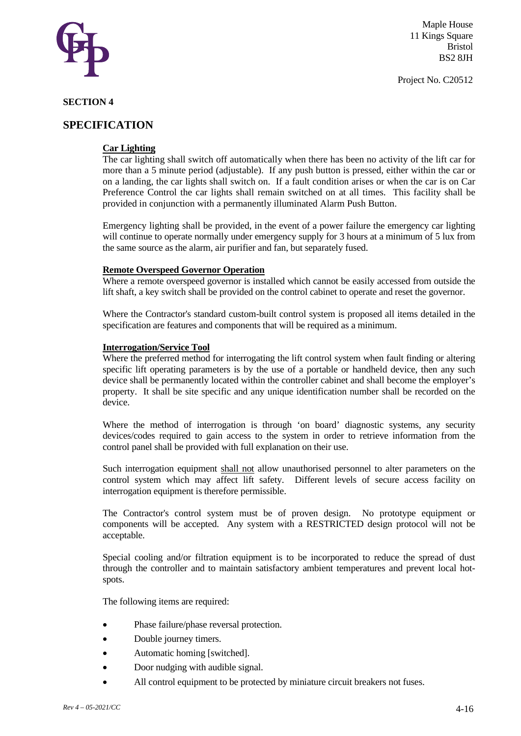

Project No. C20512

#### **SECTION 4**

## **SPECIFICATION**

### **Car Lighting**

The car lighting shall switch off automatically when there has been no activity of the lift car for more than a 5 minute period (adjustable). If any push button is pressed, either within the car or on a landing, the car lights shall switch on. If a fault condition arises or when the car is on Car Preference Control the car lights shall remain switched on at all times. This facility shall be provided in conjunction with a permanently illuminated Alarm Push Button.

Emergency lighting shall be provided, in the event of a power failure the emergency car lighting will continue to operate normally under emergency supply for 3 hours at a minimum of 5 lux from the same source as the alarm, air purifier and fan, but separately fused.

#### **Remote Overspeed Governor Operation**

Where a remote overspeed governor is installed which cannot be easily accessed from outside the lift shaft, a key switch shall be provided on the control cabinet to operate and reset the governor.

Where the Contractor's standard custom-built control system is proposed all items detailed in the specification are features and components that will be required as a minimum.

#### **Interrogation/Service Tool**

Where the preferred method for interrogating the lift control system when fault finding or altering specific lift operating parameters is by the use of a portable or handheld device, then any such device shall be permanently located within the controller cabinet and shall become the employer's property. It shall be site specific and any unique identification number shall be recorded on the device.

Where the method of interrogation is through 'on board' diagnostic systems, any security devices/codes required to gain access to the system in order to retrieve information from the control panel shall be provided with full explanation on their use.

Such interrogation equipment shall not allow unauthorised personnel to alter parameters on the control system which may affect lift safety. Different levels of secure access facility on interrogation equipment is therefore permissible.

The Contractor's control system must be of proven design. No prototype equipment or components will be accepted. Any system with a RESTRICTED design protocol will not be acceptable.

Special cooling and/or filtration equipment is to be incorporated to reduce the spread of dust through the controller and to maintain satisfactory ambient temperatures and prevent local hotspots.

The following items are required:

- Phase failure/phase reversal protection.
- Double journey timers.
- Automatic homing [switched].
- Door nudging with audible signal.
- All control equipment to be protected by miniature circuit breakers not fuses.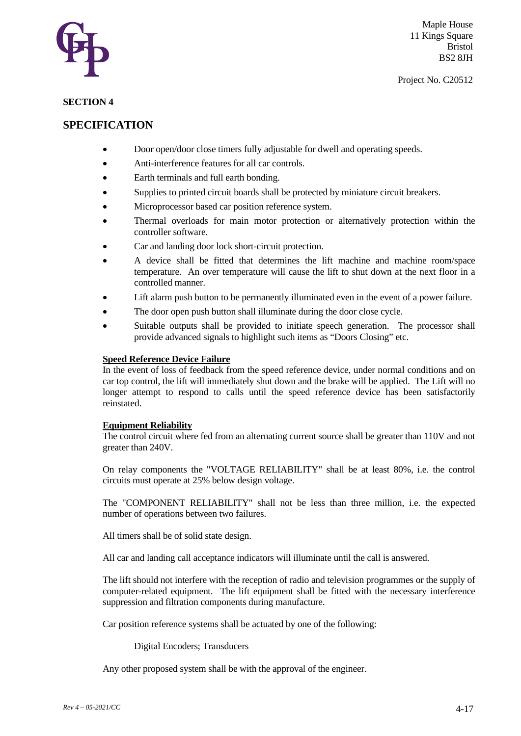

#### **SECTION 4**

## **SPECIFICATION**

- Door open/door close timers fully adjustable for dwell and operating speeds.
- Anti-interference features for all car controls.
- Earth terminals and full earth bonding.
- Supplies to printed circuit boards shall be protected by miniature circuit breakers.
- Microprocessor based car position reference system.
- Thermal overloads for main motor protection or alternatively protection within the controller software.
- Car and landing door lock short-circuit protection.
- A device shall be fitted that determines the lift machine and machine room/space temperature. An over temperature will cause the lift to shut down at the next floor in a controlled manner.
- Lift alarm push button to be permanently illuminated even in the event of a power failure.
- The door open push button shall illuminate during the door close cycle.
- Suitable outputs shall be provided to initiate speech generation. The processor shall provide advanced signals to highlight such items as "Doors Closing" etc.

#### **Speed Reference Device Failure**

In the event of loss of feedback from the speed reference device, under normal conditions and on car top control, the lift will immediately shut down and the brake will be applied. The Lift will no longer attempt to respond to calls until the speed reference device has been satisfactorily reinstated.

#### **Equipment Reliability**

The control circuit where fed from an alternating current source shall be greater than 110V and not greater than 240V.

On relay components the "VOLTAGE RELIABILITY" shall be at least 80%, i.e. the control circuits must operate at 25% below design voltage.

The "COMPONENT RELIABILITY" shall not be less than three million, i.e. the expected number of operations between two failures.

All timers shall be of solid state design.

All car and landing call acceptance indicators will illuminate until the call is answered.

The lift should not interfere with the reception of radio and television programmes or the supply of computer-related equipment. The lift equipment shall be fitted with the necessary interference suppression and filtration components during manufacture.

Car position reference systems shall be actuated by one of the following:

Digital Encoders; Transducers

Any other proposed system shall be with the approval of the engineer.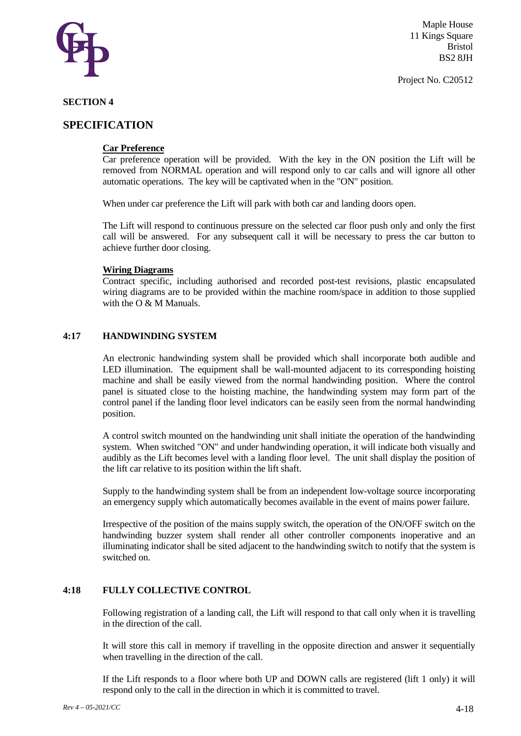

Project No. C20512

#### **SECTION 4**

## **SPECIFICATION**

#### **Car Preference**

Car preference operation will be provided. With the key in the ON position the Lift will be removed from NORMAL operation and will respond only to car calls and will ignore all other automatic operations. The key will be captivated when in the "ON" position.

When under car preference the Lift will park with both car and landing doors open.

The Lift will respond to continuous pressure on the selected car floor push only and only the first call will be answered. For any subsequent call it will be necessary to press the car button to achieve further door closing.

#### **Wiring Diagrams**

Contract specific, including authorised and recorded post-test revisions, plastic encapsulated wiring diagrams are to be provided within the machine room/space in addition to those supplied with the  $O & M$  Manuals.

#### **4:17 HANDWINDING SYSTEM**

An electronic handwinding system shall be provided which shall incorporate both audible and LED illumination. The equipment shall be wall-mounted adjacent to its corresponding hoisting machine and shall be easily viewed from the normal handwinding position. Where the control panel is situated close to the hoisting machine, the handwinding system may form part of the control panel if the landing floor level indicators can be easily seen from the normal handwinding position.

A control switch mounted on the handwinding unit shall initiate the operation of the handwinding system. When switched "ON" and under handwinding operation, it will indicate both visually and audibly as the Lift becomes level with a landing floor level. The unit shall display the position of the lift car relative to its position within the lift shaft.

Supply to the handwinding system shall be from an independent low-voltage source incorporating an emergency supply which automatically becomes available in the event of mains power failure.

Irrespective of the position of the mains supply switch, the operation of the ON/OFF switch on the handwinding buzzer system shall render all other controller components inoperative and an illuminating indicator shall be sited adjacent to the handwinding switch to notify that the system is switched on.

#### **4:18 FULLY COLLECTIVE CONTROL**

Following registration of a landing call, the Lift will respond to that call only when it is travelling in the direction of the call.

It will store this call in memory if travelling in the opposite direction and answer it sequentially when travelling in the direction of the call.

If the Lift responds to a floor where both UP and DOWN calls are registered (lift 1 only) it will respond only to the call in the direction in which it is committed to travel.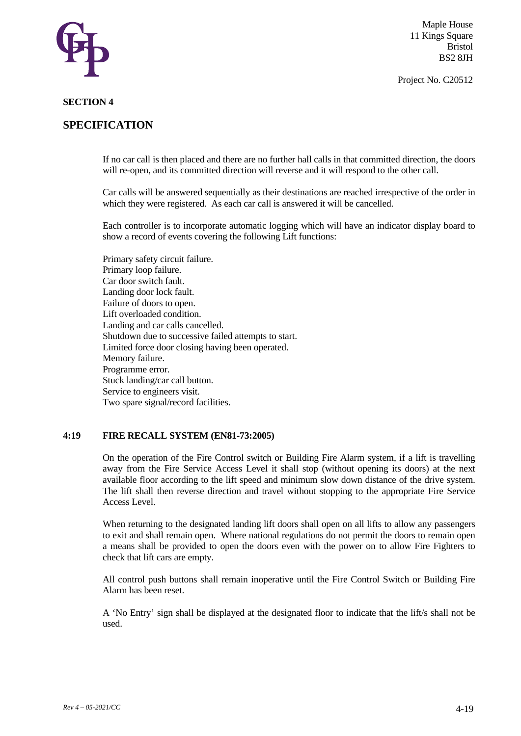

Project No. C20512

#### **SECTION 4**

## **SPECIFICATION**

If no car call is then placed and there are no further hall calls in that committed direction, the doors will re-open, and its committed direction will reverse and it will respond to the other call.

Car calls will be answered sequentially as their destinations are reached irrespective of the order in which they were registered. As each car call is answered it will be cancelled.

Each controller is to incorporate automatic logging which will have an indicator display board to show a record of events covering the following Lift functions:

Primary safety circuit failure. Primary loop failure. Car door switch fault. Landing door lock fault. Failure of doors to open. Lift overloaded condition. Landing and car calls cancelled. Shutdown due to successive failed attempts to start. Limited force door closing having been operated. Memory failure. Programme error. Stuck landing/car call button. Service to engineers visit. Two spare signal/record facilities.

#### **4:19 FIRE RECALL SYSTEM (EN81-73:2005)**

On the operation of the Fire Control switch or Building Fire Alarm system, if a lift is travelling away from the Fire Service Access Level it shall stop (without opening its doors) at the next available floor according to the lift speed and minimum slow down distance of the drive system. The lift shall then reverse direction and travel without stopping to the appropriate Fire Service Access Level.

When returning to the designated landing lift doors shall open on all lifts to allow any passengers to exit and shall remain open. Where national regulations do not permit the doors to remain open a means shall be provided to open the doors even with the power on to allow Fire Fighters to check that lift cars are empty.

All control push buttons shall remain inoperative until the Fire Control Switch or Building Fire Alarm has been reset.

A 'No Entry' sign shall be displayed at the designated floor to indicate that the lift/s shall not be used.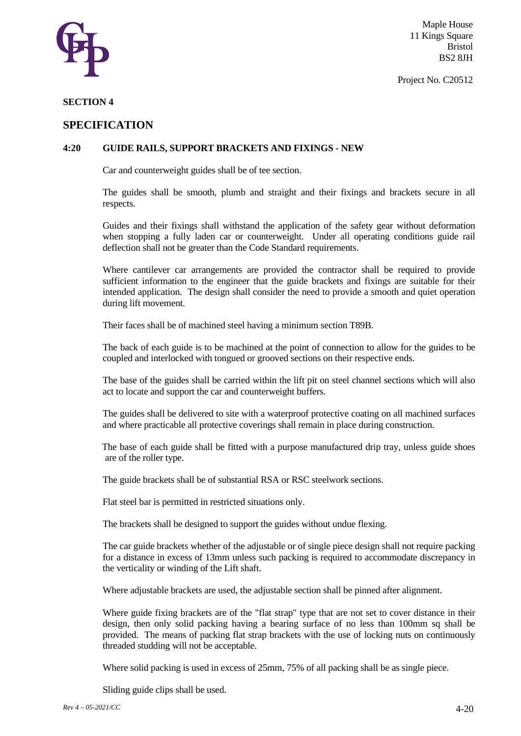

Project No. C20512

#### **SECTION 4**

### **SPECIFICATION**

#### **4:20 GUIDE RAILS, SUPPORT BRACKETS AND FIXINGS - NEW**

Car and counterweight guides shall be of tee section.

The guides shall be smooth, plumb and straight and their fixings and brackets secure in all respects.

Guides and their fixings shall withstand the application of the safety gear without deformation when stopping a fully laden car or counterweight. Under all operating conditions guide rail deflection shall not be greater than the Code Standard requirements.

Where cantilever car arrangements are provided the contractor shall be required to provide sufficient information to the engineer that the guide brackets and fixings are suitable for their intended application. The design shall consider the need to provide a smooth and quiet operation during lift movement.

Their faces shall be of machined steel having a minimum section T89B.

The back of each guide is to be machined at the point of connection to allow for the guides to be coupled and interlocked with tongued or grooved sections on their respective ends.

The base of the guides shall be carried within the lift pit on steel channel sections which will also act to locate and support the car and counterweight buffers.

The guides shall be delivered to site with a waterproof protective coating on all machined surfaces and where practicable all protective coverings shall remain in place during construction.

The base of each guide shall be fitted with a purpose manufactured drip tray, unless guide shoes are of the roller type.

The guide brackets shall be of substantial RSA or RSC steelwork sections.

Flat steel bar is permitted in restricted situations only.

The brackets shall be designed to support the guides without undue flexing.

The car guide brackets whether of the adjustable or of single piece design shall not require packing for a distance in excess of 13mm unless such packing is required to accommodate discrepancy in the verticality or winding of the Lift shaft.

Where adjustable brackets are used, the adjustable section shall be pinned after alignment.

Where guide fixing brackets are of the "flat strap" type that are not set to cover distance in their design, then only solid packing having a bearing surface of no less than 100mm sq shall be provided. The means of packing flat strap brackets with the use of locking nuts on continuously threaded studding will not be acceptable.

Where solid packing is used in excess of 25mm, 75% of all packing shall be as single piece.

Sliding guide clips shall be used.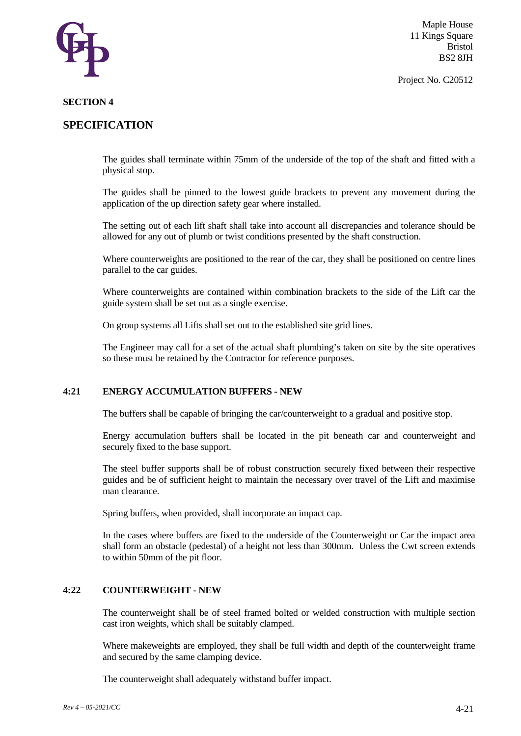

Project No. C20512

#### **SECTION 4**

## **SPECIFICATION**

The guides shall terminate within 75mm of the underside of the top of the shaft and fitted with a physical stop.

The guides shall be pinned to the lowest guide brackets to prevent any movement during the application of the up direction safety gear where installed.

The setting out of each lift shaft shall take into account all discrepancies and tolerance should be allowed for any out of plumb or twist conditions presented by the shaft construction.

Where counterweights are positioned to the rear of the car, they shall be positioned on centre lines parallel to the car guides.

Where counterweights are contained within combination brackets to the side of the Lift car the guide system shall be set out as a single exercise.

On group systems all Lifts shall set out to the established site grid lines.

The Engineer may call for a set of the actual shaft plumbing's taken on site by the site operatives so these must be retained by the Contractor for reference purposes.

#### **4:21 ENERGY ACCUMULATION BUFFERS - NEW**

The buffers shall be capable of bringing the car/counterweight to a gradual and positive stop.

Energy accumulation buffers shall be located in the pit beneath car and counterweight and securely fixed to the base support.

The steel buffer supports shall be of robust construction securely fixed between their respective guides and be of sufficient height to maintain the necessary over travel of the Lift and maximise man clearance.

Spring buffers, when provided, shall incorporate an impact cap.

In the cases where buffers are fixed to the underside of the Counterweight or Car the impact area shall form an obstacle (pedestal) of a height not less than 300mm. Unless the Cwt screen extends to within 50mm of the pit floor.

### **4:22 COUNTERWEIGHT - NEW**

The counterweight shall be of steel framed bolted or welded construction with multiple section cast iron weights, which shall be suitably clamped.

Where makeweights are employed, they shall be full width and depth of the counterweight frame and secured by the same clamping device.

The counterweight shall adequately withstand buffer impact.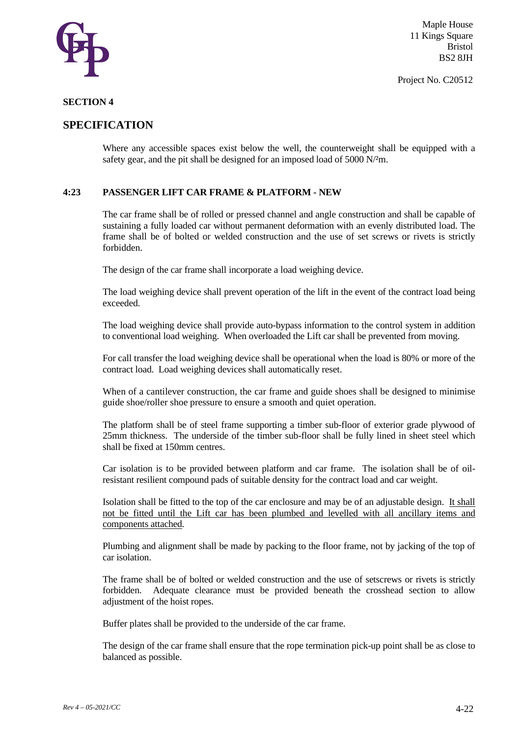

Project No. C20512

#### **SECTION 4**

## **SPECIFICATION**

Where any accessible spaces exist below the well, the counterweight shall be equipped with a safety gear, and the pit shall be designed for an imposed load of 5000 N/²m.

### **4:23 PASSENGER LIFT CAR FRAME & PLATFORM - NEW**

The car frame shall be of rolled or pressed channel and angle construction and shall be capable of sustaining a fully loaded car without permanent deformation with an evenly distributed load. The frame shall be of bolted or welded construction and the use of set screws or rivets is strictly forbidden.

The design of the car frame shall incorporate a load weighing device.

The load weighing device shall prevent operation of the lift in the event of the contract load being exceeded.

The load weighing device shall provide auto-bypass information to the control system in addition to conventional load weighing. When overloaded the Lift car shall be prevented from moving.

For call transfer the load weighing device shall be operational when the load is 80% or more of the contract load. Load weighing devices shall automatically reset.

When of a cantilever construction, the car frame and guide shoes shall be designed to minimise guide shoe/roller shoe pressure to ensure a smooth and quiet operation.

The platform shall be of steel frame supporting a timber sub-floor of exterior grade plywood of 25mm thickness. The underside of the timber sub-floor shall be fully lined in sheet steel which shall be fixed at 150mm centres.

Car isolation is to be provided between platform and car frame. The isolation shall be of oilresistant resilient compound pads of suitable density for the contract load and car weight.

Isolation shall be fitted to the top of the car enclosure and may be of an adjustable design. It shall not be fitted until the Lift car has been plumbed and levelled with all ancillary items and components attached.

Plumbing and alignment shall be made by packing to the floor frame, not by jacking of the top of car isolation.

The frame shall be of bolted or welded construction and the use of setscrews or rivets is strictly forbidden. Adequate clearance must be provided beneath the crosshead section to allow adjustment of the hoist ropes.

Buffer plates shall be provided to the underside of the car frame.

The design of the car frame shall ensure that the rope termination pick-up point shall be as close to balanced as possible.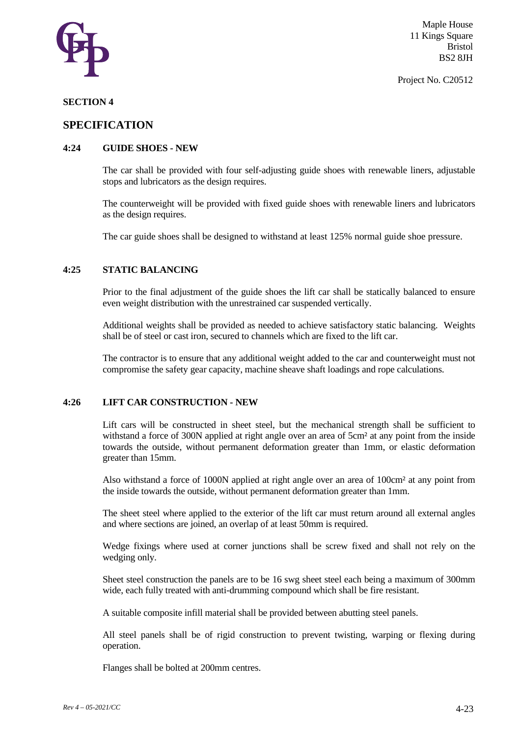

#### **SECTION 4**

### **SPECIFICATION**

#### **4:24 GUIDE SHOES - NEW**

The car shall be provided with four self-adjusting guide shoes with renewable liners, adjustable stops and lubricators as the design requires.

The counterweight will be provided with fixed guide shoes with renewable liners and lubricators as the design requires.

The car guide shoes shall be designed to withstand at least 125% normal guide shoe pressure.

#### **4:25 STATIC BALANCING**

Prior to the final adjustment of the guide shoes the lift car shall be statically balanced to ensure even weight distribution with the unrestrained car suspended vertically.

Additional weights shall be provided as needed to achieve satisfactory static balancing. Weights shall be of steel or cast iron, secured to channels which are fixed to the lift car.

The contractor is to ensure that any additional weight added to the car and counterweight must not compromise the safety gear capacity, machine sheave shaft loadings and rope calculations.

#### **4:26 LIFT CAR CONSTRUCTION - NEW**

Lift cars will be constructed in sheet steel, but the mechanical strength shall be sufficient to withstand a force of 300N applied at right angle over an area of 5cm² at any point from the inside towards the outside, without permanent deformation greater than 1mm, or elastic deformation greater than 15mm.

Also withstand a force of 1000N applied at right angle over an area of 100cm² at any point from the inside towards the outside, without permanent deformation greater than 1mm.

The sheet steel where applied to the exterior of the lift car must return around all external angles and where sections are joined, an overlap of at least 50mm is required.

Wedge fixings where used at corner junctions shall be screw fixed and shall not rely on the wedging only.

Sheet steel construction the panels are to be 16 swg sheet steel each being a maximum of 300mm wide, each fully treated with anti-drumming compound which shall be fire resistant.

A suitable composite infill material shall be provided between abutting steel panels.

All steel panels shall be of rigid construction to prevent twisting, warping or flexing during operation.

Flanges shall be bolted at 200mm centres.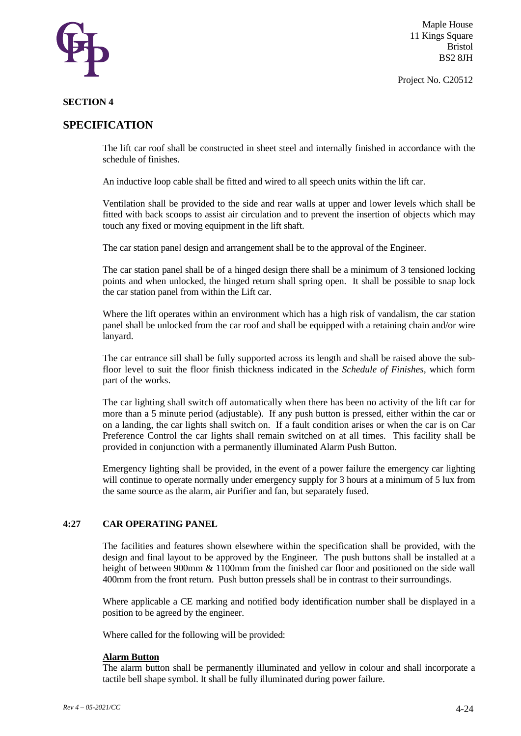

Project No. C20512

#### **SECTION 4**

## **SPECIFICATION**

The lift car roof shall be constructed in sheet steel and internally finished in accordance with the schedule of finishes.

An inductive loop cable shall be fitted and wired to all speech units within the lift car.

Ventilation shall be provided to the side and rear walls at upper and lower levels which shall be fitted with back scoops to assist air circulation and to prevent the insertion of objects which may touch any fixed or moving equipment in the lift shaft.

The car station panel design and arrangement shall be to the approval of the Engineer.

The car station panel shall be of a hinged design there shall be a minimum of 3 tensioned locking points and when unlocked, the hinged return shall spring open. It shall be possible to snap lock the car station panel from within the Lift car.

Where the lift operates within an environment which has a high risk of vandalism, the car station panel shall be unlocked from the car roof and shall be equipped with a retaining chain and/or wire lanyard.

The car entrance sill shall be fully supported across its length and shall be raised above the subfloor level to suit the floor finish thickness indicated in the *Schedule of Finishes,* which form part of the works.

The car lighting shall switch off automatically when there has been no activity of the lift car for more than a 5 minute period (adjustable). If any push button is pressed, either within the car or on a landing, the car lights shall switch on. If a fault condition arises or when the car is on Car Preference Control the car lights shall remain switched on at all times. This facility shall be provided in conjunction with a permanently illuminated Alarm Push Button.

Emergency lighting shall be provided, in the event of a power failure the emergency car lighting will continue to operate normally under emergency supply for 3 hours at a minimum of 5 lux from the same source as the alarm, air Purifier and fan, but separately fused.

#### **4:27 CAR OPERATING PANEL**

The facilities and features shown elsewhere within the specification shall be provided, with the design and final layout to be approved by the Engineer. The push buttons shall be installed at a height of between 900mm & 1100mm from the finished car floor and positioned on the side wall 400mm from the front return. Push button pressels shall be in contrast to their surroundings.

Where applicable a CE marking and notified body identification number shall be displayed in a position to be agreed by the engineer.

Where called for the following will be provided:

#### **Alarm Button**

The alarm button shall be permanently illuminated and yellow in colour and shall incorporate a tactile bell shape symbol. It shall be fully illuminated during power failure.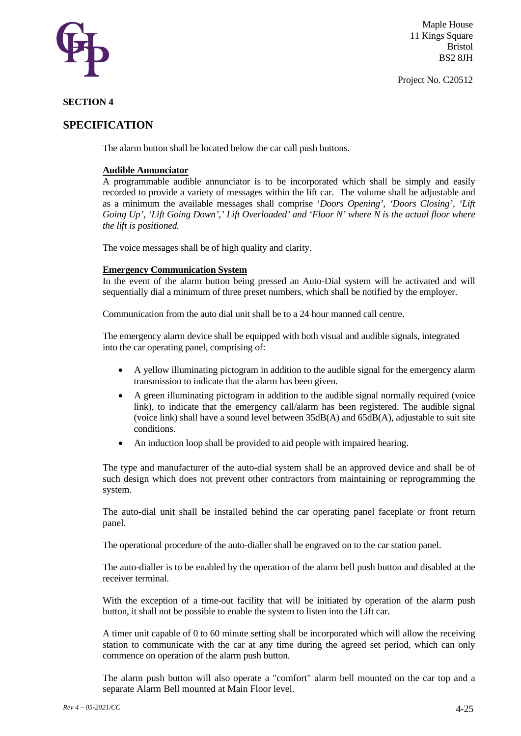

#### Project No. C20512

#### **SECTION 4**

## **SPECIFICATION**

The alarm button shall be located below the car call push buttons.

#### **Audible Annunciator**

A programmable audible annunciator is to be incorporated which shall be simply and easily recorded to provide a variety of messages within the lift car. The volume shall be adjustable and as a minimum the available messages shall comprise '*Doors Opening', 'Doors Closing', 'Lift Going Up', 'Lift Going Down',' Lift Overloaded' and 'Floor N' where N is the actual floor where the lift is positioned.*

The voice messages shall be of high quality and clarity.

#### **Emergency Communication System**

In the event of the alarm button being pressed an Auto-Dial system will be activated and will sequentially dial a minimum of three preset numbers, which shall be notified by the employer.

Communication from the auto dial unit shall be to a 24 hour manned call centre.

The emergency alarm device shall be equipped with both visual and audible signals, integrated into the car operating panel, comprising of:

- A yellow illuminating pictogram in addition to the audible signal for the emergency alarm transmission to indicate that the alarm has been given.
- A green illuminating pictogram in addition to the audible signal normally required (voice link), to indicate that the emergency call/alarm has been registered. The audible signal (voice link) shall have a sound level between 35dB(A) and 65dB(A), adjustable to suit site conditions.
- An induction loop shall be provided to aid people with impaired hearing.

The type and manufacturer of the auto-dial system shall be an approved device and shall be of such design which does not prevent other contractors from maintaining or reprogramming the system.

The auto-dial unit shall be installed behind the car operating panel faceplate or front return panel.

The operational procedure of the auto-dialler shall be engraved on to the car station panel.

The auto-dialler is to be enabled by the operation of the alarm bell push button and disabled at the receiver terminal.

With the exception of a time-out facility that will be initiated by operation of the alarm push button, it shall not be possible to enable the system to listen into the Lift car.

A timer unit capable of 0 to 60 minute setting shall be incorporated which will allow the receiving station to communicate with the car at any time during the agreed set period, which can only commence on operation of the alarm push button.

The alarm push button will also operate a "comfort" alarm bell mounted on the car top and a separate Alarm Bell mounted at Main Floor level.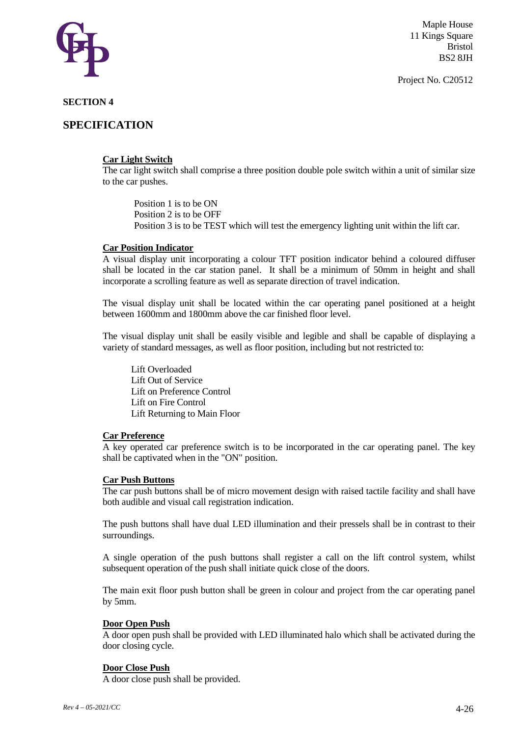

# **SECTION 4**

# **SPECIFICATION**

# **Car Light Switch**

The car light switch shall comprise a three position double pole switch within a unit of similar size to the car pushes.

Position 1 is to be ON Position 2 is to be OFF Position 3 is to be TEST which will test the emergency lighting unit within the lift car.

## **Car Position Indicator**

A visual display unit incorporating a colour TFT position indicator behind a coloured diffuser shall be located in the car station panel. It shall be a minimum of 50mm in height and shall incorporate a scrolling feature as well as separate direction of travel indication.

The visual display unit shall be located within the car operating panel positioned at a height between 1600mm and 1800mm above the car finished floor level.

The visual display unit shall be easily visible and legible and shall be capable of displaying a variety of standard messages, as well as floor position, including but not restricted to:

Lift Overloaded Lift Out of Service Lift on Preference Control Lift on Fire Control Lift Returning to Main Floor

## **Car Preference**

A key operated car preference switch is to be incorporated in the car operating panel. The key shall be captivated when in the "ON" position.

## **Car Push Buttons**

The car push buttons shall be of micro movement design with raised tactile facility and shall have both audible and visual call registration indication.

The push buttons shall have dual LED illumination and their pressels shall be in contrast to their surroundings.

A single operation of the push buttons shall register a call on the lift control system, whilst subsequent operation of the push shall initiate quick close of the doors.

The main exit floor push button shall be green in colour and project from the car operating panel by 5mm.

# **Door Open Push**

A door open push shall be provided with LED illuminated halo which shall be activated during the door closing cycle.

## **Door Close Push**

A door close push shall be provided.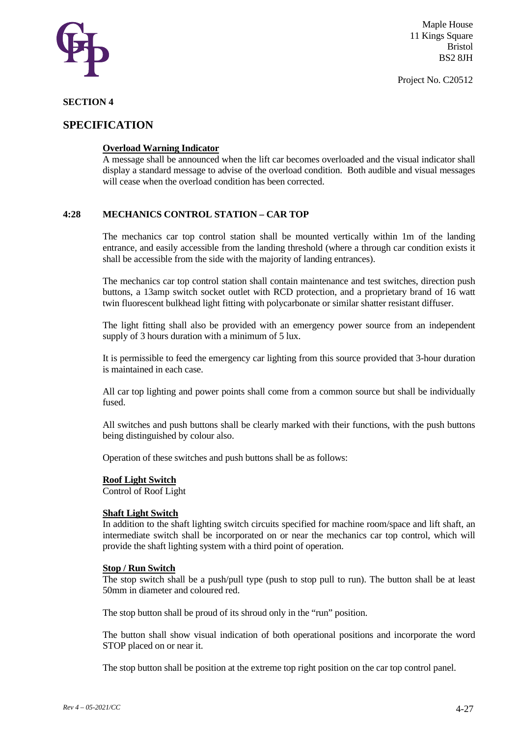

Project No. C20512

# **SECTION 4**

# **SPECIFICATION**

# **Overload Warning Indicator**

A message shall be announced when the lift car becomes overloaded and the visual indicator shall display a standard message to advise of the overload condition. Both audible and visual messages will cease when the overload condition has been corrected.

## **4:28 MECHANICS CONTROL STATION – CAR TOP**

The mechanics car top control station shall be mounted vertically within 1m of the landing entrance, and easily accessible from the landing threshold (where a through car condition exists it shall be accessible from the side with the majority of landing entrances).

The mechanics car top control station shall contain maintenance and test switches, direction push buttons, a 13amp switch socket outlet with RCD protection, and a proprietary brand of 16 watt twin fluorescent bulkhead light fitting with polycarbonate or similar shatter resistant diffuser.

The light fitting shall also be provided with an emergency power source from an independent supply of 3 hours duration with a minimum of 5 lux.

It is permissible to feed the emergency car lighting from this source provided that 3-hour duration is maintained in each case.

All car top lighting and power points shall come from a common source but shall be individually fused.

All switches and push buttons shall be clearly marked with their functions, with the push buttons being distinguished by colour also.

Operation of these switches and push buttons shall be as follows:

## **Roof Light Switch**

Control of Roof Light

#### **Shaft Light Switch**

In addition to the shaft lighting switch circuits specified for machine room/space and lift shaft, an intermediate switch shall be incorporated on or near the mechanics car top control, which will provide the shaft lighting system with a third point of operation.

#### **Stop / Run Switch**

The stop switch shall be a push/pull type (push to stop pull to run). The button shall be at least 50mm in diameter and coloured red.

The stop button shall be proud of its shroud only in the "run" position.

The button shall show visual indication of both operational positions and incorporate the word STOP placed on or near it.

The stop button shall be position at the extreme top right position on the car top control panel.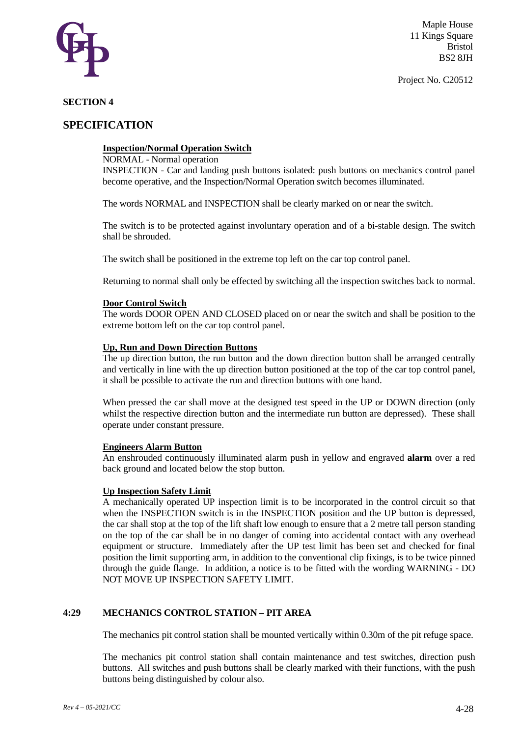

# **SECTION 4**

# **SPECIFICATION**

## **Inspection/Normal Operation Switch**

NORMAL - Normal operation

INSPECTION - Car and landing push buttons isolated: push buttons on mechanics control panel become operative, and the Inspection/Normal Operation switch becomes illuminated.

The words NORMAL and INSPECTION shall be clearly marked on or near the switch.

The switch is to be protected against involuntary operation and of a bi-stable design. The switch shall be shrouded.

The switch shall be positioned in the extreme top left on the car top control panel.

Returning to normal shall only be effected by switching all the inspection switches back to normal.

#### **Door Control Switch**

The words DOOR OPEN AND CLOSED placed on or near the switch and shall be position to the extreme bottom left on the car top control panel.

#### **Up, Run and Down Direction Buttons**

The up direction button, the run button and the down direction button shall be arranged centrally and vertically in line with the up direction button positioned at the top of the car top control panel, it shall be possible to activate the run and direction buttons with one hand.

When pressed the car shall move at the designed test speed in the UP or DOWN direction (only whilst the respective direction button and the intermediate run button are depressed). These shall operate under constant pressure.

# **Engineers Alarm Button**

An enshrouded continuously illuminated alarm push in yellow and engraved **alarm** over a red back ground and located below the stop button.

#### **Up Inspection Safety Limit**

A mechanically operated UP inspection limit is to be incorporated in the control circuit so that when the INSPECTION switch is in the INSPECTION position and the UP button is depressed, the car shall stop at the top of the lift shaft low enough to ensure that a 2 metre tall person standing on the top of the car shall be in no danger of coming into accidental contact with any overhead equipment or structure. Immediately after the UP test limit has been set and checked for final position the limit supporting arm, in addition to the conventional clip fixings, is to be twice pinned through the guide flange. In addition, a notice is to be fitted with the wording WARNING - DO NOT MOVE UP INSPECTION SAFETY LIMIT.

# **4:29 MECHANICS CONTROL STATION – PIT AREA**

The mechanics pit control station shall be mounted vertically within 0.30m of the pit refuge space.

The mechanics pit control station shall contain maintenance and test switches, direction push buttons. All switches and push buttons shall be clearly marked with their functions, with the push buttons being distinguished by colour also.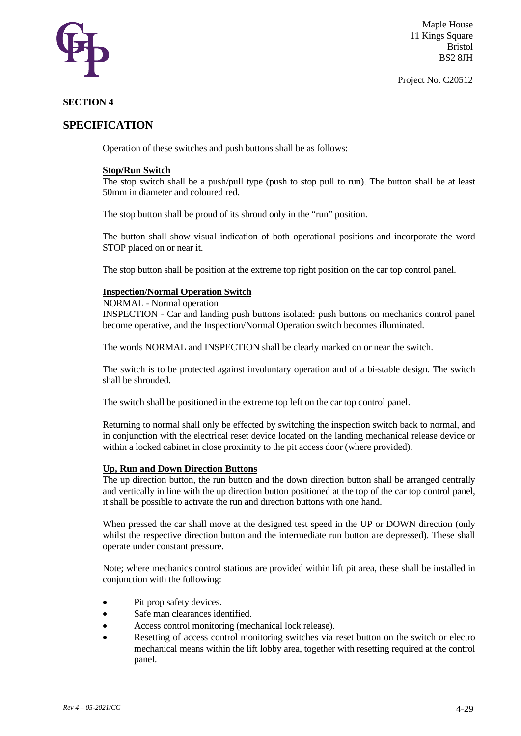

#### Project No. C20512

# **SECTION 4**

# **SPECIFICATION**

Operation of these switches and push buttons shall be as follows:

## **Stop/Run Switch**

The stop switch shall be a push/pull type (push to stop pull to run). The button shall be at least 50mm in diameter and coloured red.

The stop button shall be proud of its shroud only in the "run" position.

The button shall show visual indication of both operational positions and incorporate the word STOP placed on or near it.

The stop button shall be position at the extreme top right position on the car top control panel.

#### **Inspection/Normal Operation Switch**

#### NORMAL - Normal operation

INSPECTION - Car and landing push buttons isolated: push buttons on mechanics control panel become operative, and the Inspection/Normal Operation switch becomes illuminated.

The words NORMAL and INSPECTION shall be clearly marked on or near the switch.

The switch is to be protected against involuntary operation and of a bi-stable design. The switch shall be shrouded.

The switch shall be positioned in the extreme top left on the car top control panel.

Returning to normal shall only be effected by switching the inspection switch back to normal, and in conjunction with the electrical reset device located on the landing mechanical release device or within a locked cabinet in close proximity to the pit access door (where provided).

#### **Up, Run and Down Direction Buttons**

The up direction button, the run button and the down direction button shall be arranged centrally and vertically in line with the up direction button positioned at the top of the car top control panel, it shall be possible to activate the run and direction buttons with one hand.

When pressed the car shall move at the designed test speed in the UP or DOWN direction (only whilst the respective direction button and the intermediate run button are depressed). These shall operate under constant pressure.

Note; where mechanics control stations are provided within lift pit area, these shall be installed in conjunction with the following:

- Pit prop safety devices.
- Safe man clearances identified.
- Access control monitoring (mechanical lock release).
- Resetting of access control monitoring switches via reset button on the switch or electro mechanical means within the lift lobby area, together with resetting required at the control panel.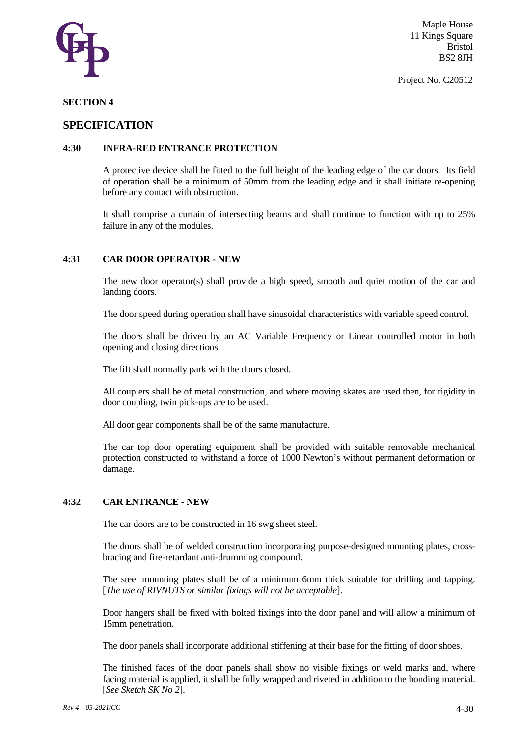

Project No. C20512

## **SECTION 4**

# **SPECIFICATION**

# **4:30 INFRA-RED ENTRANCE PROTECTION**

A protective device shall be fitted to the full height of the leading edge of the car doors. Its field of operation shall be a minimum of 50mm from the leading edge and it shall initiate re-opening before any contact with obstruction.

It shall comprise a curtain of intersecting beams and shall continue to function with up to 25% failure in any of the modules.

# **4:31 CAR DOOR OPERATOR - NEW**

The new door operator(s) shall provide a high speed, smooth and quiet motion of the car and landing doors.

The door speed during operation shall have sinusoidal characteristics with variable speed control.

The doors shall be driven by an AC Variable Frequency or Linear controlled motor in both opening and closing directions.

The lift shall normally park with the doors closed.

All couplers shall be of metal construction, and where moving skates are used then, for rigidity in door coupling, twin pick-ups are to be used.

All door gear components shall be of the same manufacture.

The car top door operating equipment shall be provided with suitable removable mechanical protection constructed to withstand a force of 1000 Newton's without permanent deformation or damage.

## **4:32 CAR ENTRANCE - NEW**

The car doors are to be constructed in 16 swg sheet steel.

The doors shall be of welded construction incorporating purpose-designed mounting plates, crossbracing and fire-retardant anti-drumming compound.

The steel mounting plates shall be of a minimum 6mm thick suitable for drilling and tapping. [*The use of RIVNUTS or similar fixings will not be acceptable*].

Door hangers shall be fixed with bolted fixings into the door panel and will allow a minimum of 15mm penetration.

The door panels shall incorporate additional stiffening at their base for the fitting of door shoes.

The finished faces of the door panels shall show no visible fixings or weld marks and, where facing material is applied, it shall be fully wrapped and riveted in addition to the bonding material. [*See Sketch SK No 2*].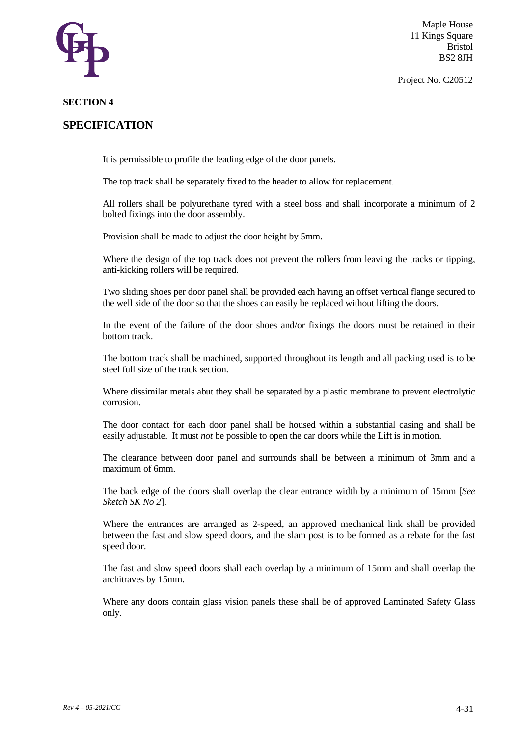

Project No. C20512

# **SECTION 4**

# **SPECIFICATION**

It is permissible to profile the leading edge of the door panels.

The top track shall be separately fixed to the header to allow for replacement.

All rollers shall be polyurethane tyred with a steel boss and shall incorporate a minimum of 2 bolted fixings into the door assembly.

Provision shall be made to adjust the door height by 5mm.

Where the design of the top track does not prevent the rollers from leaving the tracks or tipping, anti-kicking rollers will be required.

Two sliding shoes per door panel shall be provided each having an offset vertical flange secured to the well side of the door so that the shoes can easily be replaced without lifting the doors.

In the event of the failure of the door shoes and/or fixings the doors must be retained in their bottom track.

The bottom track shall be machined, supported throughout its length and all packing used is to be steel full size of the track section.

Where dissimilar metals abut they shall be separated by a plastic membrane to prevent electrolytic corrosion.

The door contact for each door panel shall be housed within a substantial casing and shall be easily adjustable. It must *not* be possible to open the car doors while the Lift is in motion.

The clearance between door panel and surrounds shall be between a minimum of 3mm and a maximum of 6mm.

The back edge of the doors shall overlap the clear entrance width by a minimum of 15mm [*See Sketch SK No 2*].

Where the entrances are arranged as 2-speed, an approved mechanical link shall be provided between the fast and slow speed doors, and the slam post is to be formed as a rebate for the fast speed door.

The fast and slow speed doors shall each overlap by a minimum of 15mm and shall overlap the architraves by 15mm.

Where any doors contain glass vision panels these shall be of approved Laminated Safety Glass only.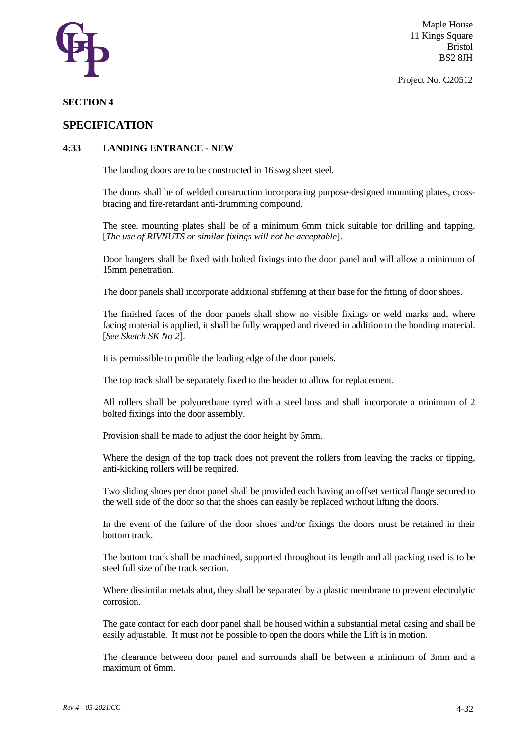

Project No. C20512

#### **SECTION 4**

# **SPECIFICATION**

# **4:33 LANDING ENTRANCE - NEW**

The landing doors are to be constructed in 16 swg sheet steel.

The doors shall be of welded construction incorporating purpose-designed mounting plates, crossbracing and fire-retardant anti-drumming compound.

The steel mounting plates shall be of a minimum 6mm thick suitable for drilling and tapping. [*The use of RIVNUTS or similar fixings will not be acceptable*].

Door hangers shall be fixed with bolted fixings into the door panel and will allow a minimum of 15mm penetration.

The door panels shall incorporate additional stiffening at their base for the fitting of door shoes.

The finished faces of the door panels shall show no visible fixings or weld marks and, where facing material is applied, it shall be fully wrapped and riveted in addition to the bonding material. [*See Sketch SK No 2*].

It is permissible to profile the leading edge of the door panels.

The top track shall be separately fixed to the header to allow for replacement.

All rollers shall be polyurethane tyred with a steel boss and shall incorporate a minimum of 2 bolted fixings into the door assembly.

Provision shall be made to adjust the door height by 5mm.

Where the design of the top track does not prevent the rollers from leaving the tracks or tipping, anti-kicking rollers will be required.

Two sliding shoes per door panel shall be provided each having an offset vertical flange secured to the well side of the door so that the shoes can easily be replaced without lifting the doors.

In the event of the failure of the door shoes and/or fixings the doors must be retained in their bottom track.

The bottom track shall be machined, supported throughout its length and all packing used is to be steel full size of the track section.

Where dissimilar metals abut, they shall be separated by a plastic membrane to prevent electrolytic corrosion.

The gate contact for each door panel shall be housed within a substantial metal casing and shall be easily adjustable. It must *not* be possible to open the doors while the Lift is in motion.

The clearance between door panel and surrounds shall be between a minimum of 3mm and a maximum of 6mm.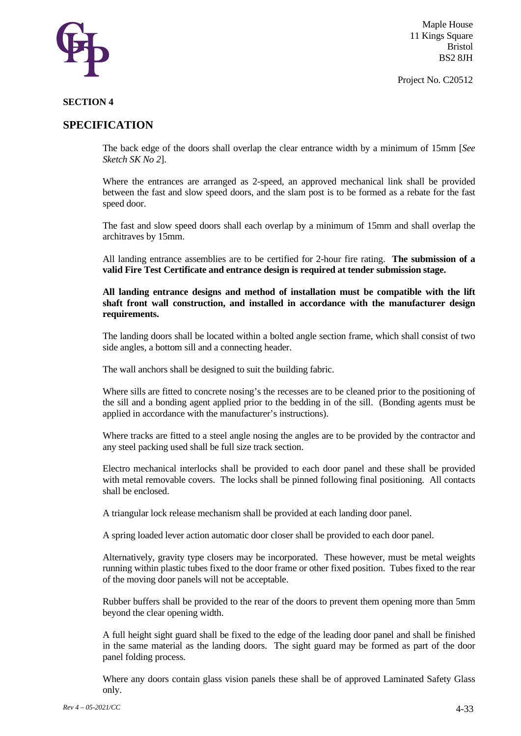

Project No. C20512

# **SECTION 4**

# **SPECIFICATION**

The back edge of the doors shall overlap the clear entrance width by a minimum of 15mm [*See Sketch SK No 2*].

Where the entrances are arranged as 2-speed, an approved mechanical link shall be provided between the fast and slow speed doors, and the slam post is to be formed as a rebate for the fast speed door.

The fast and slow speed doors shall each overlap by a minimum of 15mm and shall overlap the architraves by 15mm.

All landing entrance assemblies are to be certified for 2-hour fire rating. **The submission of a valid Fire Test Certificate and entrance design is required at tender submission stage.** 

**All landing entrance designs and method of installation must be compatible with the lift shaft front wall construction, and installed in accordance with the manufacturer design requirements.** 

The landing doors shall be located within a bolted angle section frame, which shall consist of two side angles, a bottom sill and a connecting header.

The wall anchors shall be designed to suit the building fabric.

Where sills are fitted to concrete nosing's the recesses are to be cleaned prior to the positioning of the sill and a bonding agent applied prior to the bedding in of the sill. (Bonding agents must be applied in accordance with the manufacturer's instructions).

Where tracks are fitted to a steel angle nosing the angles are to be provided by the contractor and any steel packing used shall be full size track section.

Electro mechanical interlocks shall be provided to each door panel and these shall be provided with metal removable covers. The locks shall be pinned following final positioning. All contacts shall be enclosed.

A triangular lock release mechanism shall be provided at each landing door panel.

A spring loaded lever action automatic door closer shall be provided to each door panel.

Alternatively, gravity type closers may be incorporated. These however, must be metal weights running within plastic tubes fixed to the door frame or other fixed position. Tubes fixed to the rear of the moving door panels will not be acceptable.

Rubber buffers shall be provided to the rear of the doors to prevent them opening more than 5mm beyond the clear opening width.

A full height sight guard shall be fixed to the edge of the leading door panel and shall be finished in the same material as the landing doors. The sight guard may be formed as part of the door panel folding process.

Where any doors contain glass vision panels these shall be of approved Laminated Safety Glass only.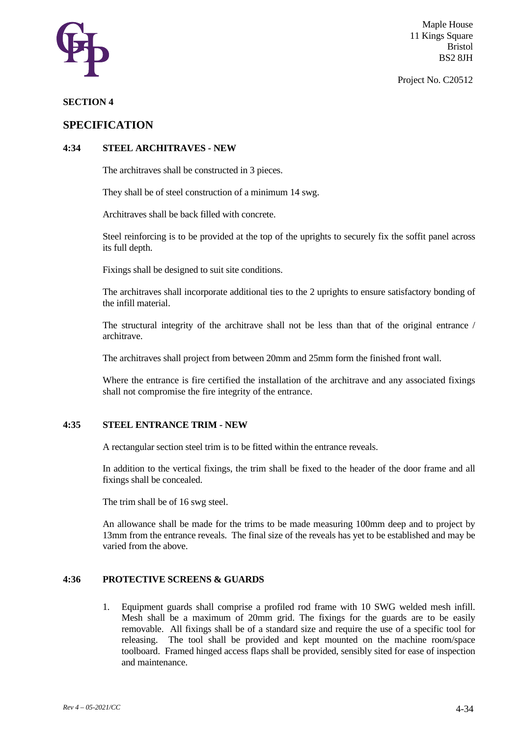

Project No. C20512

# **SECTION 4**

# **SPECIFICATION**

# **4:34 STEEL ARCHITRAVES - NEW**

The architraves shall be constructed in 3 pieces.

They shall be of steel construction of a minimum 14 swg.

Architraves shall be back filled with concrete.

Steel reinforcing is to be provided at the top of the uprights to securely fix the soffit panel across its full depth.

Fixings shall be designed to suit site conditions.

The architraves shall incorporate additional ties to the 2 uprights to ensure satisfactory bonding of the infill material.

The structural integrity of the architrave shall not be less than that of the original entrance / architrave.

The architraves shall project from between 20mm and 25mm form the finished front wall.

Where the entrance is fire certified the installation of the architrave and any associated fixings shall not compromise the fire integrity of the entrance.

## **4:35 STEEL ENTRANCE TRIM - NEW**

A rectangular section steel trim is to be fitted within the entrance reveals.

In addition to the vertical fixings, the trim shall be fixed to the header of the door frame and all fixings shall be concealed.

The trim shall be of 16 swg steel.

An allowance shall be made for the trims to be made measuring 100mm deep and to project by 13mm from the entrance reveals. The final size of the reveals has yet to be established and may be varied from the above.

# **4:36 PROTECTIVE SCREENS & GUARDS**

1. Equipment guards shall comprise a profiled rod frame with 10 SWG welded mesh infill. Mesh shall be a maximum of 20mm grid. The fixings for the guards are to be easily removable. All fixings shall be of a standard size and require the use of a specific tool for releasing. The tool shall be provided and kept mounted on the machine room/space toolboard. Framed hinged access flaps shall be provided, sensibly sited for ease of inspection and maintenance.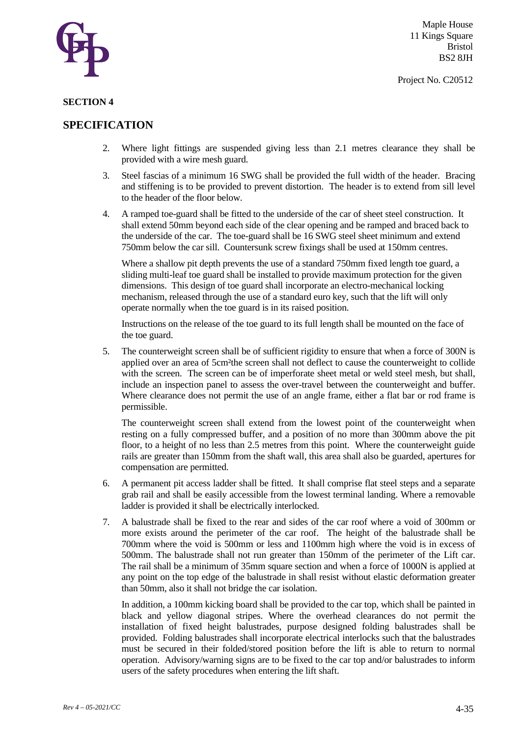

#### **SECTION 4**

# **SPECIFICATION**

- 2. Where light fittings are suspended giving less than 2.1 metres clearance they shall be provided with a wire mesh guard.
- 3. Steel fascias of a minimum 16 SWG shall be provided the full width of the header. Bracing and stiffening is to be provided to prevent distortion. The header is to extend from sill level to the header of the floor below.
- 4. A ramped toe-guard shall be fitted to the underside of the car of sheet steel construction. It shall extend 50mm beyond each side of the clear opening and be ramped and braced back to the underside of the car. The toe-guard shall be 16 SWG steel sheet minimum and extend 750mm below the car sill. Countersunk screw fixings shall be used at 150mm centres.

Where a shallow pit depth prevents the use of a standard 750mm fixed length toe guard, a sliding multi-leaf toe guard shall be installed to provide maximum protection for the given dimensions. This design of toe guard shall incorporate an electro-mechanical locking mechanism, released through the use of a standard euro key, such that the lift will only operate normally when the toe guard is in its raised position.

Instructions on the release of the toe guard to its full length shall be mounted on the face of the toe guard.

5. The counterweight screen shall be of sufficient rigidity to ensure that when a force of 300N is applied over an area of 5cm²the screen shall not deflect to cause the counterweight to collide with the screen. The screen can be of imperforate sheet metal or weld steel mesh, but shall, include an inspection panel to assess the over-travel between the counterweight and buffer. Where clearance does not permit the use of an angle frame, either a flat bar or rod frame is permissible.

The counterweight screen shall extend from the lowest point of the counterweight when resting on a fully compressed buffer, and a position of no more than 300mm above the pit floor, to a height of no less than 2.5 metres from this point. Where the counterweight guide rails are greater than 150mm from the shaft wall, this area shall also be guarded, apertures for compensation are permitted.

- 6. A permanent pit access ladder shall be fitted. It shall comprise flat steel steps and a separate grab rail and shall be easily accessible from the lowest terminal landing. Where a removable ladder is provided it shall be electrically interlocked.
- 7. A balustrade shall be fixed to the rear and sides of the car roof where a void of 300mm or more exists around the perimeter of the car roof. The height of the balustrade shall be 700mm where the void is 500mm or less and 1100mm high where the void is in excess of 500mm. The balustrade shall not run greater than 150mm of the perimeter of the Lift car. The rail shall be a minimum of 35mm square section and when a force of 1000N is applied at any point on the top edge of the balustrade in shall resist without elastic deformation greater than 50mm, also it shall not bridge the car isolation.

In addition, a 100mm kicking board shall be provided to the car top, which shall be painted in black and yellow diagonal stripes. Where the overhead clearances do not permit the installation of fixed height balustrades, purpose designed folding balustrades shall be provided. Folding balustrades shall incorporate electrical interlocks such that the balustrades must be secured in their folded/stored position before the lift is able to return to normal operation. Advisory/warning signs are to be fixed to the car top and/or balustrades to inform users of the safety procedures when entering the lift shaft.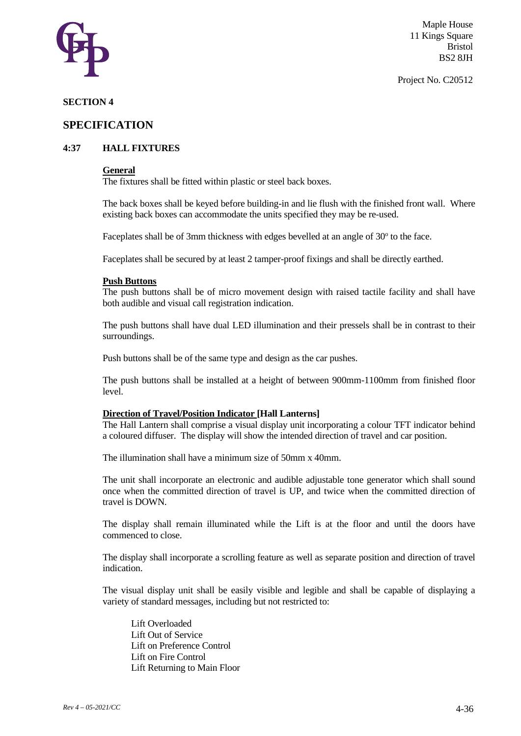

#### Project No. C20512

# **SECTION 4**

# **SPECIFICATION**

# **4:37 HALL FIXTURES**

#### **General**

The fixtures shall be fitted within plastic or steel back boxes.

The back boxes shall be keyed before building-in and lie flush with the finished front wall. Where existing back boxes can accommodate the units specified they may be re-used.

Faceplates shall be of 3mm thickness with edges bevelled at an angle of 30° to the face.

Faceplates shall be secured by at least 2 tamper-proof fixings and shall be directly earthed.

#### **Push Buttons**

The push buttons shall be of micro movement design with raised tactile facility and shall have both audible and visual call registration indication.

The push buttons shall have dual LED illumination and their pressels shall be in contrast to their surroundings.

Push buttons shall be of the same type and design as the car pushes.

The push buttons shall be installed at a height of between 900mm-1100mm from finished floor level.

#### **Direction of Travel/Position Indicator [Hall Lanterns]**

The Hall Lantern shall comprise a visual display unit incorporating a colour TFT indicator behind a coloured diffuser. The display will show the intended direction of travel and car position.

The illumination shall have a minimum size of 50mm x 40mm.

The unit shall incorporate an electronic and audible adjustable tone generator which shall sound once when the committed direction of travel is UP, and twice when the committed direction of travel is DOWN.

The display shall remain illuminated while the Lift is at the floor and until the doors have commenced to close.

The display shall incorporate a scrolling feature as well as separate position and direction of travel indication.

The visual display unit shall be easily visible and legible and shall be capable of displaying a variety of standard messages, including but not restricted to:

Lift Overloaded Lift Out of Service Lift on Preference Control Lift on Fire Control Lift Returning to Main Floor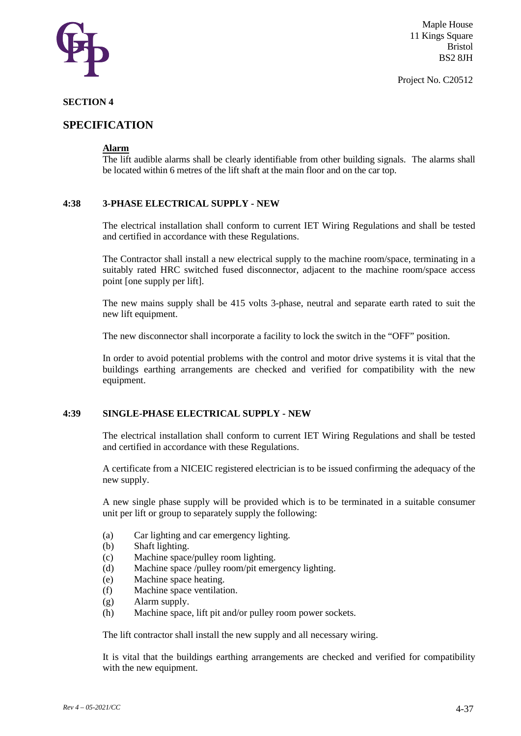

# **SECTION 4**

# **SPECIFICATION**

# **Alarm**

The lift audible alarms shall be clearly identifiable from other building signals. The alarms shall be located within 6 metres of the lift shaft at the main floor and on the car top.

## **4:38 3-PHASE ELECTRICAL SUPPLY - NEW**

The electrical installation shall conform to current IET Wiring Regulations and shall be tested and certified in accordance with these Regulations.

The Contractor shall install a new electrical supply to the machine room/space, terminating in a suitably rated HRC switched fused disconnector, adjacent to the machine room/space access point [one supply per lift].

The new mains supply shall be 415 volts 3-phase, neutral and separate earth rated to suit the new lift equipment.

The new disconnector shall incorporate a facility to lock the switch in the "OFF" position.

In order to avoid potential problems with the control and motor drive systems it is vital that the buildings earthing arrangements are checked and verified for compatibility with the new equipment.

## **4:39 SINGLE-PHASE ELECTRICAL SUPPLY - NEW**

The electrical installation shall conform to current IET Wiring Regulations and shall be tested and certified in accordance with these Regulations.

A certificate from a NICEIC registered electrician is to be issued confirming the adequacy of the new supply.

A new single phase supply will be provided which is to be terminated in a suitable consumer unit per lift or group to separately supply the following:

- (a) Car lighting and car emergency lighting.
- (b) Shaft lighting.
- (c) Machine space/pulley room lighting.
- (d) Machine space /pulley room/pit emergency lighting.
- (e) Machine space heating.
- (f) Machine space ventilation.
- (g) Alarm supply.
- (h) Machine space, lift pit and/or pulley room power sockets.

The lift contractor shall install the new supply and all necessary wiring.

It is vital that the buildings earthing arrangements are checked and verified for compatibility with the new equipment.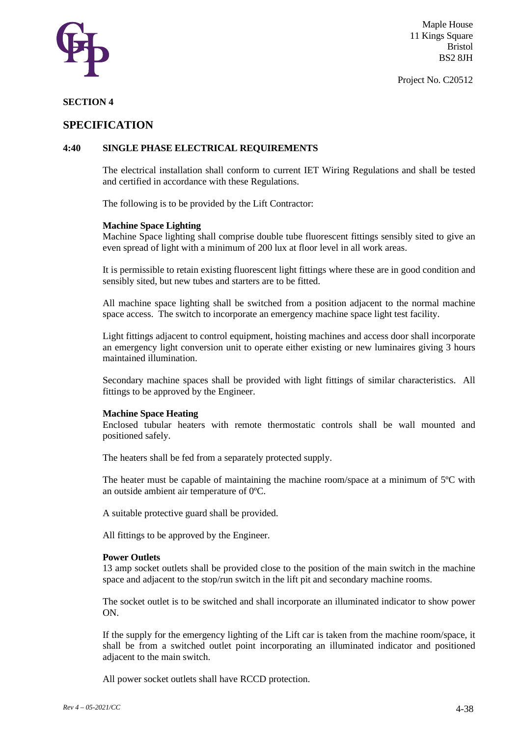

Project No. C20512

# **SECTION 4**

# **SPECIFICATION**

# **4:40 SINGLE PHASE ELECTRICAL REQUIREMENTS**

The electrical installation shall conform to current IET Wiring Regulations and shall be tested and certified in accordance with these Regulations.

The following is to be provided by the Lift Contractor:

#### **Machine Space Lighting**

Machine Space lighting shall comprise double tube fluorescent fittings sensibly sited to give an even spread of light with a minimum of 200 lux at floor level in all work areas.

It is permissible to retain existing fluorescent light fittings where these are in good condition and sensibly sited, but new tubes and starters are to be fitted.

All machine space lighting shall be switched from a position adjacent to the normal machine space access. The switch to incorporate an emergency machine space light test facility.

Light fittings adjacent to control equipment, hoisting machines and access door shall incorporate an emergency light conversion unit to operate either existing or new luminaires giving 3 hours maintained illumination.

Secondary machine spaces shall be provided with light fittings of similar characteristics. All fittings to be approved by the Engineer.

#### **Machine Space Heating**

Enclosed tubular heaters with remote thermostatic controls shall be wall mounted and positioned safely.

The heaters shall be fed from a separately protected supply.

The heater must be capable of maintaining the machine room/space at a minimum of 5ºC with an outside ambient air temperature of 0ºC.

A suitable protective guard shall be provided.

All fittings to be approved by the Engineer.

#### **Power Outlets**

13 amp socket outlets shall be provided close to the position of the main switch in the machine space and adjacent to the stop/run switch in the lift pit and secondary machine rooms.

The socket outlet is to be switched and shall incorporate an illuminated indicator to show power ON.

If the supply for the emergency lighting of the Lift car is taken from the machine room/space, it shall be from a switched outlet point incorporating an illuminated indicator and positioned adjacent to the main switch.

All power socket outlets shall have RCCD protection.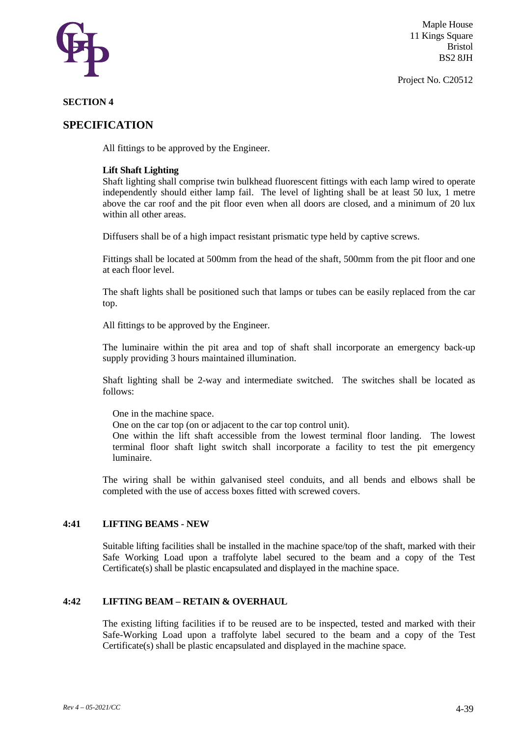

Project No. C20512

# **SECTION 4**

# **SPECIFICATION**

All fittings to be approved by the Engineer.

#### **Lift Shaft Lighting**

Shaft lighting shall comprise twin bulkhead fluorescent fittings with each lamp wired to operate independently should either lamp fail. The level of lighting shall be at least 50 lux, 1 metre above the car roof and the pit floor even when all doors are closed, and a minimum of 20 lux within all other areas.

Diffusers shall be of a high impact resistant prismatic type held by captive screws.

Fittings shall be located at 500mm from the head of the shaft, 500mm from the pit floor and one at each floor level.

The shaft lights shall be positioned such that lamps or tubes can be easily replaced from the car top.

All fittings to be approved by the Engineer.

The luminaire within the pit area and top of shaft shall incorporate an emergency back-up supply providing 3 hours maintained illumination.

Shaft lighting shall be 2-way and intermediate switched. The switches shall be located as follows:

One in the machine space.

One on the car top (on or adjacent to the car top control unit).

One within the lift shaft accessible from the lowest terminal floor landing. The lowest terminal floor shaft light switch shall incorporate a facility to test the pit emergency luminaire.

The wiring shall be within galvanised steel conduits, and all bends and elbows shall be completed with the use of access boxes fitted with screwed covers.

#### **4:41 LIFTING BEAMS - NEW**

Suitable lifting facilities shall be installed in the machine space/top of the shaft, marked with their Safe Working Load upon a traffolyte label secured to the beam and a copy of the Test Certificate(s) shall be plastic encapsulated and displayed in the machine space.

# **4:42 LIFTING BEAM – RETAIN & OVERHAUL**

The existing lifting facilities if to be reused are to be inspected, tested and marked with their Safe-Working Load upon a traffolyte label secured to the beam and a copy of the Test Certificate(s) shall be plastic encapsulated and displayed in the machine space.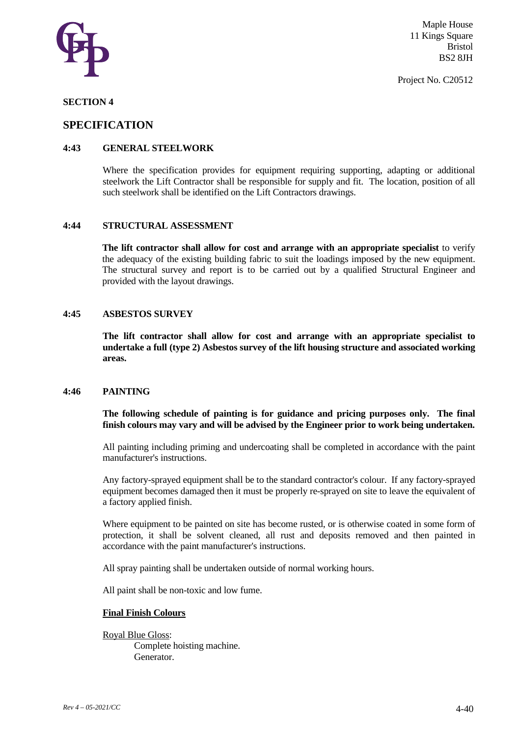

Project No. C20512

## **SECTION 4**

# **SPECIFICATION**

# **4:43 GENERAL STEELWORK**

Where the specification provides for equipment requiring supporting, adapting or additional steelwork the Lift Contractor shall be responsible for supply and fit. The location, position of all such steelwork shall be identified on the Lift Contractors drawings.

#### **4:44 STRUCTURAL ASSESSMENT**

**The lift contractor shall allow for cost and arrange with an appropriate specialist** to verify the adequacy of the existing building fabric to suit the loadings imposed by the new equipment. The structural survey and report is to be carried out by a qualified Structural Engineer and provided with the layout drawings.

#### **4:45 ASBESTOS SURVEY**

**The lift contractor shall allow for cost and arrange with an appropriate specialist to undertake a full (type 2) Asbestos survey of the lift housing structure and associated working areas.** 

#### **4:46 PAINTING**

**The following schedule of painting is for guidance and pricing purposes only. The final finish colours may vary and will be advised by the Engineer prior to work being undertaken.**

All painting including priming and undercoating shall be completed in accordance with the paint manufacturer's instructions.

Any factory-sprayed equipment shall be to the standard contractor's colour. If any factory-sprayed equipment becomes damaged then it must be properly re-sprayed on site to leave the equivalent of a factory applied finish.

Where equipment to be painted on site has become rusted, or is otherwise coated in some form of protection, it shall be solvent cleaned, all rust and deposits removed and then painted in accordance with the paint manufacturer's instructions.

All spray painting shall be undertaken outside of normal working hours.

All paint shall be non-toxic and low fume.

#### **Final Finish Colours**

Royal Blue Gloss: Complete hoisting machine. Generator.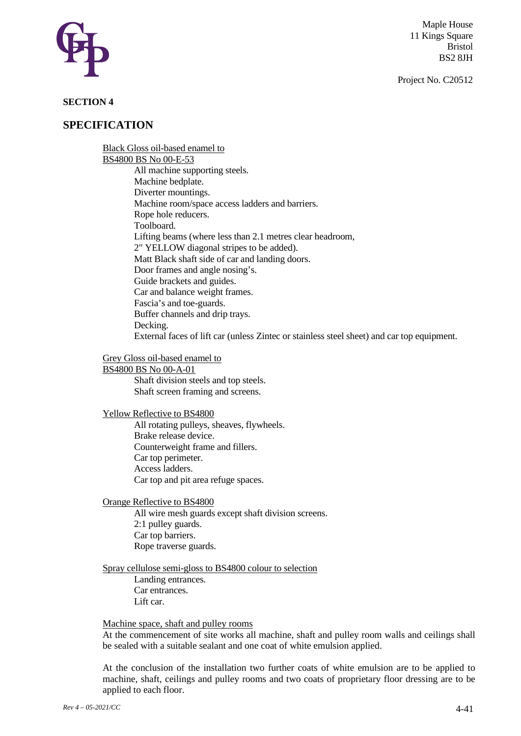

Project No. C20512

# **SECTION 4**

# **SPECIFICATION**

Black Gloss oil-based enamel to BS4800 BS No 00-E-53 All machine supporting steels. Machine bedplate. Diverter mountings. Machine room/space access ladders and barriers. Rope hole reducers. Toolboard. Lifting beams (where less than 2.1 metres clear headroom, 2" YELLOW diagonal stripes to be added). Matt Black shaft side of car and landing doors. Door frames and angle nosing's. Guide brackets and guides. Car and balance weight frames. Fascia's and toe-guards. Buffer channels and drip trays. Decking. External faces of lift car (unless Zintec or stainless steel sheet) and car top equipment.

# Grey Gloss oil-based enamel to

BS4800 BS No 00-A-01 Shaft division steels and top steels. Shaft screen framing and screens.

Yellow Reflective to BS4800

All rotating pulleys, sheaves, flywheels. Brake release device. Counterweight frame and fillers. Car top perimeter. Access ladders. Car top and pit area refuge spaces.

Orange Reflective to BS4800

All wire mesh guards except shaft division screens. 2:1 pulley guards. Car top barriers. Rope traverse guards.

Spray cellulose semi-gloss to BS4800 colour to selection

Landing entrances. Car entrances. Lift car.

## Machine space, shaft and pulley rooms

At the commencement of site works all machine, shaft and pulley room walls and ceilings shall be sealed with a suitable sealant and one coat of white emulsion applied.

At the conclusion of the installation two further coats of white emulsion are to be applied to machine, shaft, ceilings and pulley rooms and two coats of proprietary floor dressing are to be applied to each floor.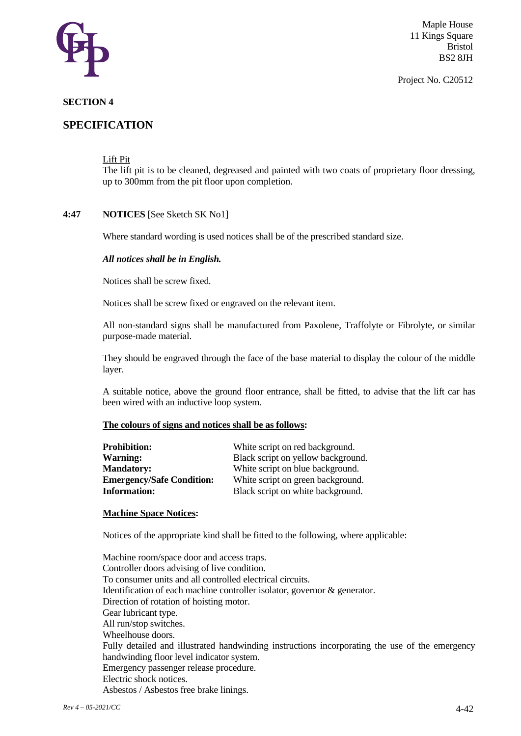

#### Project No. C20512

# **SECTION 4**

# **SPECIFICATION**

Lift Pit

The lift pit is to be cleaned, degreased and painted with two coats of proprietary floor dressing, up to 300mm from the pit floor upon completion.

# **4:47 NOTICES** [See Sketch SK No1]

Where standard wording is used notices shall be of the prescribed standard size.

#### *All notices shall be in English.*

Notices shall be screw fixed.

Notices shall be screw fixed or engraved on the relevant item.

All non-standard signs shall be manufactured from Paxolene, Traffolyte or Fibrolyte, or similar purpose-made material.

They should be engraved through the face of the base material to display the colour of the middle layer.

A suitable notice, above the ground floor entrance, shall be fitted, to advise that the lift car has been wired with an inductive loop system.

## **The colours of signs and notices shall be as follows:**

| <b>Prohibition:</b>              | White script on red background.    |
|----------------------------------|------------------------------------|
| <b>Warning:</b>                  | Black script on yellow background. |
| <b>Mandatory:</b>                | White script on blue background.   |
| <b>Emergency/Safe Condition:</b> | White script on green background.  |
| <b>Information:</b>              | Black script on white background.  |

# **Machine Space Notices:**

Notices of the appropriate kind shall be fitted to the following, where applicable:

Machine room/space door and access traps. Controller doors advising of live condition. To consumer units and all controlled electrical circuits. Identification of each machine controller isolator, governor & generator. Direction of rotation of hoisting motor. Gear lubricant type. All run/stop switches. Wheelhouse doors. Fully detailed and illustrated handwinding instructions incorporating the use of the emergency handwinding floor level indicator system. Emergency passenger release procedure. Electric shock notices. Asbestos / Asbestos free brake linings.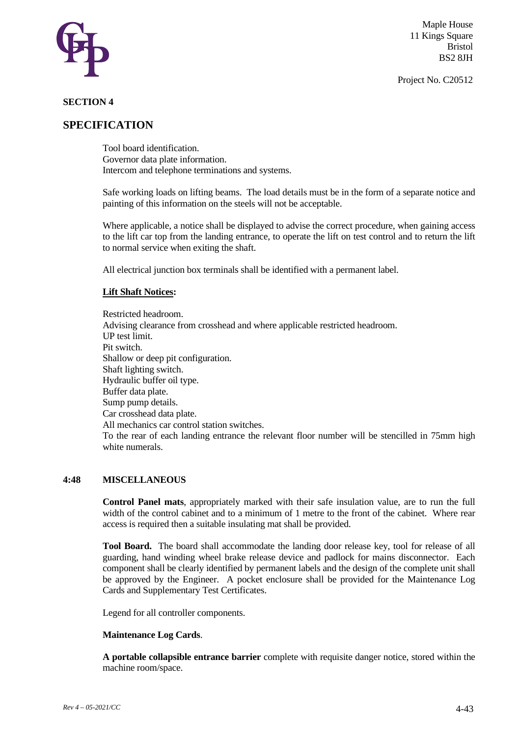

Project No. C20512

# **SECTION 4**

# **SPECIFICATION**

Tool board identification. Governor data plate information. Intercom and telephone terminations and systems.

Safe working loads on lifting beams. The load details must be in the form of a separate notice and painting of this information on the steels will not be acceptable.

Where applicable, a notice shall be displayed to advise the correct procedure, when gaining access to the lift car top from the landing entrance, to operate the lift on test control and to return the lift to normal service when exiting the shaft.

All electrical junction box terminals shall be identified with a permanent label.

#### **Lift Shaft Notices:**

Restricted headroom. Advising clearance from crosshead and where applicable restricted headroom. UP test limit. Pit switch. Shallow or deep pit configuration. Shaft lighting switch. Hydraulic buffer oil type. Buffer data plate. Sump pump details. Car crosshead data plate. All mechanics car control station switches. To the rear of each landing entrance the relevant floor number will be stencilled in 75mm high white numerals.

## **4:48 MISCELLANEOUS**

**Control Panel mats**, appropriately marked with their safe insulation value, are to run the full width of the control cabinet and to a minimum of 1 metre to the front of the cabinet. Where rear access is required then a suitable insulating mat shall be provided.

**Tool Board.** The board shall accommodate the landing door release key, tool for release of all guarding, hand winding wheel brake release device and padlock for mains disconnector. Each component shall be clearly identified by permanent labels and the design of the complete unit shall be approved by the Engineer. A pocket enclosure shall be provided for the Maintenance Log Cards and Supplementary Test Certificates.

Legend for all controller components.

#### **Maintenance Log Cards**.

**A portable collapsible entrance barrier** complete with requisite danger notice, stored within the machine room/space.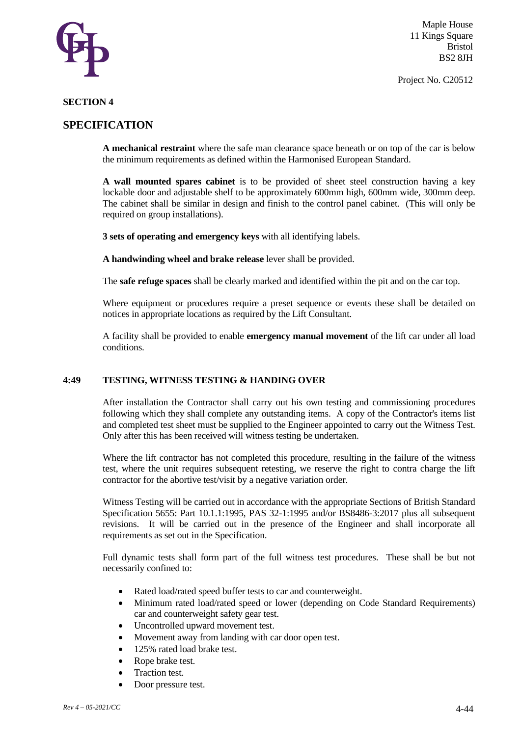

Project No. C20512

# **SECTION 4**

# **SPECIFICATION**

**A mechanical restraint** where the safe man clearance space beneath or on top of the car is below the minimum requirements as defined within the Harmonised European Standard.

**A wall mounted spares cabinet** is to be provided of sheet steel construction having a key lockable door and adjustable shelf to be approximately 600mm high, 600mm wide, 300mm deep. The cabinet shall be similar in design and finish to the control panel cabinet. (This will only be required on group installations).

**3 sets of operating and emergency keys** with all identifying labels.

**A handwinding wheel and brake release** lever shall be provided.

The **safe refuge spaces** shall be clearly marked and identified within the pit and on the car top.

Where equipment or procedures require a preset sequence or events these shall be detailed on notices in appropriate locations as required by the Lift Consultant.

A facility shall be provided to enable **emergency manual movement** of the lift car under all load conditions.

## **4:49 TESTING, WITNESS TESTING & HANDING OVER**

After installation the Contractor shall carry out his own testing and commissioning procedures following which they shall complete any outstanding items. A copy of the Contractor's items list and completed test sheet must be supplied to the Engineer appointed to carry out the Witness Test. Only after this has been received will witness testing be undertaken.

Where the lift contractor has not completed this procedure, resulting in the failure of the witness test, where the unit requires subsequent retesting, we reserve the right to contra charge the lift contractor for the abortive test/visit by a negative variation order.

Witness Testing will be carried out in accordance with the appropriate Sections of British Standard Specification 5655: Part 10.1.1:1995, PAS 32-1:1995 and/or BS8486-3:2017 plus all subsequent revisions. It will be carried out in the presence of the Engineer and shall incorporate all requirements as set out in the Specification.

Full dynamic tests shall form part of the full witness test procedures. These shall be but not necessarily confined to:

- Rated load/rated speed buffer tests to car and counterweight.
- Minimum rated load/rated speed or lower (depending on Code Standard Requirements) car and counterweight safety gear test.
- Uncontrolled upward movement test.
- Movement away from landing with car door open test.
- 125% rated load brake test.
- Rope brake test.
- Traction test.
- Door pressure test.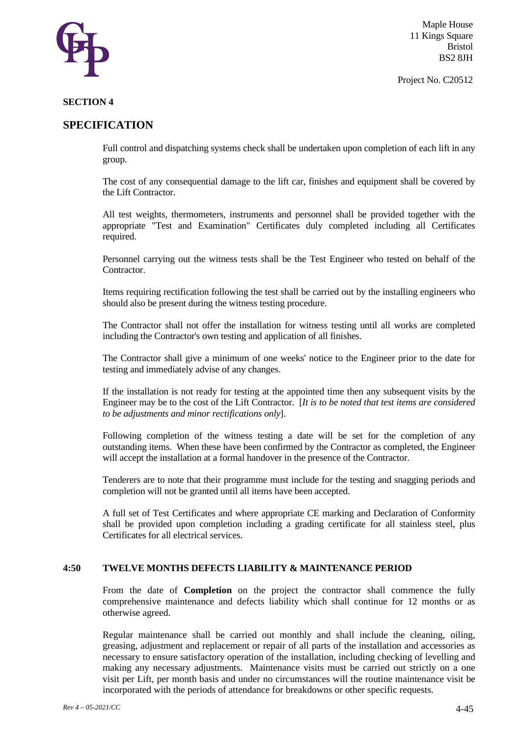

Project No. C20512

# **SECTION 4**

# **SPECIFICATION**

Full control and dispatching systems check shall be undertaken upon completion of each lift in any group.

The cost of any consequential damage to the lift car, finishes and equipment shall be covered by the Lift Contractor.

All test weights, thermometers, instruments and personnel shall be provided together with the appropriate "Test and Examination" Certificates duly completed including all Certificates required.

Personnel carrying out the witness tests shall be the Test Engineer who tested on behalf of the Contractor.

Items requiring rectification following the test shall be carried out by the installing engineers who should also be present during the witness testing procedure.

The Contractor shall not offer the installation for witness testing until all works are completed including the Contractor's own testing and application of all finishes.

The Contractor shall give a minimum of one weeks' notice to the Engineer prior to the date for testing and immediately advise of any changes.

If the installation is not ready for testing at the appointed time then any subsequent visits by the Engineer may be to the cost of the Lift Contractor. [*It is to be noted that test items are considered to be adjustments and minor rectifications only*].

Following completion of the witness testing a date will be set for the completion of any outstanding items. When these have been confirmed by the Contractor as completed, the Engineer will accept the installation at a formal handover in the presence of the Contractor.

Tenderers are to note that their programme must include for the testing and snagging periods and completion will not be granted until all items have been accepted.

A full set of Test Certificates and where appropriate CE marking and Declaration of Conformity shall be provided upon completion including a grading certificate for all stainless steel, plus Certificates for all electrical services.

## **4:50 TWELVE MONTHS DEFECTS LIABILITY & MAINTENANCE PERIOD**

From the date of **Completion** on the project the contractor shall commence the fully comprehensive maintenance and defects liability which shall continue for 12 months or as otherwise agreed.

Regular maintenance shall be carried out monthly and shall include the cleaning, oiling, greasing, adjustment and replacement or repair of all parts of the installation and accessories as necessary to ensure satisfactory operation of the installation, including checking of levelling and making any necessary adjustments. Maintenance visits must be carried out strictly on a one visit per Lift, per month basis and under no circumstances will the routine maintenance visit be incorporated with the periods of attendance for breakdowns or other specific requests.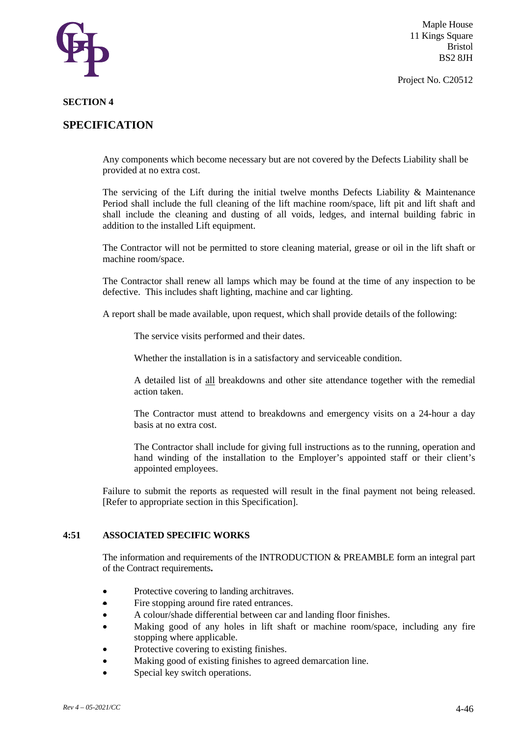

Project No. C20512

#### **SECTION 4**

# **SPECIFICATION**

Any components which become necessary but are not covered by the Defects Liability shall be provided at no extra cost.

The servicing of the Lift during the initial twelve months Defects Liability & Maintenance Period shall include the full cleaning of the lift machine room/space, lift pit and lift shaft and shall include the cleaning and dusting of all voids, ledges, and internal building fabric in addition to the installed Lift equipment.

The Contractor will not be permitted to store cleaning material, grease or oil in the lift shaft or machine room/space.

The Contractor shall renew all lamps which may be found at the time of any inspection to be defective. This includes shaft lighting, machine and car lighting.

A report shall be made available, upon request, which shall provide details of the following:

The service visits performed and their dates.

Whether the installation is in a satisfactory and serviceable condition.

A detailed list of all breakdowns and other site attendance together with the remedial action taken.

The Contractor must attend to breakdowns and emergency visits on a 24-hour a day basis at no extra cost.

The Contractor shall include for giving full instructions as to the running, operation and hand winding of the installation to the Employer's appointed staff or their client's appointed employees.

Failure to submit the reports as requested will result in the final payment not being released. [Refer to appropriate section in this Specification].

#### **4:51 ASSOCIATED SPECIFIC WORKS**

The information and requirements of the INTRODUCTION  $&$  PREAMBLE form an integral part of the Contract requirements**.**

- Protective covering to landing architraves.
- Fire stopping around fire rated entrances.
- A colour/shade differential between car and landing floor finishes.
- Making good of any holes in lift shaft or machine room/space, including any fire stopping where applicable.
- Protective covering to existing finishes.
- Making good of existing finishes to agreed demarcation line.
- Special key switch operations.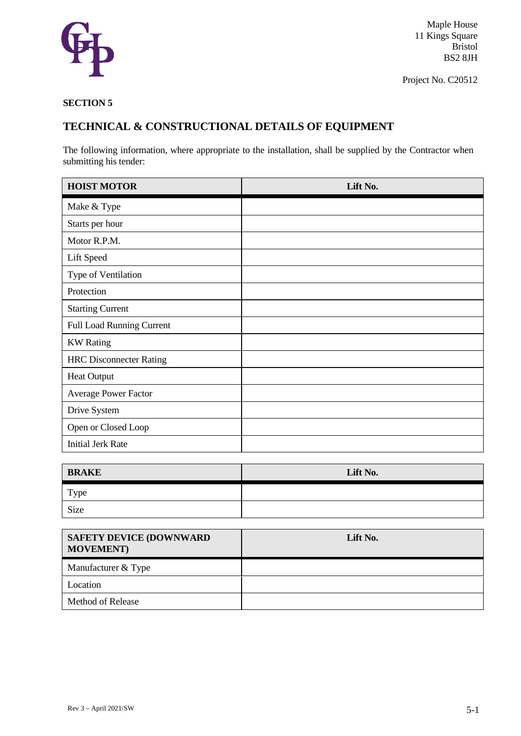

Project No. C20512

# **SECTION 5**

# **TECHNICAL & CONSTRUCTIONAL DETAILS OF EQUIPMENT**

The following information, where appropriate to the installation, shall be supplied by the Contractor when submitting his tender:

| <b>HOIST MOTOR</b>             | Lift No. |
|--------------------------------|----------|
| Make & Type                    |          |
| Starts per hour                |          |
| Motor R.P.M.                   |          |
| Lift Speed                     |          |
| Type of Ventilation            |          |
| Protection                     |          |
| <b>Starting Current</b>        |          |
| Full Load Running Current      |          |
| <b>KW</b> Rating               |          |
| <b>HRC Disconnecter Rating</b> |          |
| <b>Heat Output</b>             |          |
| Average Power Factor           |          |
| Drive System                   |          |
| Open or Closed Loop            |          |
| <b>Initial Jerk Rate</b>       |          |

| <b>BRAKE</b> | Lift No. |
|--------------|----------|
| Type         |          |
| Size         |          |

| <b>SAFETY DEVICE (DOWNWARD</b><br><b>MOVEMENT</b> ) | Lift No. |
|-----------------------------------------------------|----------|
| Manufacturer & Type                                 |          |
| Location                                            |          |
| <b>Method of Release</b>                            |          |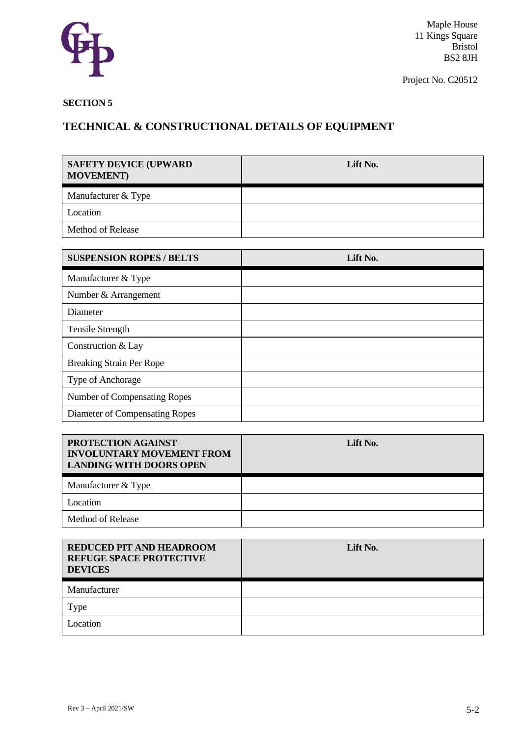

Project No. C20512

# **SECTION 5**

| <b>SAFETY DEVICE (UPWARD)</b><br><b>MOVEMENT</b> ) | Lift No. |
|----------------------------------------------------|----------|
| Manufacturer & Type                                |          |
| Location                                           |          |
| <b>Method of Release</b>                           |          |

| <b>SUSPENSION ROPES / BELTS</b> | Lift No. |
|---------------------------------|----------|
| Manufacturer & Type             |          |
| Number & Arrangement            |          |
| Diameter                        |          |
| <b>Tensile Strength</b>         |          |
| Construction & Lay              |          |
| <b>Breaking Strain Per Rope</b> |          |
| Type of Anchorage               |          |
| Number of Compensating Ropes    |          |
| Diameter of Compensating Ropes  |          |

| PROTECTION AGAINST<br><b>INVOLUNTARY MOVEMENT FROM</b><br><b>LANDING WITH DOORS OPEN</b> | Lift No. |
|------------------------------------------------------------------------------------------|----------|
| Manufacturer & Type                                                                      |          |
| Location                                                                                 |          |
| <b>Method of Release</b>                                                                 |          |

| REDUCED PIT AND HEADROOM<br><b>REFUGE SPACE PROTECTIVE</b><br><b>DEVICES</b> | Lift No. |
|------------------------------------------------------------------------------|----------|
| Manufacturer                                                                 |          |
| Гуре                                                                         |          |
| Location                                                                     |          |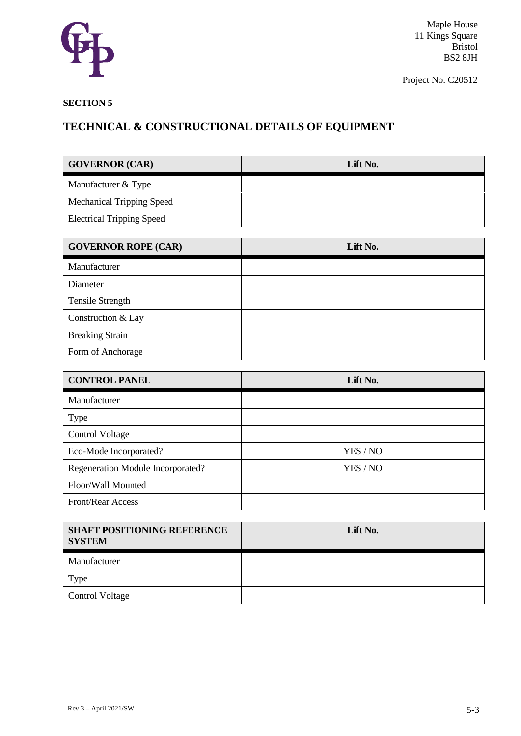

Project No. C20512

# **SECTION 5**

| <b>GOVERNOR (CAR)</b>            | Lift No. |
|----------------------------------|----------|
| Manufacturer & Type              |          |
| <b>Mechanical Tripping Speed</b> |          |
| <b>Electrical Tripping Speed</b> |          |

| <b>GOVERNOR ROPE (CAR)</b> | Lift No. |
|----------------------------|----------|
| Manufacturer               |          |
| Diameter                   |          |
| <b>Tensile Strength</b>    |          |
| Construction & Lay         |          |
| <b>Breaking Strain</b>     |          |
| Form of Anchorage          |          |

| <b>CONTROL PANEL</b>              | Lift No. |
|-----------------------------------|----------|
| Manufacturer                      |          |
| <b>Type</b>                       |          |
| <b>Control Voltage</b>            |          |
| Eco-Mode Incorporated?            | YES / NO |
| Regeneration Module Incorporated? | YES / NO |
| Floor/Wall Mounted                |          |
| <b>Front/Rear Access</b>          |          |

| <b>SHAFT POSITIONING REFERENCE</b><br><b>SYSTEM</b> | Lift No. |
|-----------------------------------------------------|----------|
| Manufacturer                                        |          |
| Type                                                |          |
| <b>Control Voltage</b>                              |          |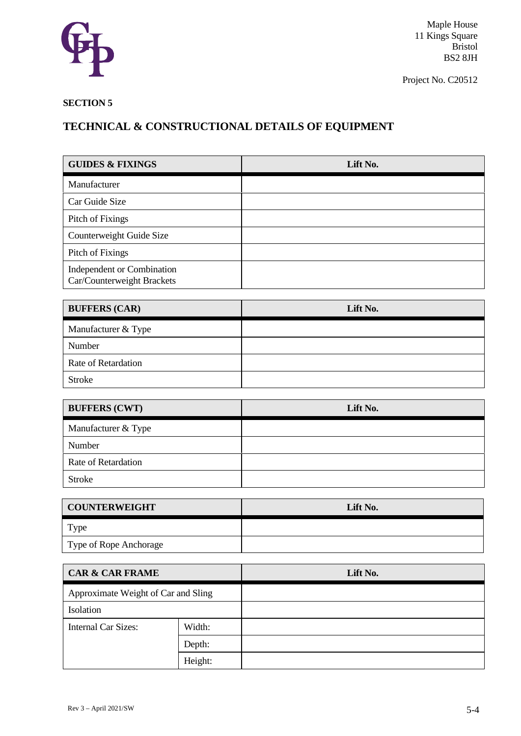

Project No. C20512

# **SECTION 5**

| <b>GUIDES &amp; FIXINGS</b>                              |         | Lift No. |
|----------------------------------------------------------|---------|----------|
| Manufacturer                                             |         |          |
| Car Guide Size                                           |         |          |
| Pitch of Fixings                                         |         |          |
| Counterweight Guide Size                                 |         |          |
| Pitch of Fixings                                         |         |          |
| Independent or Combination<br>Car/Counterweight Brackets |         |          |
| <b>BUFFERS (CAR)</b>                                     |         | Lift No. |
| Manufacturer & Type                                      |         |          |
| Number                                                   |         |          |
| Rate of Retardation                                      |         |          |
| <b>Stroke</b>                                            |         |          |
|                                                          |         |          |
| <b>BUFFERS (CWT)</b>                                     |         | Lift No. |
| Manufacturer & Type                                      |         |          |
| Number                                                   |         |          |
| Rate of Retardation                                      |         |          |
| <b>Stroke</b>                                            |         |          |
|                                                          |         |          |
| <b>COUNTERWEIGHT</b>                                     |         | Lift No. |
| Type                                                     |         |          |
| Type of Rope Anchorage                                   |         |          |
| <b>CAR &amp; CAR FRAME</b>                               |         | Lift No. |
| Approximate Weight of Car and Sling                      |         |          |
| Isolation                                                |         |          |
| <b>Internal Car Sizes:</b>                               | Width:  |          |
|                                                          | Depth:  |          |
|                                                          | Height: |          |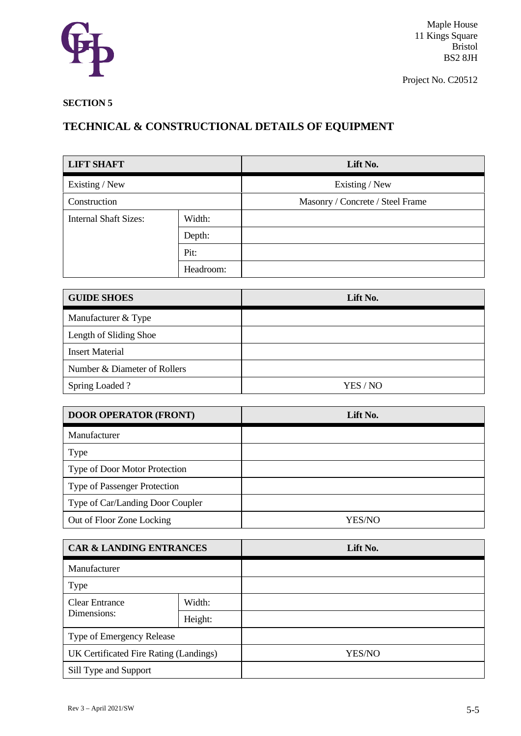

Project No. C20512

# **SECTION 5**

| <b>LIFT SHAFT</b>            |           | Lift No.                         |
|------------------------------|-----------|----------------------------------|
| Existing / New               |           | Existing / New                   |
| Construction                 |           | Masonry / Concrete / Steel Frame |
| <b>Internal Shaft Sizes:</b> | Width:    |                                  |
|                              | Depth:    |                                  |
|                              | Pit:      |                                  |
|                              | Headroom: |                                  |

| <b>GUIDE SHOES</b>           | Lift No. |
|------------------------------|----------|
| Manufacturer & Type          |          |
| Length of Sliding Shoe       |          |
| <b>Insert Material</b>       |          |
| Number & Diameter of Rollers |          |
| Spring Loaded?               | YES / NO |

| <b>DOOR OPERATOR (FRONT)</b>        | Lift No. |
|-------------------------------------|----------|
| Manufacturer                        |          |
| Type                                |          |
| Type of Door Motor Protection       |          |
| <b>Type of Passenger Protection</b> |          |
| Type of Car/Landing Door Coupler    |          |
| Out of Floor Zone Locking           | YES/NO   |

| <b>CAR &amp; LANDING ENTRANCES</b>     |         | Lift No. |
|----------------------------------------|---------|----------|
| Manufacturer                           |         |          |
| <b>Type</b>                            |         |          |
| <b>Clear Entrance</b>                  | Width:  |          |
| Dimensions:                            | Height: |          |
| Type of Emergency Release              |         |          |
| UK Certificated Fire Rating (Landings) |         | YES/NO   |
| Sill Type and Support                  |         |          |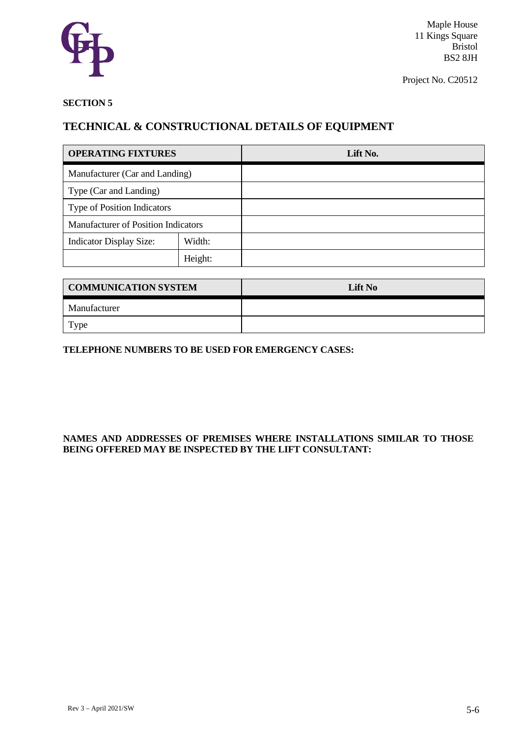

Project No. C20512

# **SECTION 5**

# **TECHNICAL & CONSTRUCTIONAL DETAILS OF EQUIPMENT**

| <b>OPERATING FIXTURES</b>                  |         | Lift No. |
|--------------------------------------------|---------|----------|
| Manufacturer (Car and Landing)             |         |          |
| Type (Car and Landing)                     |         |          |
| <b>Type of Position Indicators</b>         |         |          |
| <b>Manufacturer of Position Indicators</b> |         |          |
| <b>Indicator Display Size:</b>             | Width:  |          |
|                                            | Height: |          |

| <b>COMMUNICATION SYSTEM</b> | Lift No |
|-----------------------------|---------|
| Manufacturer                |         |
| Type                        |         |

# **TELEPHONE NUMBERS TO BE USED FOR EMERGENCY CASES:**

# **NAMES AND ADDRESSES OF PREMISES WHERE INSTALLATIONS SIMILAR TO THOSE BEING OFFERED MAY BE INSPECTED BY THE LIFT CONSULTANT:**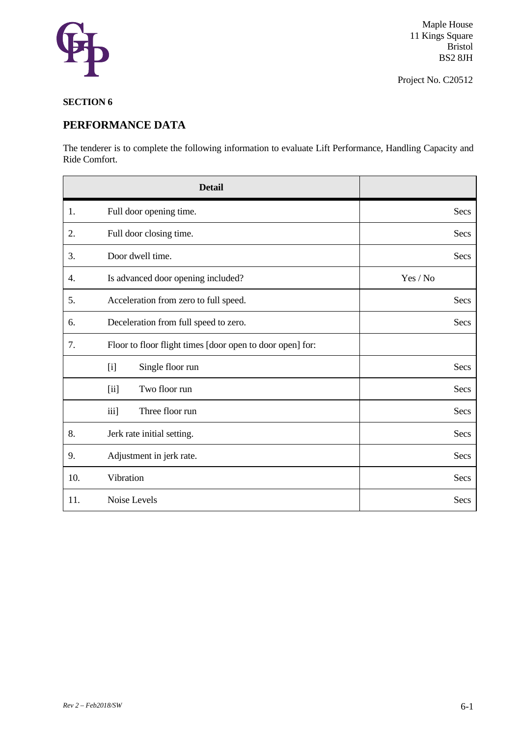

Project No. C20512

# **SECTION 6**

# **PERFORMANCE DATA**

The tenderer is to complete the following information to evaluate Lift Performance, Handling Capacity and Ride Comfort.

|     | <b>Detail</b>                                             |          |
|-----|-----------------------------------------------------------|----------|
| 1.  | Full door opening time.                                   | Secs     |
| 2.  | Full door closing time.                                   | Secs     |
| 3.  | Door dwell time.                                          | Secs     |
| 4.  | Is advanced door opening included?                        | Yes / No |
| 5.  | Acceleration from zero to full speed.                     | Secs     |
| 6.  | Deceleration from full speed to zero.                     | Secs     |
| 7.  | Floor to floor flight times [door open to door open] for: |          |
|     | [i]<br>Single floor run                                   | Secs     |
|     | Two floor run<br>[ii]                                     | Secs     |
|     | iii]<br>Three floor run                                   | Secs     |
| 8.  | Jerk rate initial setting.                                | Secs     |
| 9.  | Adjustment in jerk rate.                                  | Secs     |
| 10. | Vibration                                                 | Secs     |
| 11. | Noise Levels                                              | Secs     |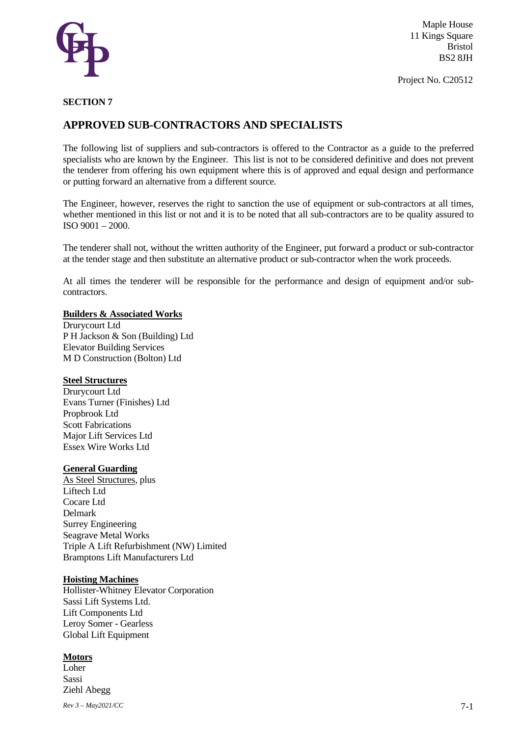

Project No. C20512

#### **SECTION 7**

# **APPROVED SUB-CONTRACTORS AND SPECIALISTS**

The following list of suppliers and sub-contractors is offered to the Contractor as a guide to the preferred specialists who are known by the Engineer. This list is not to be considered definitive and does not prevent the tenderer from offering his own equipment where this is of approved and equal design and performance or putting forward an alternative from a different source.

The Engineer, however, reserves the right to sanction the use of equipment or sub-contractors at all times, whether mentioned in this list or not and it is to be noted that all sub-contractors are to be quality assured to ISO 9001 – 2000.

The tenderer shall not, without the written authority of the Engineer, put forward a product or sub-contractor at the tender stage and then substitute an alternative product or sub-contractor when the work proceeds.

At all times the tenderer will be responsible for the performance and design of equipment and/or subcontractors.

#### **Builders & Associated Works**

Drurycourt Ltd P H Jackson & Son (Building) Ltd Elevator Building Services M D Construction (Bolton) Ltd

#### **Steel Structures**

Drurycourt Ltd Evans Turner (Finishes) Ltd Propbrook Ltd Scott Fabrications Major Lift Services Ltd Essex Wire Works Ltd

#### **General Guarding**

As Steel Structures, plus Liftech Ltd Cocare Ltd Delmark Surrey Engineering Seagrave Metal Works Triple A Lift Refurbishment (NW) Limited Bramptons Lift Manufacturers Ltd

#### **Hoisting Machines**

Hollister-Whitney Elevator Corporation Sassi Lift Systems Ltd. Lift Components Ltd Leroy Somer - Gearless Global Lift Equipment

#### **Motors**

Loher Sassi Ziehl Abegg

*Rev 3 – May2021/CC* 7-1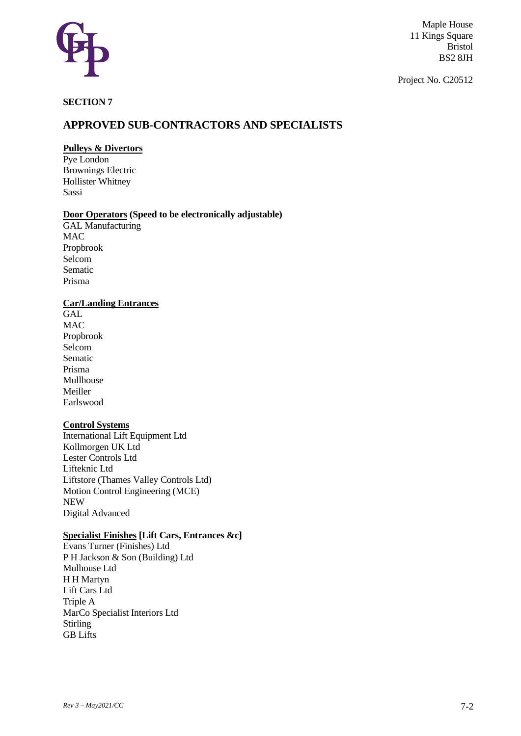

Project No. C20512

# **SECTION 7**

# **APPROVED SUB-CONTRACTORS AND SPECIALISTS**

# **Pulleys & Divertors**

Pye London Brownings Electric Hollister Whitney Sassi

## **Door Operators (Speed to be electronically adjustable)**

GAL Manufacturing MAC Propbrook Selcom Sematic Prisma

# **Car/Landing Entrances**

**GAL** MAC Propbrook Selcom Sematic Prisma Mullhouse Meiller Earlswood

## **Control Systems**

International Lift Equipment Ltd Kollmorgen UK Ltd Lester Controls Ltd Lifteknic Ltd Liftstore (Thames Valley Controls Ltd) Motion Control Engineering (MCE) NEW Digital Advanced

# **Specialist Finishes [Lift Cars, Entrances &c]**

Evans Turner (Finishes) Ltd P H Jackson & Son (Building) Ltd Mulhouse Ltd H H Martyn Lift Cars Ltd Triple A MarCo Specialist Interiors Ltd Stirling GB Lifts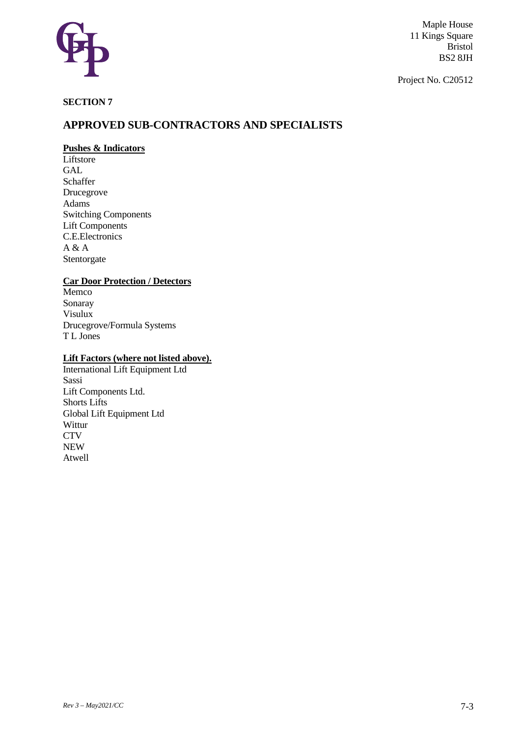

Project No. C20512

# **SECTION 7**

# **APPROVED SUB-CONTRACTORS AND SPECIALISTS**

# **Pushes & Indicators**

**Liftstore** GAL Schaffer Drucegrove Adams Switching Components Lift Components C.E.Electronics  $A & A$ Stentorgate

# **Car Door Protection / Detectors**

Memco Sonaray Visulux Drucegrove/Formula Systems T L Jones

# **Lift Factors (where not listed above).**

International Lift Equipment Ltd Sassi Lift Components Ltd. Shorts Lifts Global Lift Equipment Ltd Wittur **CTV** NEW Atwell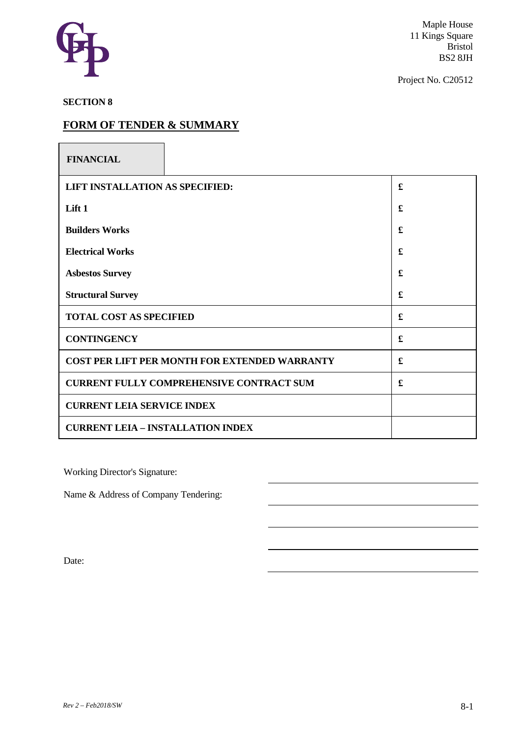

Project No. C20512

**SECTION 8**

# **FORM OF TENDER & SUMMARY**

| <b>FINANCIAL</b>                                     |   |
|------------------------------------------------------|---|
| LIFT INSTALLATION AS SPECIFIED:                      | £ |
| Lift 1                                               | £ |
| <b>Builders Works</b>                                | £ |
| <b>Electrical Works</b>                              | £ |
| <b>Asbestos Survey</b>                               | £ |
| <b>Structural Survey</b>                             | £ |
| <b>TOTAL COST AS SPECIFIED</b>                       | £ |
| <b>CONTINGENCY</b>                                   | £ |
| <b>COST PER LIFT PER MONTH FOR EXTENDED WARRANTY</b> | £ |
| <b>CURRENT FULLY COMPREHENSIVE CONTRACT SUM</b>      | £ |
| <b>CURRENT LEIA SERVICE INDEX</b>                    |   |
| <b>CURRENT LEIA - INSTALLATION INDEX</b>             |   |

Working Director's Signature:

Name & Address of Company Tendering:

Date: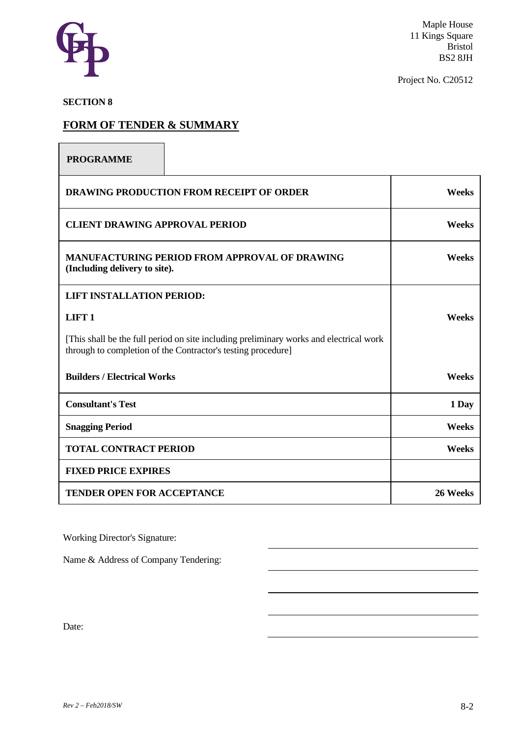

Project No. C20512

# **SECTION 8**

 $\sqrt{ }$ 

# **FORM OF TENDER & SUMMARY**

| <b>PROGRAMME</b>                                                                                                                                       |              |
|--------------------------------------------------------------------------------------------------------------------------------------------------------|--------------|
| <b>DRAWING PRODUCTION FROM RECEIPT OF ORDER</b>                                                                                                        | <b>Weeks</b> |
| <b>CLIENT DRAWING APPROVAL PERIOD</b>                                                                                                                  | Weeks        |
| <b>MANUFACTURING PERIOD FROM APPROVAL OF DRAWING</b><br>(Including delivery to site).                                                                  | Weeks        |
| <b>LIFT INSTALLATION PERIOD:</b>                                                                                                                       |              |
| LIFT <sub>1</sub>                                                                                                                                      | <b>Weeks</b> |
| [This shall be the full period on site including preliminary works and electrical work<br>through to completion of the Contractor's testing procedure] |              |
| <b>Builders / Electrical Works</b>                                                                                                                     | Weeks        |
| <b>Consultant's Test</b>                                                                                                                               | 1 Day        |
| <b>Snagging Period</b>                                                                                                                                 | Weeks        |
| <b>TOTAL CONTRACT PERIOD</b>                                                                                                                           | Weeks        |
| <b>FIXED PRICE EXPIRES</b>                                                                                                                             |              |
| <b>TENDER OPEN FOR ACCEPTANCE</b>                                                                                                                      | 26 Weeks     |

Working Director's Signature:

Name & Address of Company Tendering:

Date: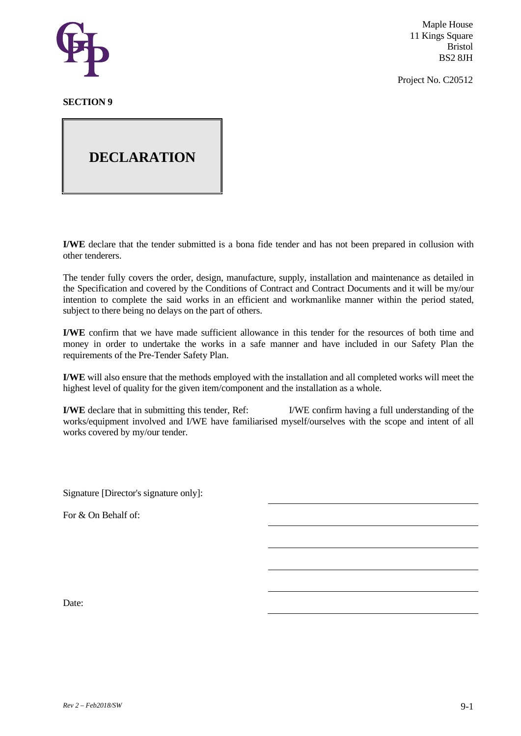

Project No. C20512

# **SECTION 9**

# **DECLARATION**

**I/WE** declare that the tender submitted is a bona fide tender and has not been prepared in collusion with other tenderers.

The tender fully covers the order, design, manufacture, supply, installation and maintenance as detailed in the Specification and covered by the Conditions of Contract and Contract Documents and it will be my/our intention to complete the said works in an efficient and workmanlike manner within the period stated, subject to there being no delays on the part of others.

**I/WE** confirm that we have made sufficient allowance in this tender for the resources of both time and money in order to undertake the works in a safe manner and have included in our Safety Plan the requirements of the Pre-Tender Safety Plan.

**I/WE** will also ensure that the methods employed with the installation and all completed works will meet the highest level of quality for the given item/component and the installation as a whole.

**I/WE** declare that in submitting this tender, Ref: I/WE confirm having a full understanding of the works/equipment involved and I/WE have familiarised myself/ourselves with the scope and intent of all works covered by my/our tender.

Signature [Director's signature only]:

For & On Behalf of:

Date: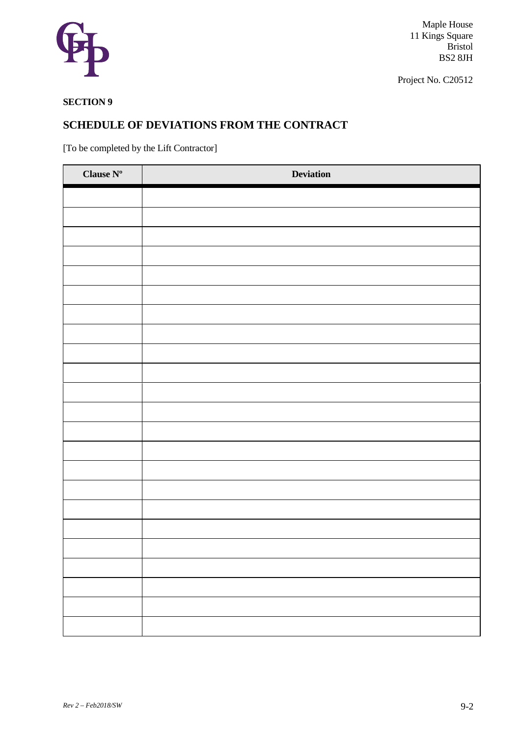

Project No. C20512

# **SECTION 9**

# **SCHEDULE OF DEVIATIONS FROM THE CONTRACT**

[To be completed by the Lift Contractor]

| Clause $\mathbf{N}^{\text{o}}$ | <b>Deviation</b> |
|--------------------------------|------------------|
|                                |                  |
|                                |                  |
|                                |                  |
|                                |                  |
|                                |                  |
|                                |                  |
|                                |                  |
|                                |                  |
|                                |                  |
|                                |                  |
|                                |                  |
|                                |                  |
|                                |                  |
|                                |                  |
|                                |                  |
|                                |                  |
|                                |                  |
|                                |                  |
|                                |                  |
|                                |                  |
|                                |                  |
|                                |                  |
|                                |                  |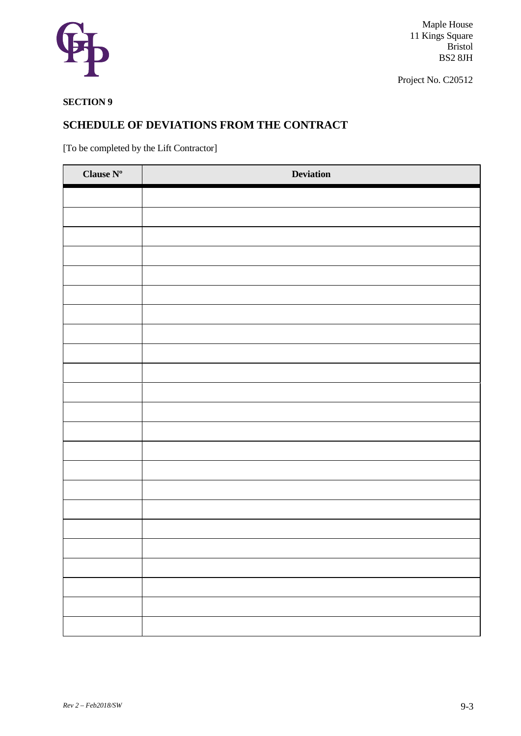

Project No. C20512

# **SECTION 9**

# **SCHEDULE OF DEVIATIONS FROM THE CONTRACT**

[To be completed by the Lift Contractor]

| Clause $\mathbf{N}^{\text{o}}$ | <b>Deviation</b> |
|--------------------------------|------------------|
|                                |                  |
|                                |                  |
|                                |                  |
|                                |                  |
|                                |                  |
|                                |                  |
|                                |                  |
|                                |                  |
|                                |                  |
|                                |                  |
|                                |                  |
|                                |                  |
|                                |                  |
|                                |                  |
|                                |                  |
|                                |                  |
|                                |                  |
|                                |                  |
|                                |                  |
|                                |                  |
|                                |                  |
|                                |                  |
|                                |                  |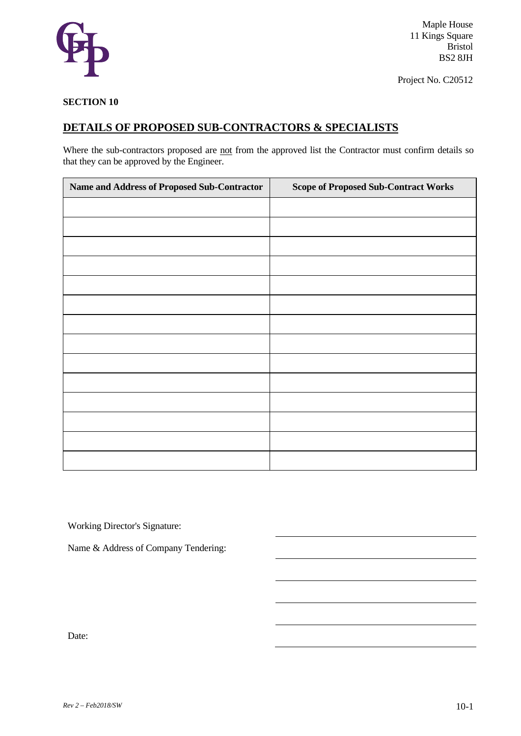

Maple House 11 Kings Square Bristol BS2 8JH

Project No. C20512

#### **SECTION 10**

## **DETAILS OF PROPOSED SUB-CONTRACTORS & SPECIALISTS**

Where the sub-contractors proposed are not from the approved list the Contractor must confirm details so that they can be approved by the Engineer.

| Name and Address of Proposed Sub-Contractor | <b>Scope of Proposed Sub-Contract Works</b> |
|---------------------------------------------|---------------------------------------------|
|                                             |                                             |
|                                             |                                             |
|                                             |                                             |
|                                             |                                             |
|                                             |                                             |
|                                             |                                             |
|                                             |                                             |
|                                             |                                             |
|                                             |                                             |
|                                             |                                             |
|                                             |                                             |
|                                             |                                             |
|                                             |                                             |
|                                             |                                             |

Working Director's Signature:

Name & Address of Company Tendering:

Date: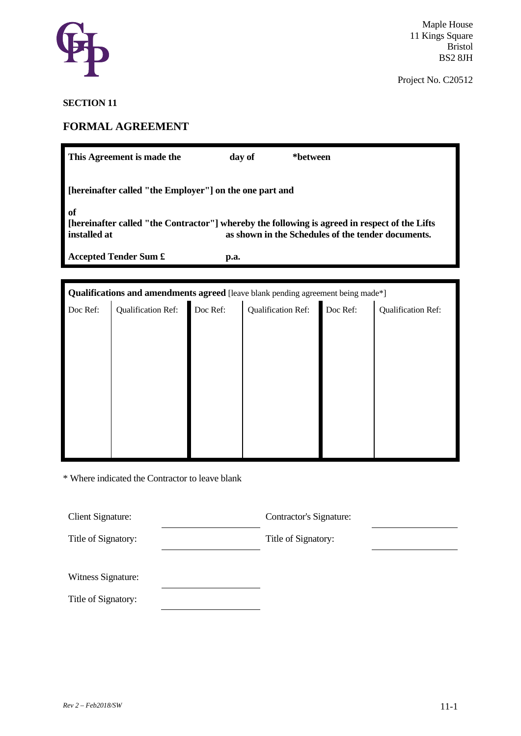

### **SECTION 11**

# **FORMAL AGREEMENT**

| This Agreement is made the                                                                                                                                                |                                                                                      |  | day of<br>*between |  |  |  |  |
|---------------------------------------------------------------------------------------------------------------------------------------------------------------------------|--------------------------------------------------------------------------------------|--|--------------------|--|--|--|--|
| [hereinafter called "the Employer"] on the one part and                                                                                                                   |                                                                                      |  |                    |  |  |  |  |
| of<br>[hereinafter called "the Contractor"] whereby the following is agreed in respect of the Lifts<br>as shown in the Schedules of the tender documents.<br>installed at |                                                                                      |  |                    |  |  |  |  |
| <b>Accepted Tender Sum £</b><br>p.a.                                                                                                                                      |                                                                                      |  |                    |  |  |  |  |
|                                                                                                                                                                           |                                                                                      |  |                    |  |  |  |  |
| <b>Qualifications and amendments agreed</b> [leave blank pending agreement being made*]                                                                                   |                                                                                      |  |                    |  |  |  |  |
|                                                                                                                                                                           | Doc Ref: Qualification Ref: Qualification Ref: Qualification Ref: Qualification Ref: |  |                    |  |  |  |  |

\* Where indicated the Contractor to leave blank

| Client Signature:   | Contractor's Signature: |  |
|---------------------|-------------------------|--|
| Title of Signatory: | Title of Signatory:     |  |
| Witness Signature:  |                         |  |
| Title of Signatory: |                         |  |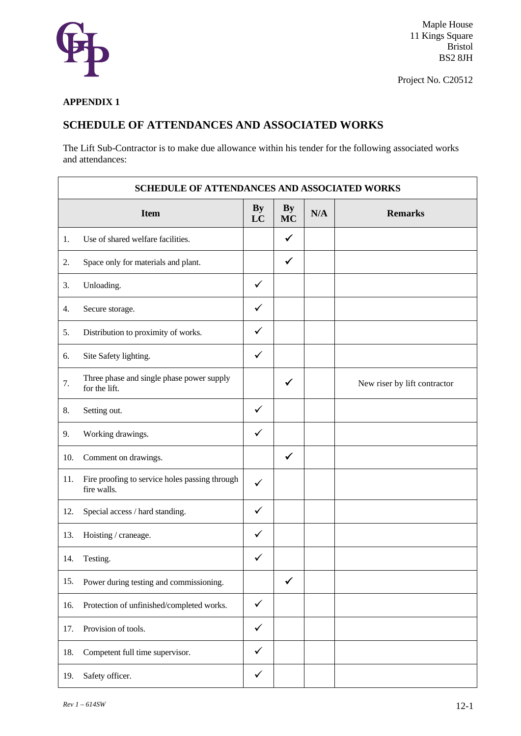

Maple House 11 Kings Square Bristol BS2 8JH

Project No. C20512

#### **APPENDIX 1**

## **SCHEDULE OF ATTENDANCES AND ASSOCIATED WORKS**

The Lift Sub-Contractor is to make due allowance within his tender for the following associated works and attendances:

| <b>SCHEDULE OF ATTENDANCES AND ASSOCIATED WORKS</b> |                                                               |                 |                 |     |                              |
|-----------------------------------------------------|---------------------------------------------------------------|-----------------|-----------------|-----|------------------------------|
|                                                     | <b>Item</b>                                                   | <b>By</b><br>LC | By<br><b>MC</b> | N/A | <b>Remarks</b>               |
| 1.                                                  | Use of shared welfare facilities.                             |                 | ✓               |     |                              |
| 2.                                                  | Space only for materials and plant.                           |                 | $\checkmark$    |     |                              |
| 3.                                                  | Unloading.                                                    | $\checkmark$    |                 |     |                              |
| 4.                                                  | Secure storage.                                               | ✓               |                 |     |                              |
| 5.                                                  | Distribution to proximity of works.                           | $\checkmark$    |                 |     |                              |
| 6.                                                  | Site Safety lighting.                                         | $\checkmark$    |                 |     |                              |
| 7.                                                  | Three phase and single phase power supply<br>for the lift.    |                 | ✓               |     | New riser by lift contractor |
| 8.                                                  | Setting out.                                                  | $\checkmark$    |                 |     |                              |
| 9.                                                  | Working drawings.                                             | ✓               |                 |     |                              |
| 10.                                                 | Comment on drawings.                                          |                 | ✓               |     |                              |
| 11.                                                 | Fire proofing to service holes passing through<br>fire walls. | $\checkmark$    |                 |     |                              |
| 12.                                                 | Special access / hard standing.                               | $\checkmark$    |                 |     |                              |
| 13.                                                 | Hoisting / craneage.                                          | $\checkmark$    |                 |     |                              |
| 14.                                                 | Testing.                                                      | ✓               |                 |     |                              |
| 15.                                                 | Power during testing and commissioning.                       |                 | $\checkmark$    |     |                              |
| 16.                                                 | Protection of unfinished/completed works.                     | $\checkmark$    |                 |     |                              |
| 17.                                                 | Provision of tools.                                           | $\checkmark$    |                 |     |                              |
| 18.                                                 | Competent full time supervisor.                               | $\checkmark$    |                 |     |                              |
| 19.                                                 | Safety officer.                                               | $\checkmark$    |                 |     |                              |